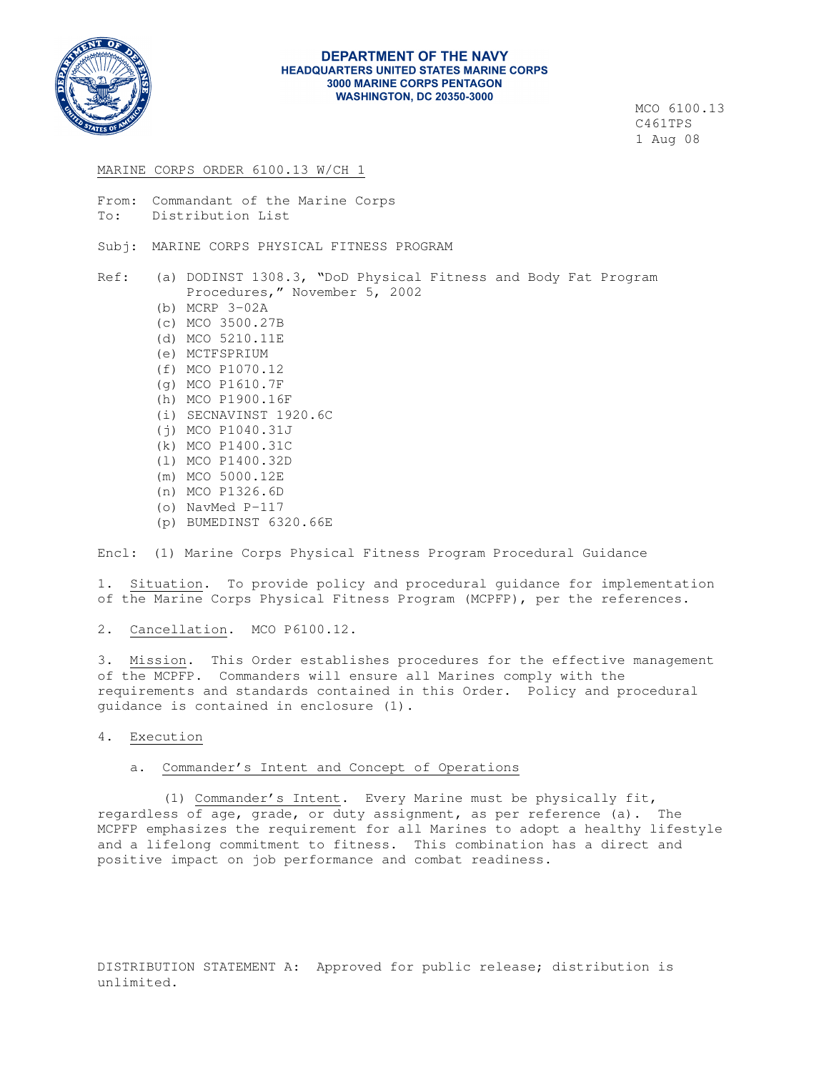

#### **DEPARTMENT OF THE NAVY HEADQUARTERS UNITED STATES MARINE CORPS 3000 MARINE CORPS PENTAGON WASHINGTON, DC 20350-3000**

 MCO 6100.13 C461TPS 1 Aug 08

#### MARINE CORPS ORDER 6100.13 W/CH 1

From: Commandant of the Marine Corps To: Distribution List Subj: MARINE CORPS PHYSICAL FITNESS PROGRAM Ref: (a) DODINST 1308.3, "DoD Physical Fitness and Body Fat Program Procedures," November 5, 2002 (b) MCRP 3-02A (c) MCO 3500.27B (d) MCO 5210.11E (e) MCTFSPRIUM (f) MCO P1070.12 (g) MCO P1610.7F (h) MCO P1900.16F (i) SECNAVINST 1920.6C (j) MCO P1040.31J (k) MCO P1400.31C (l) MCO P1400.32D (m) MCO 5000.12E (n) MCO P1326.6D (o) NavMed P-117

(p) BUMEDINST 6320.66E

Encl: (1) Marine Corps Physical Fitness Program Procedural Guidance

1. Situation. To provide policy and procedural guidance for implementation of the Marine Corps Physical Fitness Program (MCPFP), per the references.

2. Cancellation. MCO P6100.12.

3. Mission. This Order establishes procedures for the effective management of the MCPFP. Commanders will ensure all Marines comply with the requirements and standards contained in this Order. Policy and procedural guidance is contained in enclosure (1).

4. Execution

### a. Commander's Intent and Concept of Operations

 (1) Commander's Intent. Every Marine must be physically fit, regardless of age, grade, or duty assignment, as per reference (a). The MCPFP emphasizes the requirement for all Marines to adopt a healthy lifestyle and a lifelong commitment to fitness. This combination has a direct and positive impact on job performance and combat readiness.

DISTRIBUTION STATEMENT A: Approved for public release; distribution is unlimited.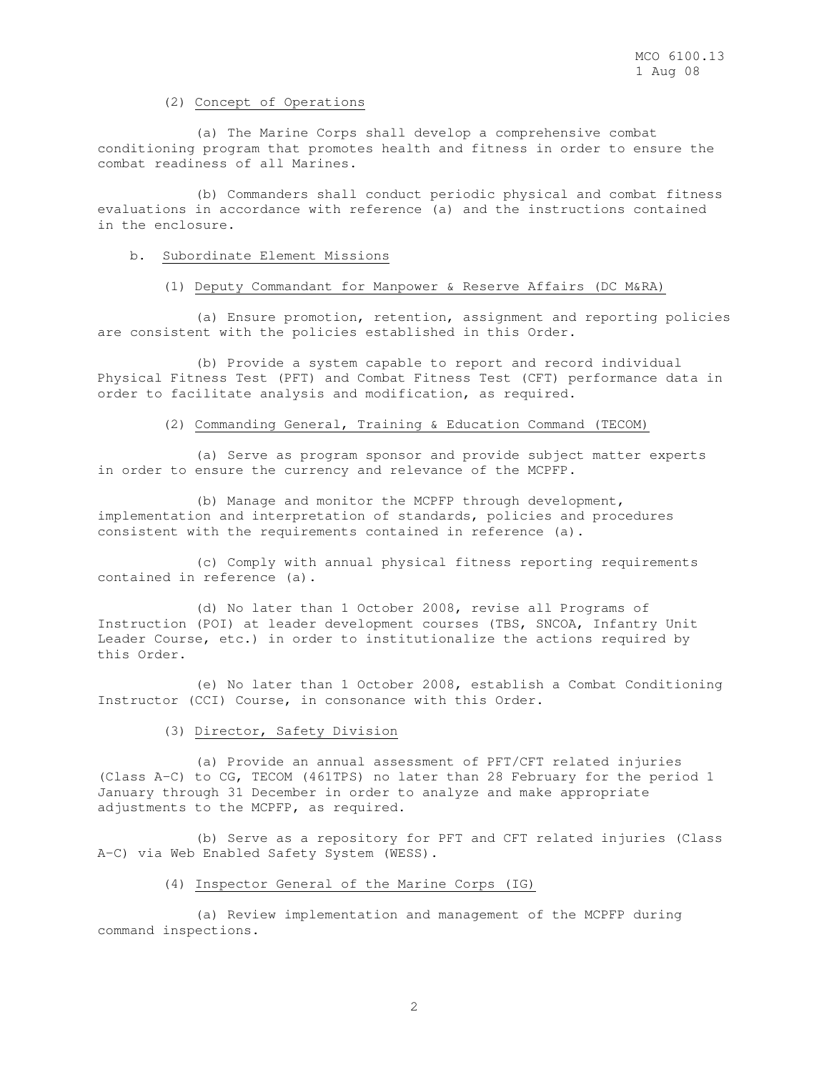#### (2) Concept of Operations

 (a) The Marine Corps shall develop a comprehensive combat conditioning program that promotes health and fitness in order to ensure the combat readiness of all Marines.

 (b) Commanders shall conduct periodic physical and combat fitness evaluations in accordance with reference (a) and the instructions contained in the enclosure.

# b. Subordinate Element Missions

#### (1) Deputy Commandant for Manpower & Reserve Affairs (DC M&RA)

 (a) Ensure promotion, retention, assignment and reporting policies are consistent with the policies established in this Order.

 (b) Provide a system capable to report and record individual Physical Fitness Test (PFT) and Combat Fitness Test (CFT) performance data in order to facilitate analysis and modification, as required.

### (2) Commanding General, Training & Education Command (TECOM)

 (a) Serve as program sponsor and provide subject matter experts in order to ensure the currency and relevance of the MCPFP.

 (b) Manage and monitor the MCPFP through development, implementation and interpretation of standards, policies and procedures consistent with the requirements contained in reference (a).

 (c) Comply with annual physical fitness reporting requirements contained in reference (a).

 (d) No later than 1 October 2008, revise all Programs of Instruction (POI) at leader development courses (TBS, SNCOA, Infantry Unit Leader Course, etc.) in order to institutionalize the actions required by this Order.

 (e) No later than 1 October 2008, establish a Combat Conditioning Instructor (CCI) Course, in consonance with this Order.

### (3) Director, Safety Division

 (a) Provide an annual assessment of PFT/CFT related injuries (Class A-C) to CG, TECOM (461TPS) no later than 28 February for the period 1 January through 31 December in order to analyze and make appropriate adjustments to the MCPFP, as required.

 (b) Serve as a repository for PFT and CFT related injuries (Class A-C) via Web Enabled Safety System (WESS).

#### (4) Inspector General of the Marine Corps (IG)

 (a) Review implementation and management of the MCPFP during command inspections.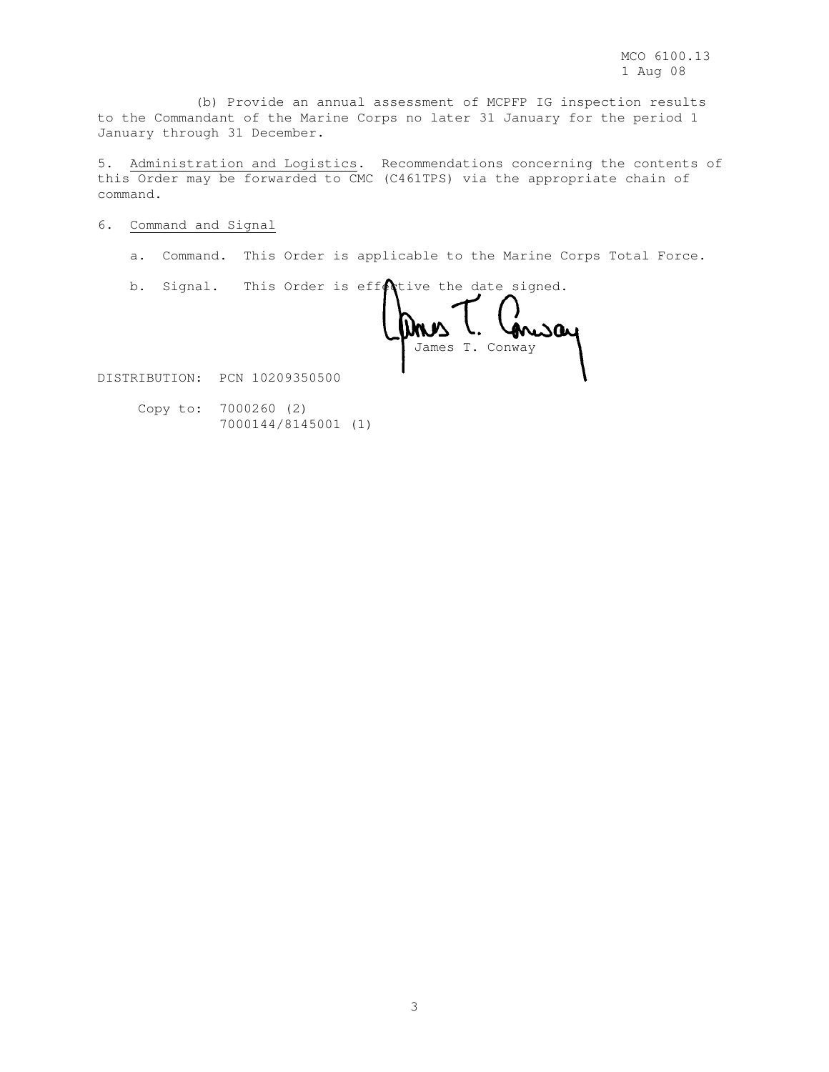(b) Provide an annual assessment of MCPFP IG inspection results to the Commandant of the Marine Corps no later 31 January for the period 1 January through 31 December.

5. Administration and Logistics. Recommendations concerning the contents of this Order may be forwarded to CMC (C461TPS) via the appropriate chain of command.

### 6. Command and Signal

a. Command. This Order is applicable to the Marine Corps Total Force.

b. Signal. This Order is eff $\&$ tive the date signed.

mway James T. Conway

DISTRIBUTION: PCN 10209350500

 Copy to: 7000260 (2) 7000144/8145001 (1)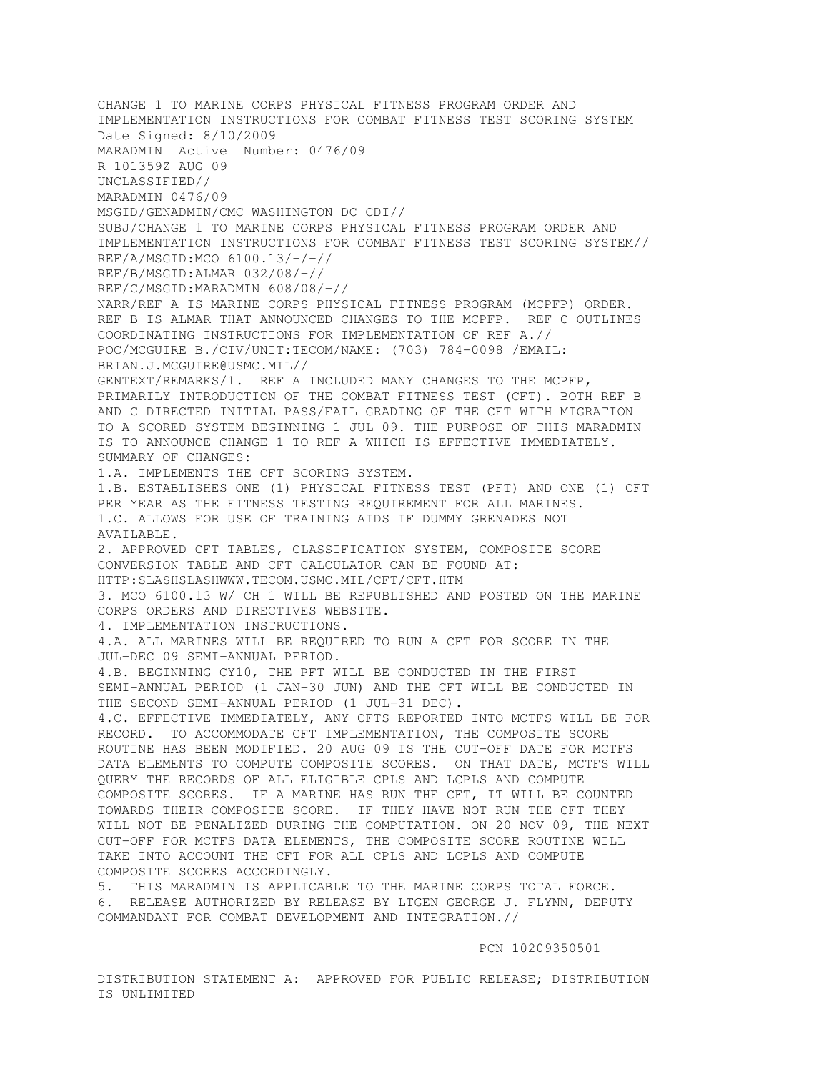CHANGE 1 TO MARINE CORPS PHYSICAL FITNESS PROGRAM ORDER AND IMPLEMENTATION INSTRUCTIONS FOR COMBAT FITNESS TEST SCORING SYSTEM Date Signed: 8/10/2009 MARADMIN Active Number: 0476/09 R 101359Z AUG 09 UNCLASSIFIED// MARADMIN 0476/09 MSGID/GENADMIN/CMC WASHINGTON DC CDI// SUBJ/CHANGE 1 TO MARINE CORPS PHYSICAL FITNESS PROGRAM ORDER AND IMPLEMENTATION INSTRUCTIONS FOR COMBAT FITNESS TEST SCORING SYSTEM// REF/A/MSGID:MCO 6100.13/-/-// REF/B/MSGID:ALMAR 032/08/-// REF/C/MSGID:MARADMIN 608/08/-// NARR/REF A IS MARINE CORPS PHYSICAL FITNESS PROGRAM (MCPFP) ORDER. REF B IS ALMAR THAT ANNOUNCED CHANGES TO THE MCPFP. REF C OUTLINES COORDINATING INSTRUCTIONS FOR IMPLEMENTATION OF REF A.// POC/MCGUIRE B./CIV/UNIT:TECOM/NAME: (703) 784-0098 /EMAIL: BRIAN.J.MCGUIRE@USMC.MIL// GENTEXT/REMARKS/1. REF A INCLUDED MANY CHANGES TO THE MCPFP, PRIMARILY INTRODUCTION OF THE COMBAT FITNESS TEST (CFT). BOTH REF B AND C DIRECTED INITIAL PASS/FAIL GRADING OF THE CFT WITH MIGRATION TO A SCORED SYSTEM BEGINNING 1 JUL 09. THE PURPOSE OF THIS MARADMIN IS TO ANNOUNCE CHANGE 1 TO REF A WHICH IS EFFECTIVE IMMEDIATELY. SUMMARY OF CHANGES: 1.A. IMPLEMENTS THE CFT SCORING SYSTEM. 1.B. ESTABLISHES ONE (1) PHYSICAL FITNESS TEST (PFT) AND ONE (1) CFT PER YEAR AS THE FITNESS TESTING REQUIREMENT FOR ALL MARINES. 1.C. ALLOWS FOR USE OF TRAINING AIDS IF DUMMY GRENADES NOT AVAILABLE. 2. APPROVED CFT TABLES, CLASSIFICATION SYSTEM, COMPOSITE SCORE CONVERSION TABLE AND CFT CALCULATOR CAN BE FOUND AT: HTTP:SLASHSLASHWWW.TECOM.USMC.MIL/CFT/CFT.HTM 3. MCO 6100.13 W/ CH 1 WILL BE REPUBLISHED AND POSTED ON THE MARINE CORPS ORDERS AND DIRECTIVES WEBSITE. 4. IMPLEMENTATION INSTRUCTIONS. 4.A. ALL MARINES WILL BE REQUIRED TO RUN A CFT FOR SCORE IN THE JUL-DEC 09 SEMI-ANNUAL PERIOD. 4.B. BEGINNING CY10, THE PFT WILL BE CONDUCTED IN THE FIRST SEMI-ANNUAL PERIOD (1 JAN-30 JUN) AND THE CFT WILL BE CONDUCTED IN THE SECOND SEMI-ANNUAL PERIOD (1 JUL-31 DEC). 4.C. EFFECTIVE IMMEDIATELY, ANY CFTS REPORTED INTO MCTFS WILL BE FOR RECORD. TO ACCOMMODATE CFT IMPLEMENTATION, THE COMPOSITE SCORE ROUTINE HAS BEEN MODIFIED. 20 AUG 09 IS THE CUT-OFF DATE FOR MCTFS DATA ELEMENTS TO COMPUTE COMPOSITE SCORES. ON THAT DATE, MCTFS WILL QUERY THE RECORDS OF ALL ELIGIBLE CPLS AND LCPLS AND COMPUTE COMPOSITE SCORES. IF A MARINE HAS RUN THE CFT, IT WILL BE COUNTED TOWARDS THEIR COMPOSITE SCORE. IF THEY HAVE NOT RUN THE CFT THEY WILL NOT BE PENALIZED DURING THE COMPUTATION. ON 20 NOV 09, THE NEXT CUT-OFF FOR MCTFS DATA ELEMENTS, THE COMPOSITE SCORE ROUTINE WILL TAKE INTO ACCOUNT THE CFT FOR ALL CPLS AND LCPLS AND COMPUTE COMPOSITE SCORES ACCORDINGLY. 5. THIS MARADMIN IS APPLICABLE TO THE MARINE CORPS TOTAL FORCE. 6. RELEASE AUTHORIZED BY RELEASE BY LTGEN GEORGE J. FLYNN, DEPUTY COMMANDANT FOR COMBAT DEVELOPMENT AND INTEGRATION.//

PCN 10209350501

DISTRIBUTION STATEMENT A: APPROVED FOR PUBLIC RELEASE; DISTRIBUTION IS UNLIMITED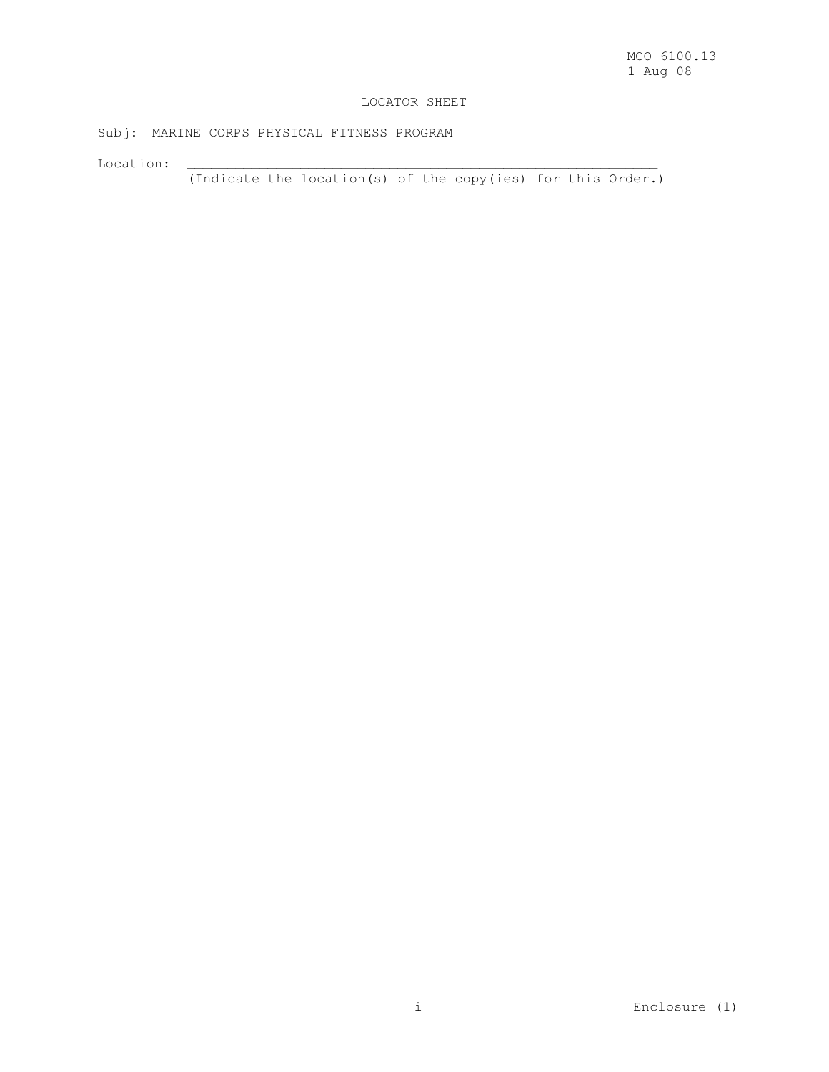### LOCATOR SHEET

Subj: MARINE CORPS PHYSICAL FITNESS PROGRAM

Location: \_\_\_\_\_\_\_\_\_\_\_\_\_\_\_\_\_\_\_\_\_\_\_\_\_\_\_\_\_\_\_\_\_\_\_\_\_\_\_\_\_\_\_\_\_\_\_\_\_\_\_\_\_\_\_\_\_\_

(Indicate the location(s) of the copy(ies) for this Order.)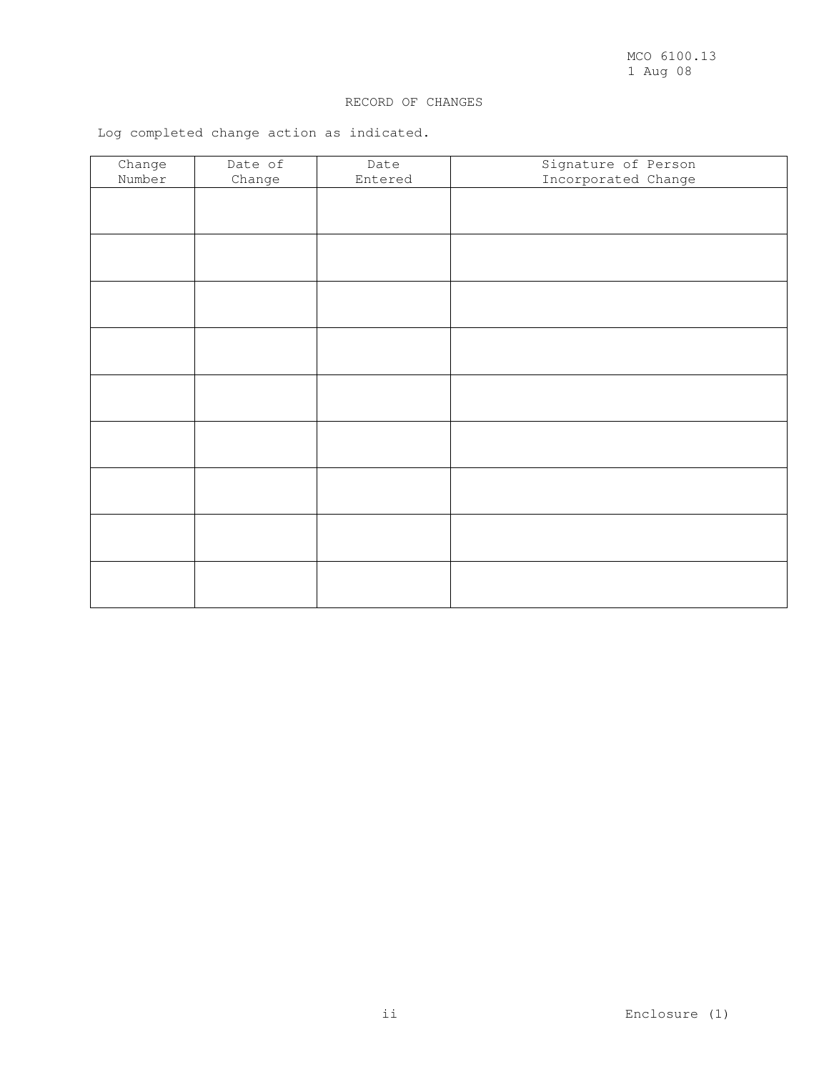# RECORD OF CHANGES

Log completed change action as indicated.

| Change | Date of | Date    | Signature of Person |
|--------|---------|---------|---------------------|
| Number | Change  | Entered | Incorporated Change |
|        |         |         |                     |
|        |         |         |                     |
|        |         |         |                     |
|        |         |         |                     |
|        |         |         |                     |
|        |         |         |                     |
|        |         |         |                     |
|        |         |         |                     |
|        |         |         |                     |
|        |         |         |                     |
|        |         |         |                     |
|        |         |         |                     |
|        |         |         |                     |
|        |         |         |                     |
|        |         |         |                     |
|        |         |         |                     |
|        |         |         |                     |
|        |         |         |                     |
|        |         |         |                     |
|        |         |         |                     |
|        |         |         |                     |
|        |         |         |                     |
|        |         |         |                     |
|        |         |         |                     |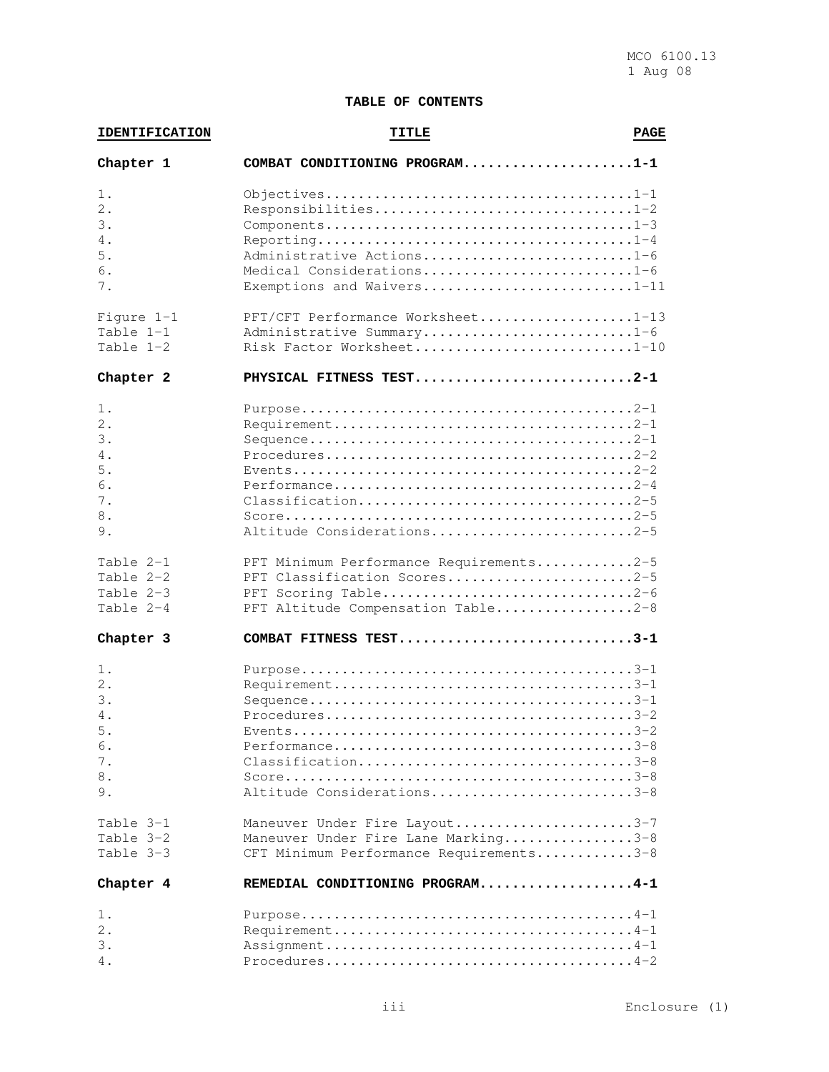# **TABLE OF CONTENTS**

| <b>IDENTIFICATION</b> | <b>TITLE</b>                                                                                         |  |  |  |  |  |  |
|-----------------------|------------------------------------------------------------------------------------------------------|--|--|--|--|--|--|
| Chapter 1             | COMBAT CONDITIONING PROGRAM1-1                                                                       |  |  |  |  |  |  |
| $1$ .                 |                                                                                                      |  |  |  |  |  |  |
| 2.                    | Responsibilities1-2                                                                                  |  |  |  |  |  |  |
| 3.                    |                                                                                                      |  |  |  |  |  |  |
| 4.                    |                                                                                                      |  |  |  |  |  |  |
| 5.                    | Administrative Actions1-6                                                                            |  |  |  |  |  |  |
| 6.                    | Medical Considerations1-6                                                                            |  |  |  |  |  |  |
| 7.                    | Exemptions and Waivers1-11                                                                           |  |  |  |  |  |  |
| Figure $1-1$          | PFT/CFT Performance Worksheet1-13                                                                    |  |  |  |  |  |  |
| Table 1-1             | Administrative Summary1-6                                                                            |  |  |  |  |  |  |
| Table $1-2$           | Risk Factor Worksheet1-10                                                                            |  |  |  |  |  |  |
| Chapter 2             | PHYSICAL FITNESS TEST2-1                                                                             |  |  |  |  |  |  |
| $1$ .                 |                                                                                                      |  |  |  |  |  |  |
| 2.                    |                                                                                                      |  |  |  |  |  |  |
| 3.                    |                                                                                                      |  |  |  |  |  |  |
| 4.                    |                                                                                                      |  |  |  |  |  |  |
| 5.                    |                                                                                                      |  |  |  |  |  |  |
| 6.                    |                                                                                                      |  |  |  |  |  |  |
| 7.                    | $\text{Classification} \dots \dots \dots \dots \dots \dots \dots \dots \dots \dots \dots \dots \2-5$ |  |  |  |  |  |  |
| 8.                    |                                                                                                      |  |  |  |  |  |  |
| 9.                    | Altitude Considerations2-5                                                                           |  |  |  |  |  |  |
| Table 2-1             | PFT Minimum Performance Requirements2-5                                                              |  |  |  |  |  |  |
| Table 2-2             | PFT Classification Scores2-5                                                                         |  |  |  |  |  |  |
| Table 2-3             | PFT Scoring Table2-6                                                                                 |  |  |  |  |  |  |
| Table 2-4             | PFT Altitude Compensation Table2-8                                                                   |  |  |  |  |  |  |
| Chapter 3             | COMBAT FITNESS TEST3-1                                                                               |  |  |  |  |  |  |
| 1.                    |                                                                                                      |  |  |  |  |  |  |
| 2.                    |                                                                                                      |  |  |  |  |  |  |
| 3.                    |                                                                                                      |  |  |  |  |  |  |
| 4.                    |                                                                                                      |  |  |  |  |  |  |
| 5.                    |                                                                                                      |  |  |  |  |  |  |
| 6.                    |                                                                                                      |  |  |  |  |  |  |
| 7.                    |                                                                                                      |  |  |  |  |  |  |
| 8.                    |                                                                                                      |  |  |  |  |  |  |
| 9.                    | Altitude Considerations3-8                                                                           |  |  |  |  |  |  |
| Table 3-1             | Maneuver Under Fire Layout3-7                                                                        |  |  |  |  |  |  |
| Table 3-2             | Maneuver Under Fire Lane Marking3-8                                                                  |  |  |  |  |  |  |
| Table $3-3$           | CFT Minimum Performance Requirements3-8                                                              |  |  |  |  |  |  |
| Chapter 4             | REMEDIAL CONDITIONING PROGRAM4-1                                                                     |  |  |  |  |  |  |
| 1.                    |                                                                                                      |  |  |  |  |  |  |
| 2.                    |                                                                                                      |  |  |  |  |  |  |
| 3.                    |                                                                                                      |  |  |  |  |  |  |
| 4.                    |                                                                                                      |  |  |  |  |  |  |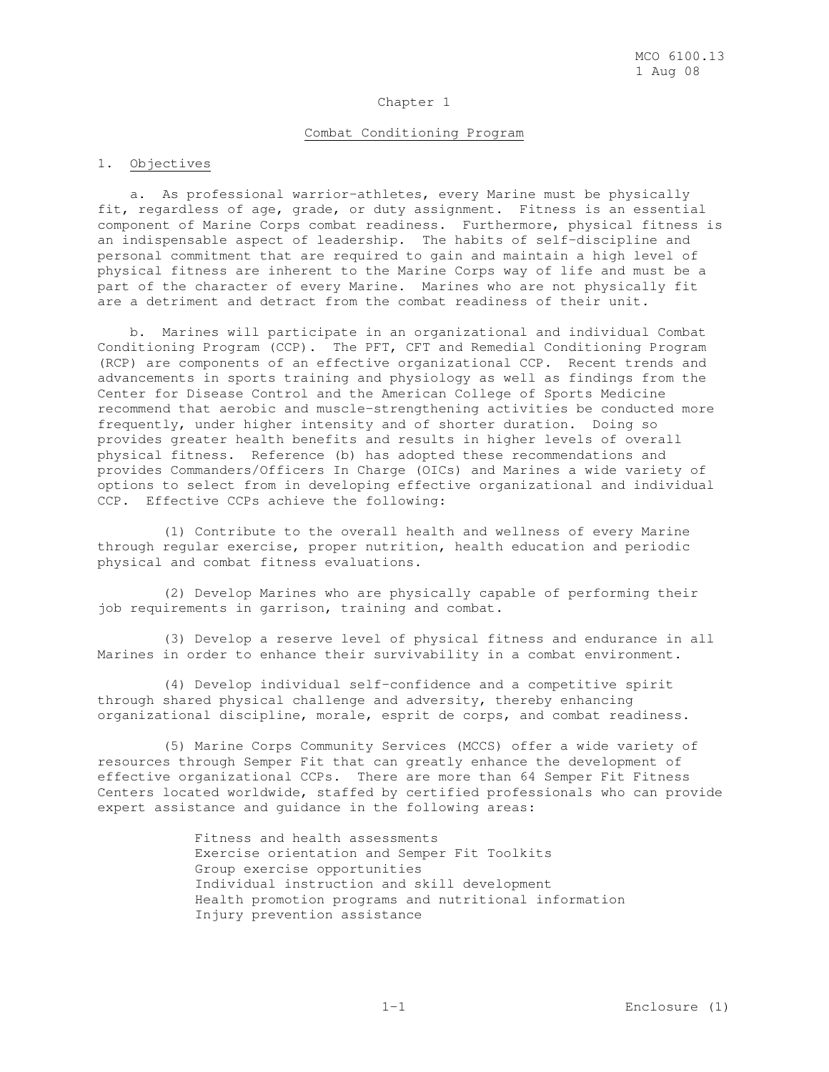#### Chapter 1

### Combat Conditioning Program

### 1. Objectives

 a. As professional warrior-athletes, every Marine must be physically fit, regardless of age, grade, or duty assignment. Fitness is an essential component of Marine Corps combat readiness. Furthermore, physical fitness is an indispensable aspect of leadership. The habits of self-discipline and personal commitment that are required to gain and maintain a high level of physical fitness are inherent to the Marine Corps way of life and must be a part of the character of every Marine. Marines who are not physically fit are a detriment and detract from the combat readiness of their unit.

 b. Marines will participate in an organizational and individual Combat Conditioning Program (CCP). The PFT, CFT and Remedial Conditioning Program (RCP) are components of an effective organizational CCP. Recent trends and advancements in sports training and physiology as well as findings from the Center for Disease Control and the American College of Sports Medicine recommend that aerobic and muscle-strengthening activities be conducted more frequently, under higher intensity and of shorter duration. Doing so provides greater health benefits and results in higher levels of overall physical fitness. Reference (b) has adopted these recommendations and provides Commanders/Officers In Charge (OICs) and Marines a wide variety of options to select from in developing effective organizational and individual CCP. Effective CCPs achieve the following:

 (1) Contribute to the overall health and wellness of every Marine through regular exercise, proper nutrition, health education and periodic physical and combat fitness evaluations.

 (2) Develop Marines who are physically capable of performing their job requirements in garrison, training and combat.

 (3) Develop a reserve level of physical fitness and endurance in all Marines in order to enhance their survivability in a combat environment.

 (4) Develop individual self-confidence and a competitive spirit through shared physical challenge and adversity, thereby enhancing organizational discipline, morale, esprit de corps, and combat readiness.

 (5) Marine Corps Community Services (MCCS) offer a wide variety of resources through Semper Fit that can greatly enhance the development of effective organizational CCPs. There are more than 64 Semper Fit Fitness Centers located worldwide, staffed by certified professionals who can provide expert assistance and guidance in the following areas:

> Fitness and health assessments Exercise orientation and Semper Fit Toolkits Group exercise opportunities Individual instruction and skill development Health promotion programs and nutritional information Injury prevention assistance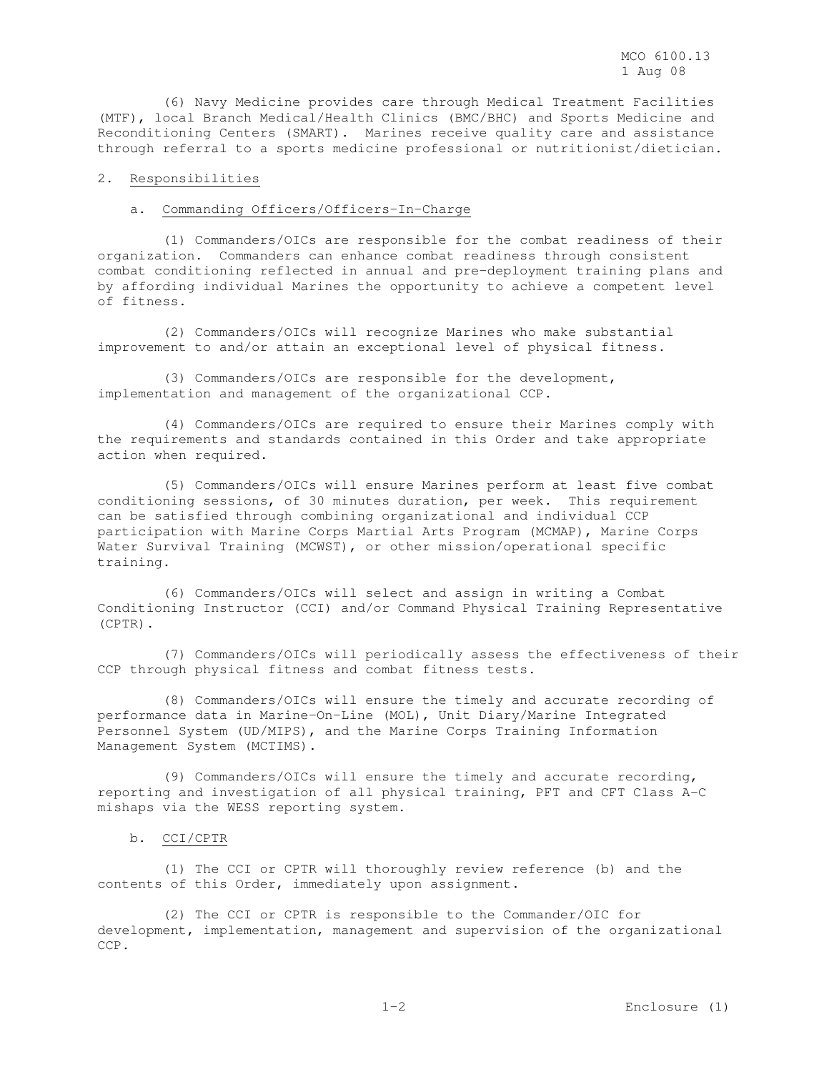(6) Navy Medicine provides care through Medical Treatment Facilities (MTF), local Branch Medical/Health Clinics (BMC/BHC) and Sports Medicine and Reconditioning Centers (SMART). Marines receive quality care and assistance through referral to a sports medicine professional or nutritionist/dietician.

### 2. Responsibilities

### a. Commanding Officers/Officers-In-Charge

 (1) Commanders/OICs are responsible for the combat readiness of their organization. Commanders can enhance combat readiness through consistent combat conditioning reflected in annual and pre-deployment training plans and by affording individual Marines the opportunity to achieve a competent level of fitness.

 (2) Commanders/OICs will recognize Marines who make substantial improvement to and/or attain an exceptional level of physical fitness.

 (3) Commanders/OICs are responsible for the development, implementation and management of the organizational CCP.

 (4) Commanders/OICs are required to ensure their Marines comply with the requirements and standards contained in this Order and take appropriate action when required.

 (5) Commanders/OICs will ensure Marines perform at least five combat conditioning sessions, of 30 minutes duration, per week. This requirement can be satisfied through combining organizational and individual CCP participation with Marine Corps Martial Arts Program (MCMAP), Marine Corps Water Survival Training (MCWST), or other mission/operational specific training.

 (6) Commanders/OICs will select and assign in writing a Combat Conditioning Instructor (CCI) and/or Command Physical Training Representative (CPTR).

 (7) Commanders/OICs will periodically assess the effectiveness of their CCP through physical fitness and combat fitness tests.

 (8) Commanders/OICs will ensure the timely and accurate recording of performance data in Marine-On-Line (MOL), Unit Diary/Marine Integrated Personnel System (UD/MIPS), and the Marine Corps Training Information Management System (MCTIMS).

 (9) Commanders/OICs will ensure the timely and accurate recording, reporting and investigation of all physical training, PFT and CFT Class A-C mishaps via the WESS reporting system.

#### b. CCI/CPTR

 (1) The CCI or CPTR will thoroughly review reference (b) and the contents of this Order, immediately upon assignment.

 (2) The CCI or CPTR is responsible to the Commander/OIC for development, implementation, management and supervision of the organizational CCP.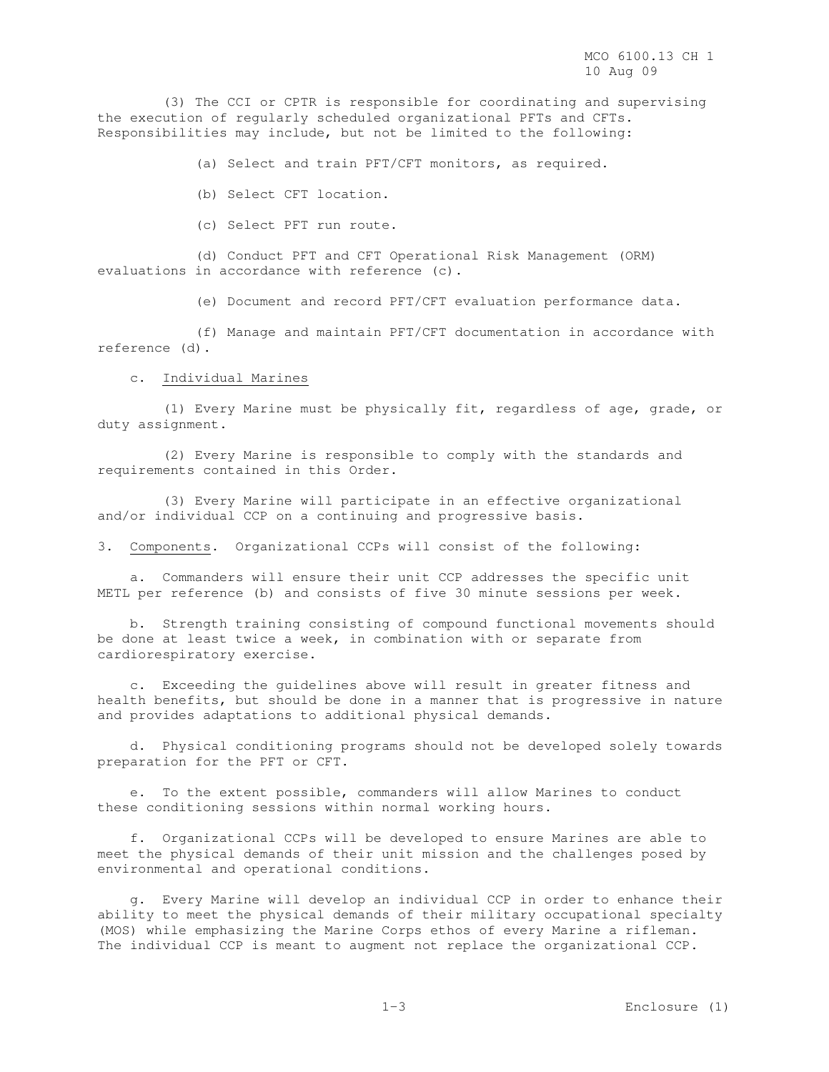(3) The CCI or CPTR is responsible for coordinating and supervising the execution of regularly scheduled organizational PFTs and CFTs. Responsibilities may include, but not be limited to the following:

(a) Select and train PFT/CFT monitors, as required.

(b) Select CFT location.

(c) Select PFT run route.

 (d) Conduct PFT and CFT Operational Risk Management (ORM) evaluations in accordance with reference (c).

(e) Document and record PFT/CFT evaluation performance data.

 (f) Manage and maintain PFT/CFT documentation in accordance with reference (d).

c. Individual Marines

 (1) Every Marine must be physically fit, regardless of age, grade, or duty assignment.

 (2) Every Marine is responsible to comply with the standards and requirements contained in this Order.

 (3) Every Marine will participate in an effective organizational and/or individual CCP on a continuing and progressive basis.

3. Components. Organizational CCPs will consist of the following:

 a. Commanders will ensure their unit CCP addresses the specific unit METL per reference (b) and consists of five 30 minute sessions per week.

 b. Strength training consisting of compound functional movements should be done at least twice a week, in combination with or separate from cardiorespiratory exercise.

 c. Exceeding the guidelines above will result in greater fitness and health benefits, but should be done in a manner that is progressive in nature and provides adaptations to additional physical demands.

 d. Physical conditioning programs should not be developed solely towards preparation for the PFT or CFT.

 e. To the extent possible, commanders will allow Marines to conduct these conditioning sessions within normal working hours.

 f. Organizational CCPs will be developed to ensure Marines are able to meet the physical demands of their unit mission and the challenges posed by environmental and operational conditions.

 g. Every Marine will develop an individual CCP in order to enhance their ability to meet the physical demands of their military occupational specialty (MOS) while emphasizing the Marine Corps ethos of every Marine a rifleman. The individual CCP is meant to augment not replace the organizational CCP.

1-3 Enclosure (1)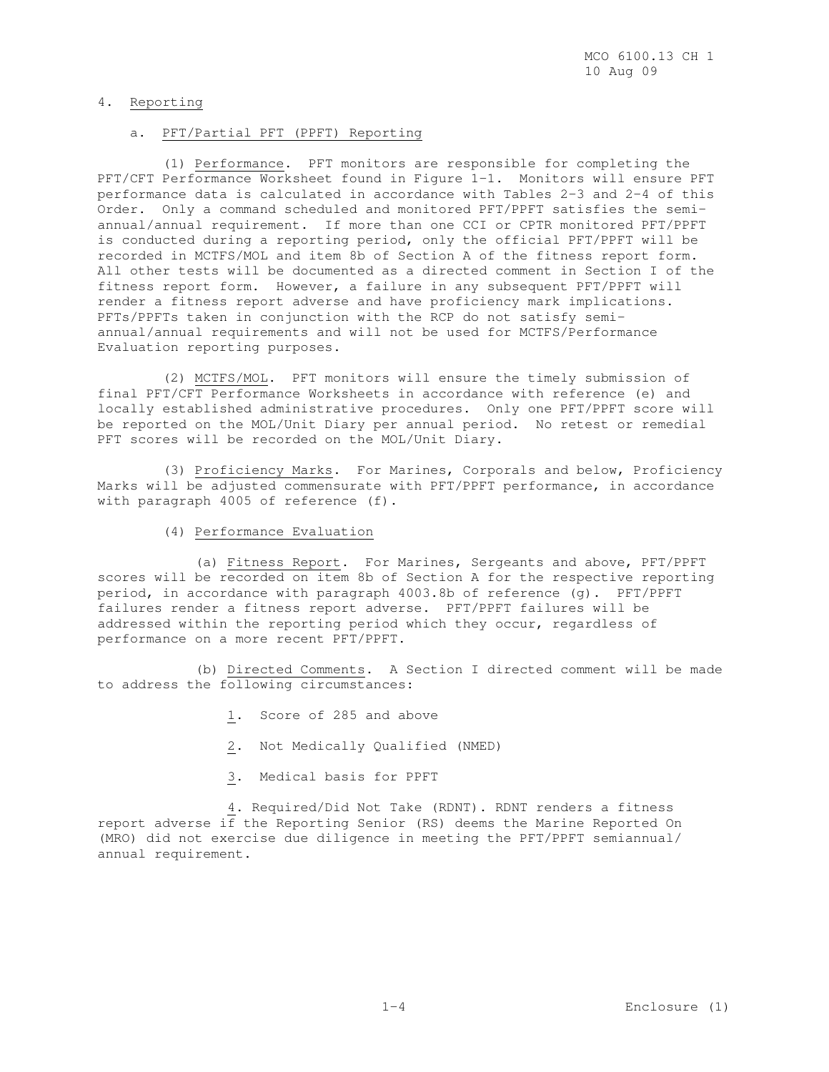### 4. Reporting

### a. PFT/Partial PFT (PPFT) Reporting

 (1) Performance. PFT monitors are responsible for completing the PFT/CFT Performance Worksheet found in Figure 1-1. Monitors will ensure PFT performance data is calculated in accordance with Tables 2-3 and 2-4 of this Order. Only a command scheduled and monitored PFT/PPFT satisfies the semiannual/annual requirement. If more than one CCI or CPTR monitored PFT/PPFT is conducted during a reporting period, only the official PFT/PPFT will be recorded in MCTFS/MOL and item 8b of Section A of the fitness report form. All other tests will be documented as a directed comment in Section I of the fitness report form. However, a failure in any subsequent PFT/PPFT will render a fitness report adverse and have proficiency mark implications. PFTs/PPFTs taken in conjunction with the RCP do not satisfy semiannual/annual requirements and will not be used for MCTFS/Performance Evaluation reporting purposes.

 (2) MCTFS/MOL. PFT monitors will ensure the timely submission of final PFT/CFT Performance Worksheets in accordance with reference (e) and locally established administrative procedures. Only one PFT/PPFT score will be reported on the MOL/Unit Diary per annual period. No retest or remedial PFT scores will be recorded on the MOL/Unit Diary.

 (3) Proficiency Marks. For Marines, Corporals and below, Proficiency Marks will be adjusted commensurate with PFT/PPFT performance, in accordance with paragraph 4005 of reference (f).

(4) Performance Evaluation

 (a) Fitness Report. For Marines, Sergeants and above, PFT/PPFT scores will be recorded on item 8b of Section A for the respective reporting period, in accordance with paragraph 4003.8b of reference (g). PFT/PPFT failures render a fitness report adverse. PFT/PPFT failures will be addressed within the reporting period which they occur, regardless of performance on a more recent PFT/PPFT.

 (b) Directed Comments. A Section I directed comment will be made to address the following circumstances:

- 1. Score of 285 and above
- 2. Not Medically Qualified (NMED)
- 3. Medical basis for PPFT

 4. Required/Did Not Take (RDNT). RDNT renders a fitness report adverse if the Reporting Senior (RS) deems the Marine Reported On (MRO) did not exercise due diligence in meeting the PFT/PPFT semiannual/ annual requirement.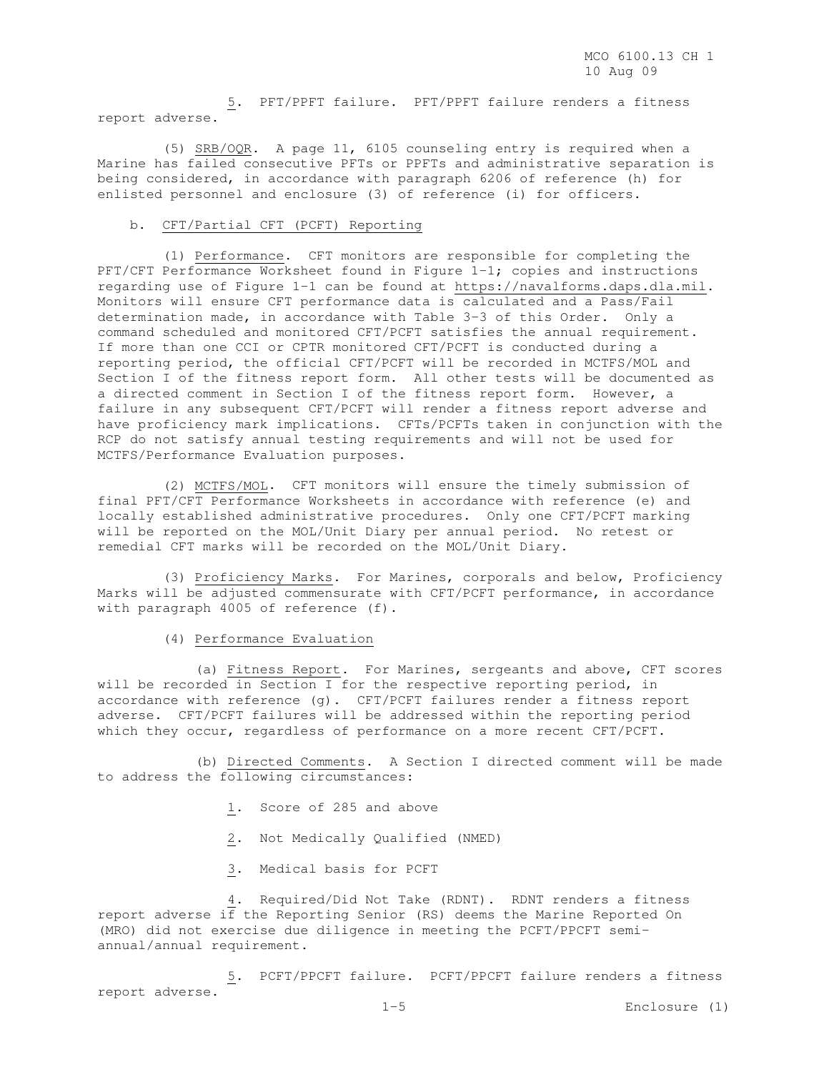5. PFT/PPFT failure. PFT/PPFT failure renders a fitness report adverse.

 (5) SRB/OQR. A page 11, 6105 counseling entry is required when a Marine has failed consecutive PFTs or PPFTs and administrative separation is being considered, in accordance with paragraph 6206 of reference (h) for enlisted personnel and enclosure (3) of reference (i) for officers.

#### b. CFT/Partial CFT (PCFT) Reporting

 (1) Performance. CFT monitors are responsible for completing the PFT/CFT Performance Worksheet found in Figure 1-1; copies and instructions regarding use of Figure 1-1 can be found at https://navalforms.daps.dla.mil. Monitors will ensure CFT performance data is calculated and a Pass/Fail determination made, in accordance with Table 3-3 of this Order. Only a command scheduled and monitored CFT/PCFT satisfies the annual requirement. If more than one CCI or CPTR monitored CFT/PCFT is conducted during a reporting period, the official CFT/PCFT will be recorded in MCTFS/MOL and Section I of the fitness report form. All other tests will be documented as a directed comment in Section I of the fitness report form. However, a failure in any subsequent CFT/PCFT will render a fitness report adverse and have proficiency mark implications. CFTs/PCFTs taken in conjunction with the RCP do not satisfy annual testing requirements and will not be used for MCTFS/Performance Evaluation purposes.

 (2) MCTFS/MOL. CFT monitors will ensure the timely submission of final PFT/CFT Performance Worksheets in accordance with reference (e) and locally established administrative procedures. Only one CFT/PCFT marking will be reported on the MOL/Unit Diary per annual period. No retest or remedial CFT marks will be recorded on the MOL/Unit Diary.

 (3) Proficiency Marks. For Marines, corporals and below, Proficiency Marks will be adjusted commensurate with CFT/PCFT performance, in accordance with paragraph 4005 of reference (f).

#### (4) Performance Evaluation

 (a) Fitness Report. For Marines, sergeants and above, CFT scores will be recorded in Section I for the respective reporting period, in accordance with reference (g). CFT/PCFT failures render a fitness report adverse. CFT/PCFT failures will be addressed within the reporting period which they occur, regardless of performance on a more recent CFT/PCFT.

 (b) Directed Comments. A Section I directed comment will be made to address the following circumstances:

- 1. Score of 285 and above
- 2. Not Medically Qualified (NMED)
- 3. Medical basis for PCFT

 4. Required/Did Not Take (RDNT). RDNT renders a fitness report adverse  $i\bar{f}$  the Reporting Senior (RS) deems the Marine Reported On (MRO) did not exercise due diligence in meeting the PCFT/PPCFT semiannual/annual requirement.

 5. PCFT/PPCFT failure. PCFT/PPCFT failure renders a fitness report adverse.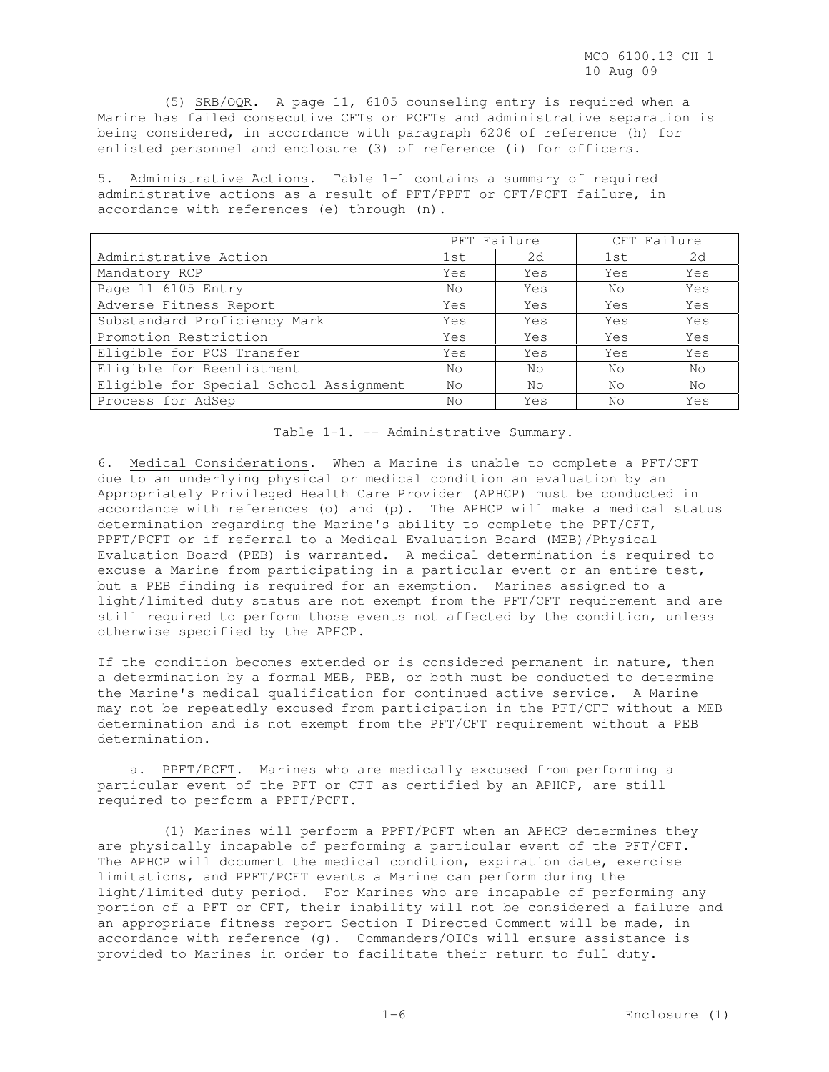(5) SRB/OQR. A page 11, 6105 counseling entry is required when a Marine has failed consecutive CFTs or PCFTs and administrative separation is being considered, in accordance with paragraph 6206 of reference (h) for enlisted personnel and enclosure (3) of reference (i) for officers.

5. Administrative Actions. Table 1-1 contains a summary of required administrative actions as a result of PFT/PPFT or CFT/PCFT failure, in accordance with references (e) through (n).

|                                        | PFT Failure |     | CFT Failure |     |  |
|----------------------------------------|-------------|-----|-------------|-----|--|
| Administrative Action                  | 1st         | 2d  | 1st         | 2d  |  |
| Mandatory RCP                          | Yes         | Yes | Yes         | Yes |  |
| Page 11 6105 Entry                     | No          | Yes | No          | Yes |  |
| Adverse Fitness Report                 | Yes         | Yes | Yes         | Yes |  |
| Substandard Proficiency Mark           | Yes         | Yes | Yes         | Yes |  |
| Promotion Restriction                  | Yes         | Yes | Yes         | Yes |  |
| Eligible for PCS Transfer              | Yes         | Yes | Yes         | Yes |  |
| Eligible for Reenlistment              | No          | No  | No          | No  |  |
| Eligible for Special School Assignment | No          | No  | No          | No  |  |
| Process for AdSep                      | No          | Yes | Nο          | Yes |  |

Table 1-1. -- Administrative Summary.

6. Medical Considerations. When a Marine is unable to complete a PFT/CFT due to an underlying physical or medical condition an evaluation by an Appropriately Privileged Health Care Provider (APHCP) must be conducted in accordance with references (o) and  $(p)$ . The APHCP will make a medical status determination regarding the Marine's ability to complete the PFT/CFT, PPFT/PCFT or if referral to a Medical Evaluation Board (MEB)/Physical Evaluation Board (PEB) is warranted. A medical determination is required to excuse a Marine from participating in a particular event or an entire test, but a PEB finding is required for an exemption. Marines assigned to a light/limited duty status are not exempt from the PFT/CFT requirement and are still required to perform those events not affected by the condition, unless otherwise specified by the APHCP.

If the condition becomes extended or is considered permanent in nature, then a determination by a formal MEB, PEB, or both must be conducted to determine the Marine's medical qualification for continued active service. A Marine may not be repeatedly excused from participation in the PFT/CFT without a MEB determination and is not exempt from the PFT/CFT requirement without a PEB determination.

 a. PPFT/PCFT. Marines who are medically excused from performing a particular event of the PFT or CFT as certified by an APHCP, are still required to perform a PPFT/PCFT.

 (1) Marines will perform a PPFT/PCFT when an APHCP determines they are physically incapable of performing a particular event of the PFT/CFT. The APHCP will document the medical condition, expiration date, exercise limitations, and PPFT/PCFT events a Marine can perform during the light/limited duty period. For Marines who are incapable of performing any portion of a PFT or CFT, their inability will not be considered a failure and an appropriate fitness report Section I Directed Comment will be made, in accordance with reference (g). Commanders/OICs will ensure assistance is provided to Marines in order to facilitate their return to full duty.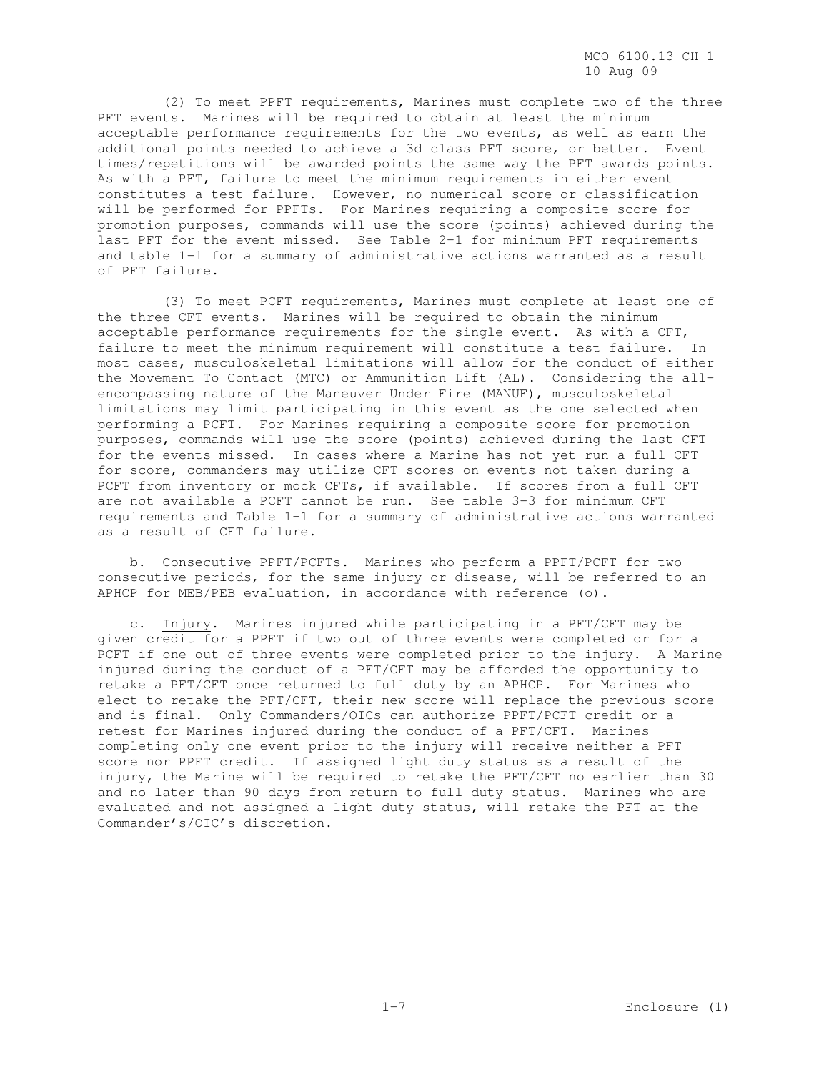(2) To meet PPFT requirements, Marines must complete two of the three PFT events. Marines will be required to obtain at least the minimum acceptable performance requirements for the two events, as well as earn the additional points needed to achieve a 3d class PFT score, or better. Event times/repetitions will be awarded points the same way the PFT awards points. As with a PFT, failure to meet the minimum requirements in either event constitutes a test failure. However, no numerical score or classification will be performed for PPFTs. For Marines requiring a composite score for promotion purposes, commands will use the score (points) achieved during the last PFT for the event missed. See Table 2-1 for minimum PFT requirements and table 1-1 for a summary of administrative actions warranted as a result of PFT failure.

 (3) To meet PCFT requirements, Marines must complete at least one of the three CFT events. Marines will be required to obtain the minimum acceptable performance requirements for the single event. As with a CFT, failure to meet the minimum requirement will constitute a test failure. In most cases, musculoskeletal limitations will allow for the conduct of either the Movement To Contact (MTC) or Ammunition Lift (AL). Considering the allencompassing nature of the Maneuver Under Fire (MANUF), musculoskeletal limitations may limit participating in this event as the one selected when performing a PCFT. For Marines requiring a composite score for promotion purposes, commands will use the score (points) achieved during the last CFT for the events missed. In cases where a Marine has not yet run a full CFT for score, commanders may utilize CFT scores on events not taken during a PCFT from inventory or mock CFTs, if available. If scores from a full CFT are not available a PCFT cannot be run. See table 3-3 for minimum CFT requirements and Table 1-1 for a summary of administrative actions warranted as a result of CFT failure.

 b. Consecutive PPFT/PCFTs. Marines who perform a PPFT/PCFT for two consecutive periods, for the same injury or disease, will be referred to an APHCP for MEB/PEB evaluation, in accordance with reference (o).

 c. Injury. Marines injured while participating in a PFT/CFT may be given credit for a PPFT if two out of three events were completed or for a PCFT if one out of three events were completed prior to the injury. A Marine injured during the conduct of a PFT/CFT may be afforded the opportunity to retake a PFT/CFT once returned to full duty by an APHCP. For Marines who elect to retake the PFT/CFT, their new score will replace the previous score and is final. Only Commanders/OICs can authorize PPFT/PCFT credit or a retest for Marines injured during the conduct of a PFT/CFT. Marines completing only one event prior to the injury will receive neither a PFT score nor PPFT credit. If assigned light duty status as a result of the injury, the Marine will be required to retake the PFT/CFT no earlier than 30 and no later than 90 days from return to full duty status. Marines who are evaluated and not assigned a light duty status, will retake the PFT at the Commander's/OIC's discretion.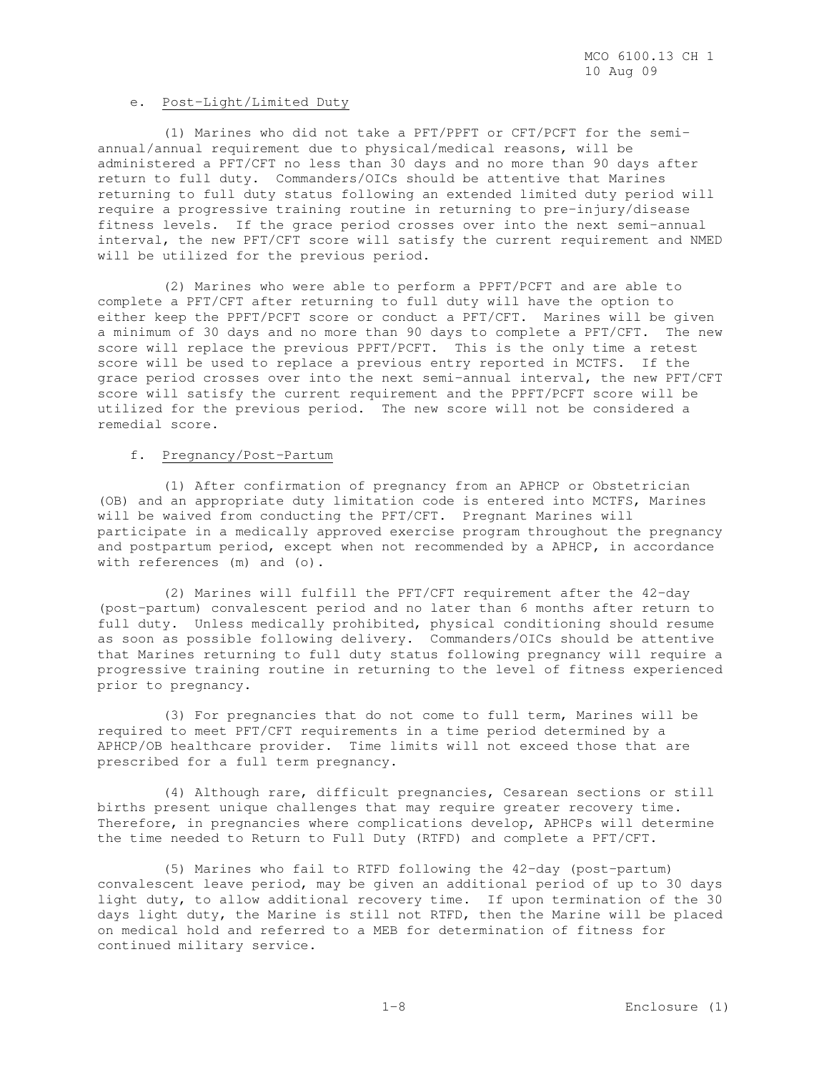#### e. Post-Light/Limited Duty

 (1) Marines who did not take a PFT/PPFT or CFT/PCFT for the semiannual/annual requirement due to physical/medical reasons, will be administered a PFT/CFT no less than 30 days and no more than 90 days after return to full duty. Commanders/OICs should be attentive that Marines returning to full duty status following an extended limited duty period will require a progressive training routine in returning to pre-injury/disease fitness levels. If the grace period crosses over into the next semi-annual interval, the new PFT/CFT score will satisfy the current requirement and NMED will be utilized for the previous period.

 (2) Marines who were able to perform a PPFT/PCFT and are able to complete a PFT/CFT after returning to full duty will have the option to either keep the PPFT/PCFT score or conduct a PFT/CFT. Marines will be given a minimum of 30 days and no more than 90 days to complete a PFT/CFT. The new score will replace the previous PPFT/PCFT. This is the only time a retest score will be used to replace a previous entry reported in MCTFS. If the grace period crosses over into the next semi-annual interval, the new PFT/CFT score will satisfy the current requirement and the PPFT/PCFT score will be utilized for the previous period. The new score will not be considered a remedial score.

### f. Pregnancy/Post-Partum

 (1) After confirmation of pregnancy from an APHCP or Obstetrician (OB) and an appropriate duty limitation code is entered into MCTFS, Marines will be waived from conducting the PFT/CFT. Pregnant Marines will participate in a medically approved exercise program throughout the pregnancy and postpartum period, except when not recommended by a APHCP, in accordance with references (m) and (o).

 (2) Marines will fulfill the PFT/CFT requirement after the 42-day (post-partum) convalescent period and no later than 6 months after return to full duty. Unless medically prohibited, physical conditioning should resume as soon as possible following delivery. Commanders/OICs should be attentive that Marines returning to full duty status following pregnancy will require a progressive training routine in returning to the level of fitness experienced prior to pregnancy.

 (3) For pregnancies that do not come to full term, Marines will be required to meet PFT/CFT requirements in a time period determined by a APHCP/OB healthcare provider. Time limits will not exceed those that are prescribed for a full term pregnancy.

 (4) Although rare, difficult pregnancies, Cesarean sections or still births present unique challenges that may require greater recovery time. Therefore, in pregnancies where complications develop, APHCPs will determine the time needed to Return to Full Duty (RTFD) and complete a PFT/CFT.

 (5) Marines who fail to RTFD following the 42-day (post-partum) convalescent leave period, may be given an additional period of up to 30 days light duty, to allow additional recovery time. If upon termination of the 30 days light duty, the Marine is still not RTFD, then the Marine will be placed on medical hold and referred to a MEB for determination of fitness for continued military service.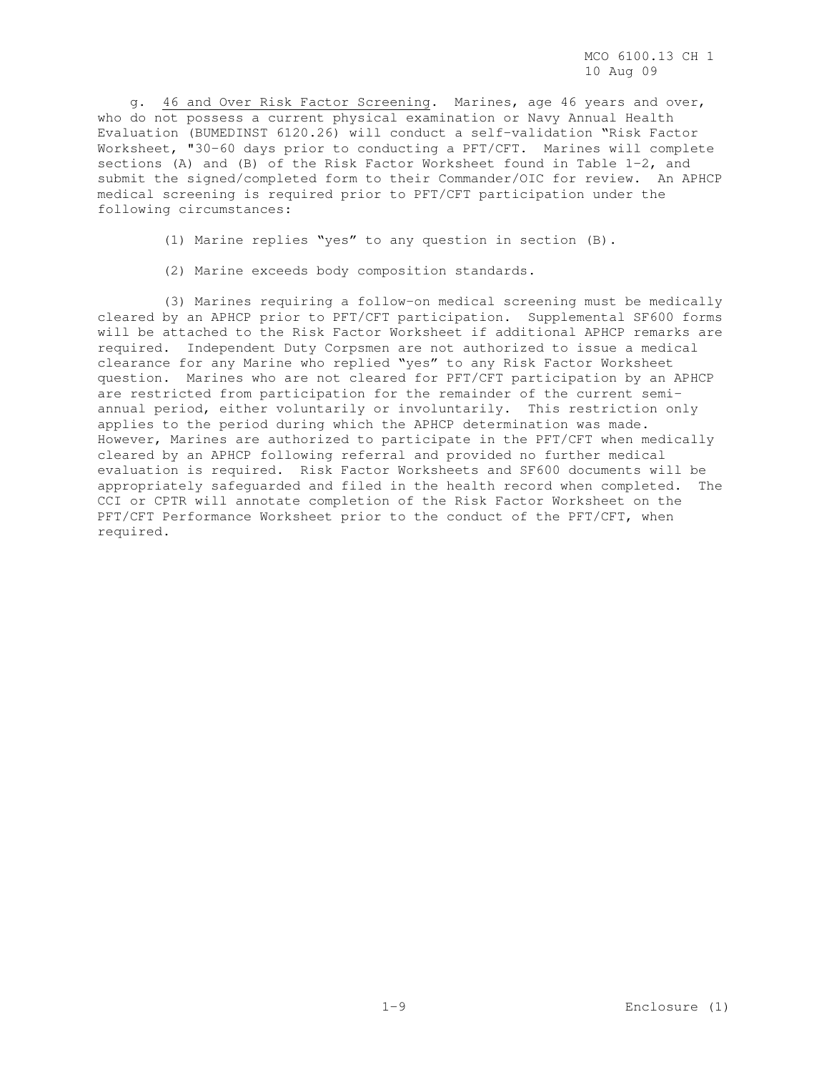g. 46 and Over Risk Factor Screening. Marines, age 46 years and over, who do not possess a current physical examination or Navy Annual Health Evaluation (BUMEDINST 6120.26) will conduct a self-validation "Risk Factor Worksheet, "30-60 days prior to conducting a PFT/CFT. Marines will complete sections (A) and (B) of the Risk Factor Worksheet found in Table 1-2, and submit the signed/completed form to their Commander/OIC for review. An APHCP medical screening is required prior to PFT/CFT participation under the following circumstances:

(1) Marine replies "yes" to any question in section (B).

(2) Marine exceeds body composition standards.

 (3) Marines requiring a follow-on medical screening must be medically cleared by an APHCP prior to PFT/CFT participation. Supplemental SF600 forms will be attached to the Risk Factor Worksheet if additional APHCP remarks are required. Independent Duty Corpsmen are not authorized to issue a medical clearance for any Marine who replied "yes" to any Risk Factor Worksheet question. Marines who are not cleared for PFT/CFT participation by an APHCP are restricted from participation for the remainder of the current semiannual period, either voluntarily or involuntarily. This restriction only applies to the period during which the APHCP determination was made. However, Marines are authorized to participate in the PFT/CFT when medically cleared by an APHCP following referral and provided no further medical evaluation is required. Risk Factor Worksheets and SF600 documents will be appropriately safeguarded and filed in the health record when completed. The CCI or CPTR will annotate completion of the Risk Factor Worksheet on the PFT/CFT Performance Worksheet prior to the conduct of the PFT/CFT, when required.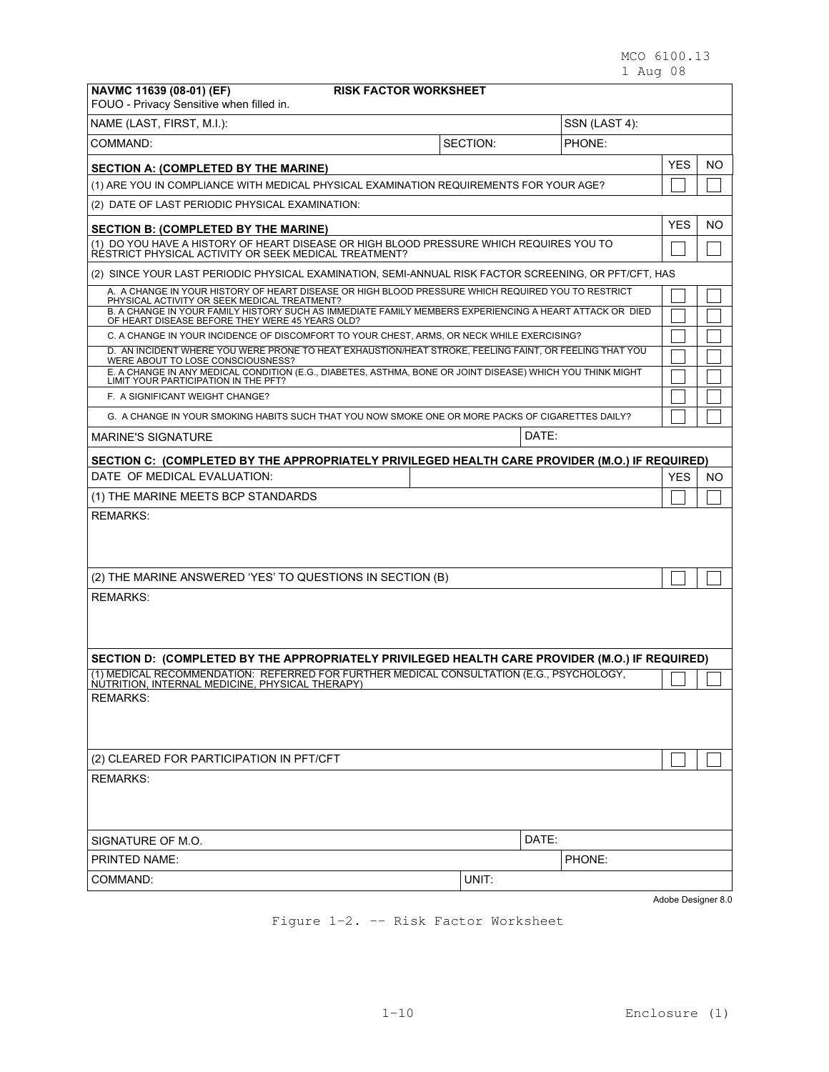MCO 6100.13 1 Aug 08

| NAVMC 11639 (08-01) (EF)<br><b>RISK FACTOR WORKSHEET</b><br>FOUO - Privacy Sensitive when filled in.                                                                                                                                                          |          |               |                    |     |  |
|---------------------------------------------------------------------------------------------------------------------------------------------------------------------------------------------------------------------------------------------------------------|----------|---------------|--------------------|-----|--|
| NAME (LAST, FIRST, M.I.):                                                                                                                                                                                                                                     |          | SSN (LAST 4): |                    |     |  |
| COMMAND:                                                                                                                                                                                                                                                      | SECTION: | PHONE:        |                    |     |  |
| <b>SECTION A: (COMPLETED BY THE MARINE)</b>                                                                                                                                                                                                                   |          |               | <b>YES</b>         | NO  |  |
| (1) ARE YOU IN COMPLIANCE WITH MEDICAL PHYSICAL EXAMINATION REQUIREMENTS FOR YOUR AGE?                                                                                                                                                                        |          |               |                    |     |  |
| (2) DATE OF LAST PERIODIC PHYSICAL EXAMINATION:                                                                                                                                                                                                               |          |               |                    |     |  |
| <b>SECTION B: (COMPLETED BY THE MARINE)</b>                                                                                                                                                                                                                   |          |               | <b>YES</b>         | NO  |  |
| (1) DO YOU HAVE A HISTORY OF HEART DISEASE OR HIGH BLOOD PRESSURE WHICH REQUIRES YOU TO<br>RESTRICT PHYSICAL ACTIVITY OR SEEK MEDICAL TREATMENT?                                                                                                              |          |               |                    |     |  |
| (2) SINCE YOUR LAST PERIODIC PHYSICAL EXAMINATION, SEMI-ANNUAL RISK FACTOR SCREENING, OR PFT/CFT, HAS                                                                                                                                                         |          |               |                    |     |  |
| A. A CHANGE IN YOUR HISTORY OF HEART DISEASE OR HIGH BLOOD PRESSURE WHICH REQUIRED YOU TO RESTRICT<br>PHYSICAL ACTIVITY OR SEEK MEDICAL TREATMENT?<br>B. A CHANGE IN YOUR FAMILY HISTORY SUCH AS IMMEDIATE FAMILY MEMBERS EXPERIENCING A HEART ATTACK OR DIED |          |               |                    |     |  |
| OF HEART DISEASE BEFORE THEY WERE 45 YEARS OLD?<br>C. A CHANGE IN YOUR INCIDENCE OF DISCOMFORT TO YOUR CHEST, ARMS, OR NECK WHILE EXERCISING?                                                                                                                 |          |               |                    |     |  |
| D. AN INCIDENT WHERE YOU WERE PRONE TO HEAT EXHAUSTION/HEAT STROKE, FEELING FAINT, OR FEELING THAT YOU                                                                                                                                                        |          |               |                    |     |  |
| WERE ABOUT TO LOSE CONSCIOUSNESS?<br>E. A CHANGE IN ANY MEDICAL CONDITION (E.G., DIABETES, ASTHMA, BONE OR JOINT DISEASE) WHICH YOU THINK MIGHT                                                                                                               |          |               |                    |     |  |
| LIMIT YOUR PARTICIPATION IN THE PFT?<br>F. A SIGNIFICANT WEIGHT CHANGE?                                                                                                                                                                                       |          |               |                    |     |  |
| G. A CHANGE IN YOUR SMOKING HABITS SUCH THAT YOU NOW SMOKE ONE OR MORE PACKS OF CIGARETTES DAILY?                                                                                                                                                             |          |               |                    |     |  |
| <b>MARINE'S SIGNATURE</b>                                                                                                                                                                                                                                     | DATE:    |               |                    |     |  |
| SECTION C: (COMPLETED BY THE APPROPRIATELY PRIVILEGED HEALTH CARE PROVIDER (M.O.) IF REQUIRED)                                                                                                                                                                |          |               |                    |     |  |
| DATE OF MEDICAL EVALUATION:                                                                                                                                                                                                                                   |          |               | <b>YES</b>         | NO. |  |
| (1) THE MARINE MEETS BCP STANDARDS                                                                                                                                                                                                                            |          |               |                    |     |  |
| <b>REMARKS:</b><br>(2) THE MARINE ANSWERED 'YES' TO QUESTIONS IN SECTION (B)                                                                                                                                                                                  |          |               |                    |     |  |
| <b>REMARKS:</b>                                                                                                                                                                                                                                               |          |               |                    |     |  |
|                                                                                                                                                                                                                                                               |          |               |                    |     |  |
| SECTION D: (COMPLETED BY THE APPROPRIATELY PRIVILEGED HEALTH CARE PROVIDER (M.O.) IF REQUIRED)<br>(1) MEDICAL RECOMMENDATION: REFERRED FOR FURTHER MEDICAL CONSULTATION (E.G., PSYCHOLOGY,                                                                    |          |               |                    |     |  |
| NUTRITION, INTERNAL MEDICINE, PHYSICAL THERAPY)                                                                                                                                                                                                               |          |               |                    |     |  |
| <b>REMARKS:</b>                                                                                                                                                                                                                                               |          |               |                    |     |  |
| (2) CLEARED FOR PARTICIPATION IN PFT/CFT                                                                                                                                                                                                                      |          |               |                    |     |  |
| <b>REMARKS:</b>                                                                                                                                                                                                                                               |          |               |                    |     |  |
| SIGNATURE OF M.O.                                                                                                                                                                                                                                             | DATE:    |               |                    |     |  |
| PRINTED NAME:                                                                                                                                                                                                                                                 |          | PHONE:        |                    |     |  |
| COMMAND:                                                                                                                                                                                                                                                      | UNIT:    |               |                    |     |  |
|                                                                                                                                                                                                                                                               |          |               | Adobe Designer 8.0 |     |  |

Figure 1-2. -- Risk Factor Worksheet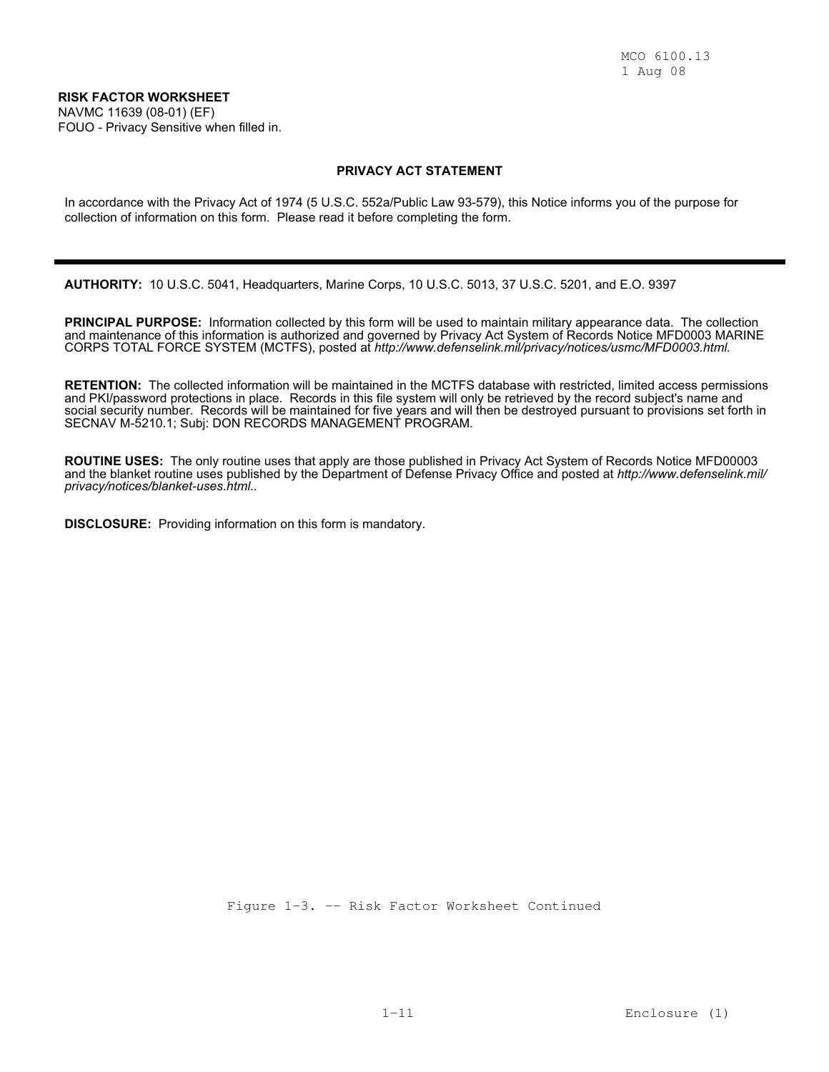NAVMC 11639 (08-01) (EF) FOUO - Privacy Sensitive when filled in.

### **PRIVACY ACT STATEMENT**

In accordance with the Privacy Act of 1974 (5 U.S.C. 552a/Public Law 93-579), this Notice informs you of the purpose for collection of information on this form. Please read it before completing the form.

**AUTHORITY:** 10 U.S.C. 5041, Headquarters, Marine Corps, 10 U.S.C. 5013, 37 U.S.C. 5201, and E.O. 9397

**PRINCIPAL PURPOSE:** Information collected by this form will be used to maintain military appearance data. The collection and maintenance of this information is authorized and governed by Privacy Act System of Records Notice MFD0003 MARINE CORPS TOTAL FORCE SYSTEM (MCTFS), posted at *http://www.defenselink.mil/privacy/notices/usmc/MFD0003.html.*

**RETENTION:** The collected information will be maintained in the MCTFS database with restricted, limited access permissions and PKI/password protections in place. Records in this file system will only be retrieved by the record subject's name and social security number. Records will be maintained for five years and will then be destroyed pursuant to provisions set forth in SECNAV M-5210.1; Subj: DON RECORDS MANAGEMENT PROGRAM.

**ROUTINE USES:** The only routine uses that apply are those published in Privacy Act System of Records Notice MFD00003 and the blanket routine uses published by the Department of Defense Privacy Office and posted at *http://www.defenselink.mil/ privacy/notices/blanket-uses.html..*

**DISCLOSURE:** Providing information on this form is mandatory.

Figure 1-3. -- Risk Factor Worksheet Continued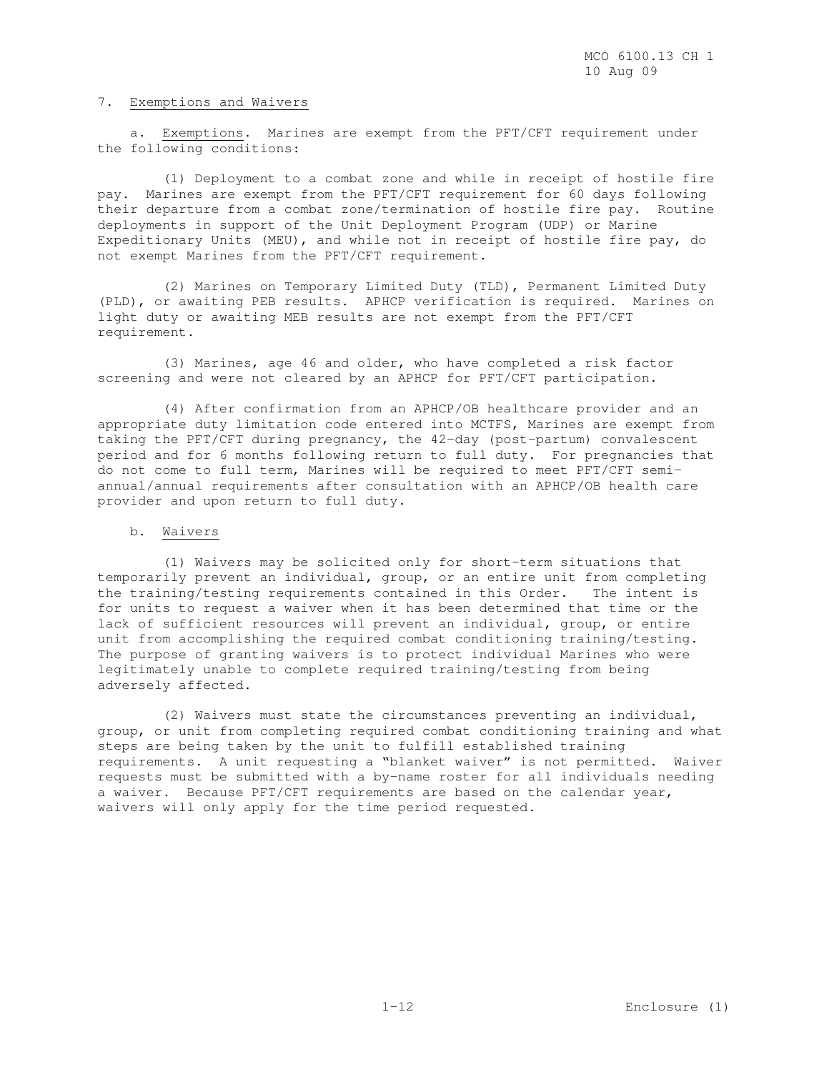#### 7. Exemptions and Waivers

 a. Exemptions. Marines are exempt from the PFT/CFT requirement under the following conditions:

 (1) Deployment to a combat zone and while in receipt of hostile fire pay. Marines are exempt from the PFT/CFT requirement for 60 days following their departure from a combat zone/termination of hostile fire pay. Routine deployments in support of the Unit Deployment Program (UDP) or Marine Expeditionary Units (MEU), and while not in receipt of hostile fire pay, do not exempt Marines from the PFT/CFT requirement.

 (2) Marines on Temporary Limited Duty (TLD), Permanent Limited Duty (PLD), or awaiting PEB results. APHCP verification is required. Marines on light duty or awaiting MEB results are not exempt from the PFT/CFT requirement.

 (3) Marines, age 46 and older, who have completed a risk factor screening and were not cleared by an APHCP for PFT/CFT participation.

 (4) After confirmation from an APHCP/OB healthcare provider and an appropriate duty limitation code entered into MCTFS, Marines are exempt from taking the PFT/CFT during pregnancy, the 42-day (post-partum) convalescent period and for 6 months following return to full duty. For pregnancies that do not come to full term, Marines will be required to meet PFT/CFT semiannual/annual requirements after consultation with an APHCP/OB health care provider and upon return to full duty.

#### b. Waivers

 (1) Waivers may be solicited only for short-term situations that temporarily prevent an individual, group, or an entire unit from completing the training/testing requirements contained in this Order. The intent is for units to request a waiver when it has been determined that time or the lack of sufficient resources will prevent an individual, group, or entire unit from accomplishing the required combat conditioning training/testing. The purpose of granting waivers is to protect individual Marines who were legitimately unable to complete required training/testing from being adversely affected.

 (2) Waivers must state the circumstances preventing an individual, group, or unit from completing required combat conditioning training and what steps are being taken by the unit to fulfill established training requirements. A unit requesting a "blanket waiver" is not permitted. Waiver requests must be submitted with a by-name roster for all individuals needing a waiver. Because PFT/CFT requirements are based on the calendar year, waivers will only apply for the time period requested.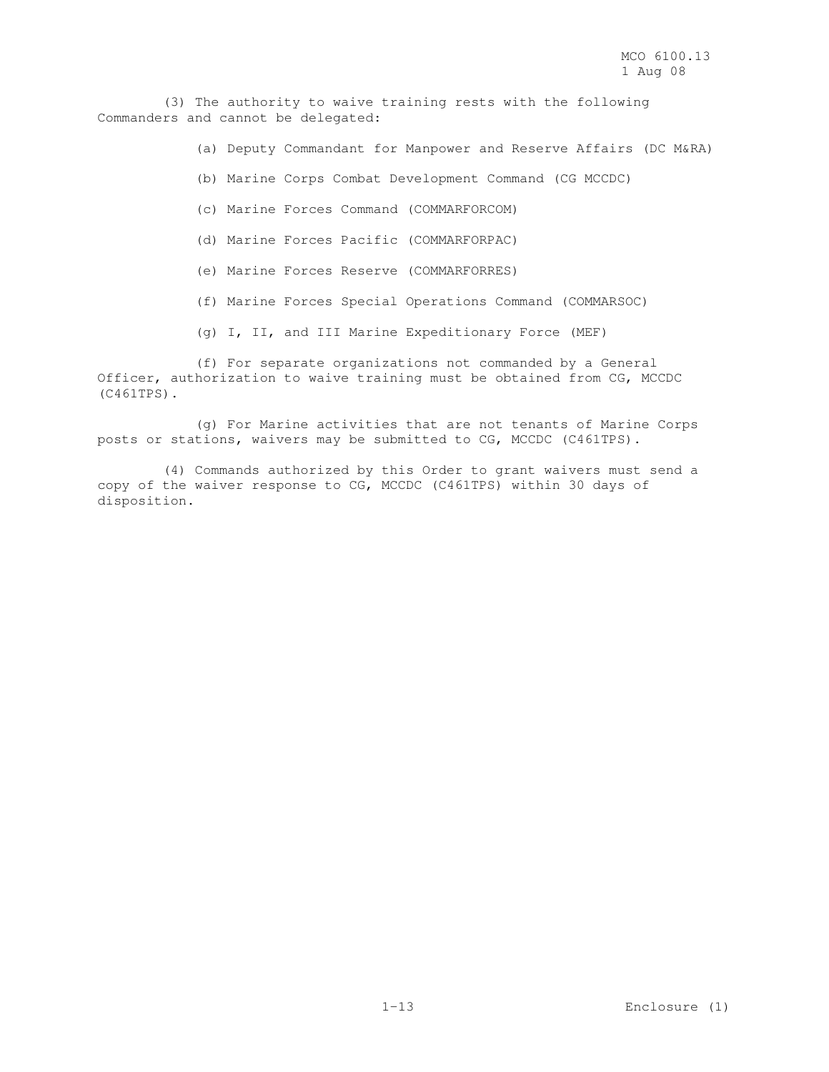(3) The authority to waive training rests with the following Commanders and cannot be delegated:

(a) Deputy Commandant for Manpower and Reserve Affairs (DC M&RA)

- (b) Marine Corps Combat Development Command (CG MCCDC)
- (c) Marine Forces Command (COMMARFORCOM)
- (d) Marine Forces Pacific (COMMARFORPAC)
- (e) Marine Forces Reserve (COMMARFORRES)
- (f) Marine Forces Special Operations Command (COMMARSOC)
- (g) I, II, and III Marine Expeditionary Force (MEF)

 (f) For separate organizations not commanded by a General Officer, authorization to waive training must be obtained from CG, MCCDC (C461TPS).

 (g) For Marine activities that are not tenants of Marine Corps posts or stations, waivers may be submitted to CG, MCCDC (C461TPS).

 (4) Commands authorized by this Order to grant waivers must send a copy of the waiver response to CG, MCCDC (C461TPS) within 30 days of disposition.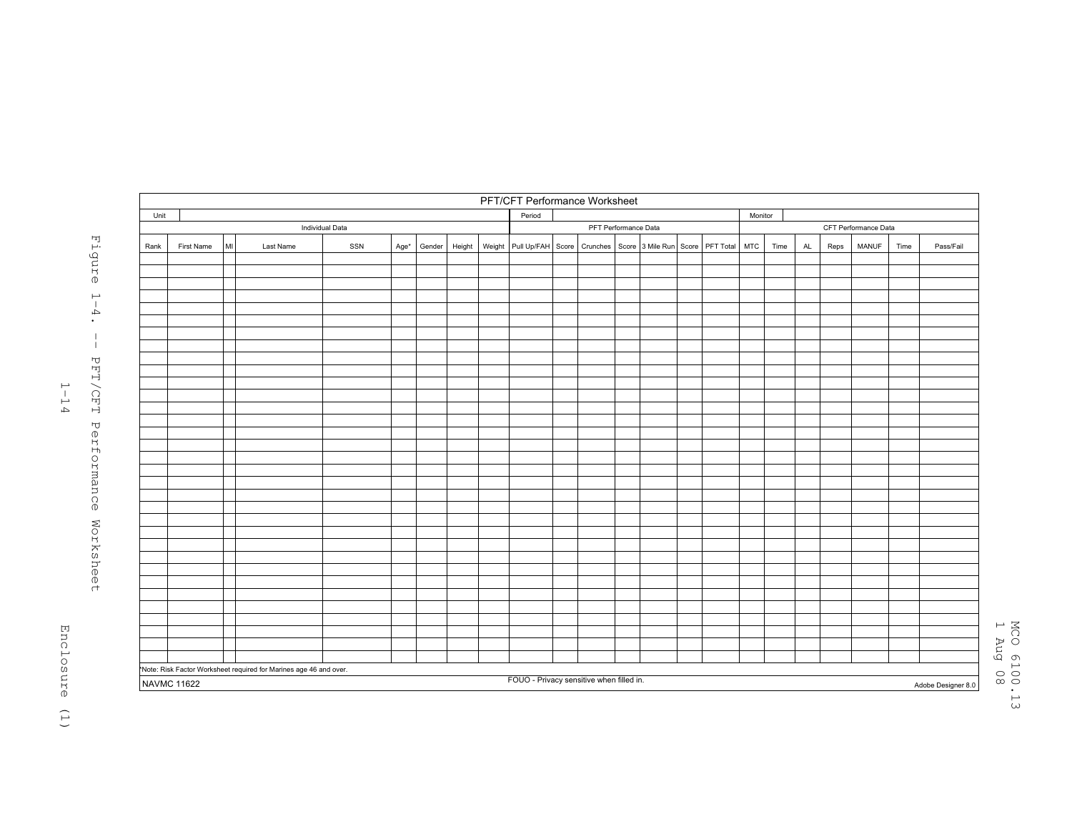|      | PFT/CFT Performance Worksheet |    |                                                                    |     |      |        |        |  |                                                                    |  |  |  |                      |  |            |      |           |      |       |      |                    |
|------|-------------------------------|----|--------------------------------------------------------------------|-----|------|--------|--------|--|--------------------------------------------------------------------|--|--|--|----------------------|--|------------|------|-----------|------|-------|------|--------------------|
| Unit |                               |    |                                                                    |     |      |        |        |  | Period                                                             |  |  |  |                      |  | Monitor    |      |           |      |       |      |                    |
|      |                               |    | Individual Data                                                    |     |      |        |        |  | PFT Performance Data                                               |  |  |  | CFT Performance Data |  |            |      |           |      |       |      |                    |
| Rank | First Name                    | MI | Last Name                                                          | SSN | Age* | Gender | Height |  | Weight Pull Up/FAH Score Crunches Score 3 Mile Run Score PFT Total |  |  |  |                      |  | <b>MTC</b> | Time | <b>AL</b> | Reps | MANUF | Time | Pass/Fail          |
|      |                               |    |                                                                    |     |      |        |        |  |                                                                    |  |  |  |                      |  |            |      |           |      |       |      |                    |
|      |                               |    |                                                                    |     |      |        |        |  |                                                                    |  |  |  |                      |  |            |      |           |      |       |      |                    |
|      |                               |    |                                                                    |     |      |        |        |  |                                                                    |  |  |  |                      |  |            |      |           |      |       |      |                    |
|      |                               |    |                                                                    |     |      |        |        |  |                                                                    |  |  |  |                      |  |            |      |           |      |       |      |                    |
|      |                               |    |                                                                    |     |      |        |        |  |                                                                    |  |  |  |                      |  |            |      |           |      |       |      |                    |
|      |                               |    |                                                                    |     |      |        |        |  |                                                                    |  |  |  |                      |  |            |      |           |      |       |      |                    |
|      |                               |    |                                                                    |     |      |        |        |  |                                                                    |  |  |  |                      |  |            |      |           |      |       |      |                    |
|      |                               |    |                                                                    |     |      |        |        |  |                                                                    |  |  |  |                      |  |            |      |           |      |       |      |                    |
|      |                               |    |                                                                    |     |      |        |        |  |                                                                    |  |  |  |                      |  |            |      |           |      |       |      |                    |
|      |                               |    |                                                                    |     |      |        |        |  |                                                                    |  |  |  |                      |  |            |      |           |      |       |      |                    |
|      |                               |    |                                                                    |     |      |        |        |  |                                                                    |  |  |  |                      |  |            |      |           |      |       |      |                    |
|      |                               |    |                                                                    |     |      |        |        |  |                                                                    |  |  |  |                      |  |            |      |           |      |       |      |                    |
|      |                               |    |                                                                    |     |      |        |        |  |                                                                    |  |  |  |                      |  |            |      |           |      |       |      |                    |
|      |                               |    |                                                                    |     |      |        |        |  |                                                                    |  |  |  |                      |  |            |      |           |      |       |      |                    |
|      |                               |    |                                                                    |     |      |        |        |  |                                                                    |  |  |  |                      |  |            |      |           |      |       |      |                    |
|      |                               |    |                                                                    |     |      |        |        |  |                                                                    |  |  |  |                      |  |            |      |           |      |       |      |                    |
|      |                               |    |                                                                    |     |      |        |        |  |                                                                    |  |  |  |                      |  |            |      |           |      |       |      |                    |
|      |                               |    |                                                                    |     |      |        |        |  |                                                                    |  |  |  |                      |  |            |      |           |      |       |      |                    |
|      |                               |    |                                                                    |     |      |        |        |  |                                                                    |  |  |  |                      |  |            |      |           |      |       |      |                    |
|      |                               |    |                                                                    |     |      |        |        |  |                                                                    |  |  |  |                      |  |            |      |           |      |       |      |                    |
|      |                               |    |                                                                    |     |      |        |        |  |                                                                    |  |  |  |                      |  |            |      |           |      |       |      |                    |
|      |                               |    |                                                                    |     |      |        |        |  |                                                                    |  |  |  |                      |  |            |      |           |      |       |      |                    |
|      |                               |    |                                                                    |     |      |        |        |  |                                                                    |  |  |  |                      |  |            |      |           |      |       |      |                    |
|      |                               |    |                                                                    |     |      |        |        |  |                                                                    |  |  |  |                      |  |            |      |           |      |       |      |                    |
|      |                               |    |                                                                    |     |      |        |        |  |                                                                    |  |  |  |                      |  |            |      |           |      |       |      |                    |
|      |                               |    |                                                                    |     |      |        |        |  |                                                                    |  |  |  |                      |  |            |      |           |      |       |      |                    |
|      |                               |    |                                                                    |     |      |        |        |  |                                                                    |  |  |  |                      |  |            |      |           |      |       |      |                    |
|      |                               |    |                                                                    |     |      |        |        |  |                                                                    |  |  |  |                      |  |            |      |           |      |       |      |                    |
|      |                               |    |                                                                    |     |      |        |        |  |                                                                    |  |  |  |                      |  |            |      |           |      |       |      |                    |
|      |                               |    |                                                                    |     |      |        |        |  |                                                                    |  |  |  |                      |  |            |      |           |      |       |      |                    |
|      |                               |    |                                                                    |     |      |        |        |  |                                                                    |  |  |  |                      |  |            |      |           |      |       |      |                    |
|      |                               |    | *Note: Risk Factor Worksheet required for Marines age 46 and over. |     |      |        |        |  |                                                                    |  |  |  |                      |  |            |      |           |      |       |      |                    |
|      |                               |    |                                                                    |     |      |        |        |  | FOUO - Privacy sensitive when filled in.                           |  |  |  |                      |  |            |      |           |      |       |      |                    |
|      | <b>NAVMC 11622</b>            |    |                                                                    |     |      |        |        |  |                                                                    |  |  |  |                      |  |            |      |           |      |       |      | Adobe Designer 8.0 |



 $1 - 14$ 

MCO 6100.13<br>1 Aug 08 MCO 6100.13 1 Aug 08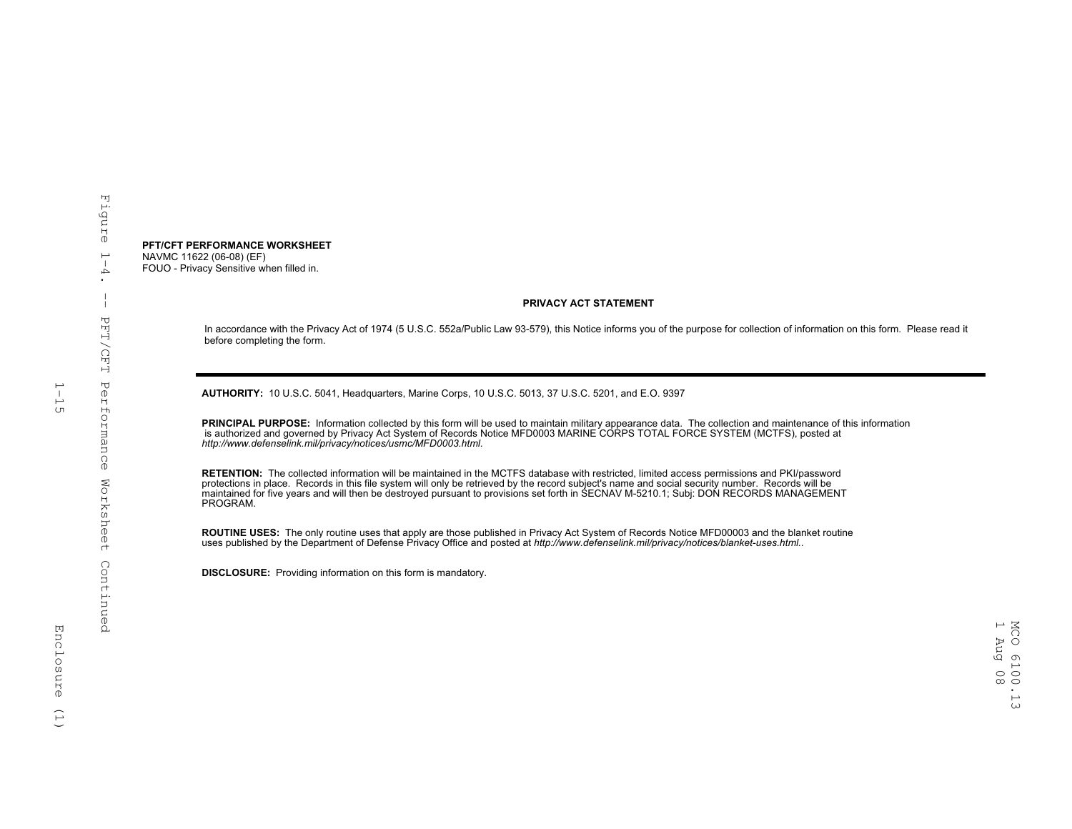#### **PFT/CFT PERFORMANCE WORKSHEET** NAVMC 11622 (06-08) (EF) FOUO - Privacy Sensitive when filled in.

#### **PRIVACY ACT STATEMENT**

In accordance with the Privacy Act of 1974 (5 U.S.C. 552a/Public Law 93-579), this Notice informs you of the purpose for collection of information on this form. Please read it before completing the form.

**AUTHORITY:** 10 U.S.C. 5041, Headquarters, Marine Corps, 10 U.S.C. 5013, 37 U.S.C. 5201, and E.O. 9397

 **PRINCIPAL PURPOSE:** Information collected by this form will be used to maintain military appearance data. The collection and maintenance of this information is authorized and governed by Privacy Act System of Records Notice MFD0003 MARINE CORPS TOTAL FORCE SYSTEM (MCTFS), posted at<br>http://www.defenselink.mil/privacy/notices/usmc/MFD0003.html.

 **RETENTION:** The collected information will be maintained in the MCTFS database with restricted, limited access permissions and PKI/password protections in place. Records in this file system will only be retrieved by the record subject's name and social security number. Records will be<br>maintained for five years and will then be destroyed pursuant to provision PROGRAM.

ROUTINE USES: The only routine uses that apply are those published in Privacy Act System of Records Notice MFD00003 and the blanket routine<br>uses published by the Department of Defense Privacy Office and posted at *http://w* 

 **DISCLOSURE:** Providing information on this form is mandatory.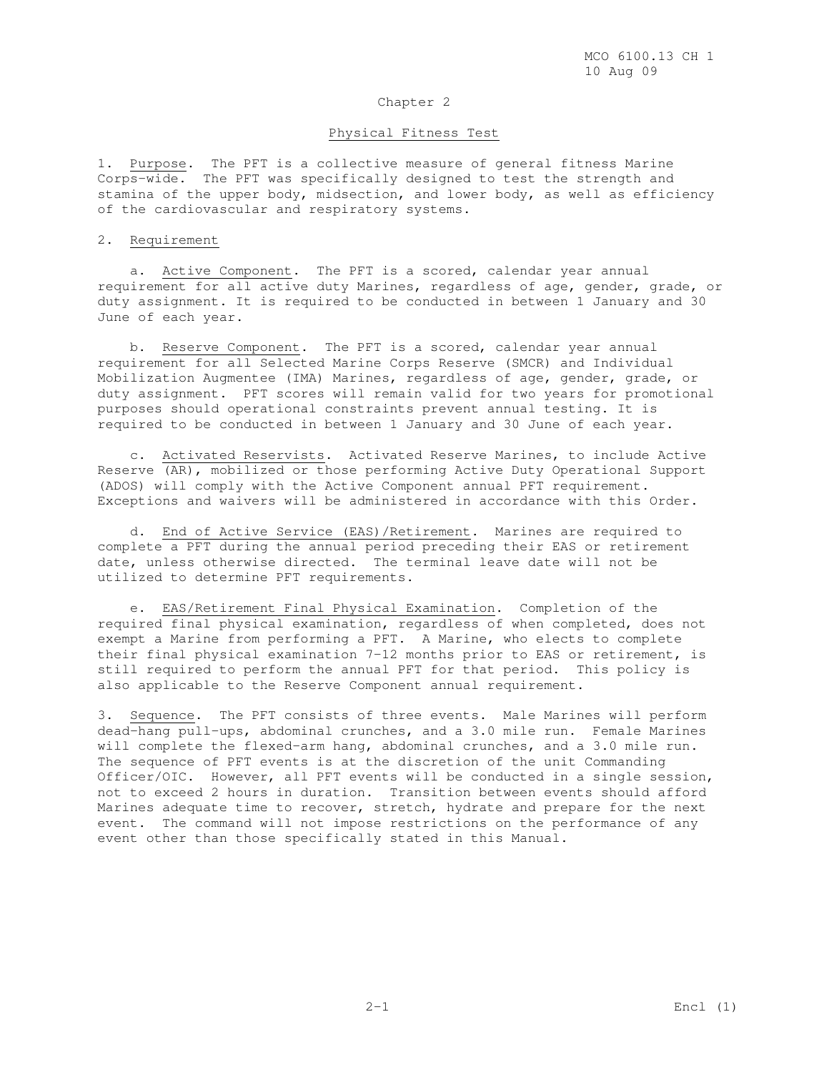### Chapter 2

### Physical Fitness Test

1. Purpose. The PFT is a collective measure of general fitness Marine Corps-wide. The PFT was specifically designed to test the strength and stamina of the upper body, midsection, and lower body, as well as efficiency of the cardiovascular and respiratory systems.

#### 2. Requirement

 a. Active Component. The PFT is a scored, calendar year annual requirement for all active duty Marines, regardless of age, gender, grade, or duty assignment. It is required to be conducted in between 1 January and 30 June of each year.

 b. Reserve Component. The PFT is a scored, calendar year annual requirement for all Selected Marine Corps Reserve (SMCR) and Individual Mobilization Augmentee (IMA) Marines, regardless of age, gender, grade, or duty assignment. PFT scores will remain valid for two years for promotional purposes should operational constraints prevent annual testing. It is required to be conducted in between 1 January and 30 June of each year.

 c. Activated Reservists. Activated Reserve Marines, to include Active Reserve (AR), mobilized or those performing Active Duty Operational Support (ADOS) will comply with the Active Component annual PFT requirement. Exceptions and waivers will be administered in accordance with this Order.

 d. End of Active Service (EAS)/Retirement. Marines are required to complete a PFT during the annual period preceding their EAS or retirement date, unless otherwise directed. The terminal leave date will not be utilized to determine PFT requirements.

 e. EAS/Retirement Final Physical Examination. Completion of the required final physical examination, regardless of when completed, does not exempt a Marine from performing a PFT. A Marine, who elects to complete their final physical examination 7-12 months prior to EAS or retirement, is still required to perform the annual PFT for that period. This policy is also applicable to the Reserve Component annual requirement.

3. Sequence. The PFT consists of three events. Male Marines will perform dead-hang pull-ups, abdominal crunches, and a 3.0 mile run. Female Marines will complete the flexed-arm hang, abdominal crunches, and a 3.0 mile run. The sequence of PFT events is at the discretion of the unit Commanding Officer/OIC. However, all PFT events will be conducted in a single session, not to exceed 2 hours in duration. Transition between events should afford Marines adequate time to recover, stretch, hydrate and prepare for the next event. The command will not impose restrictions on the performance of any event other than those specifically stated in this Manual.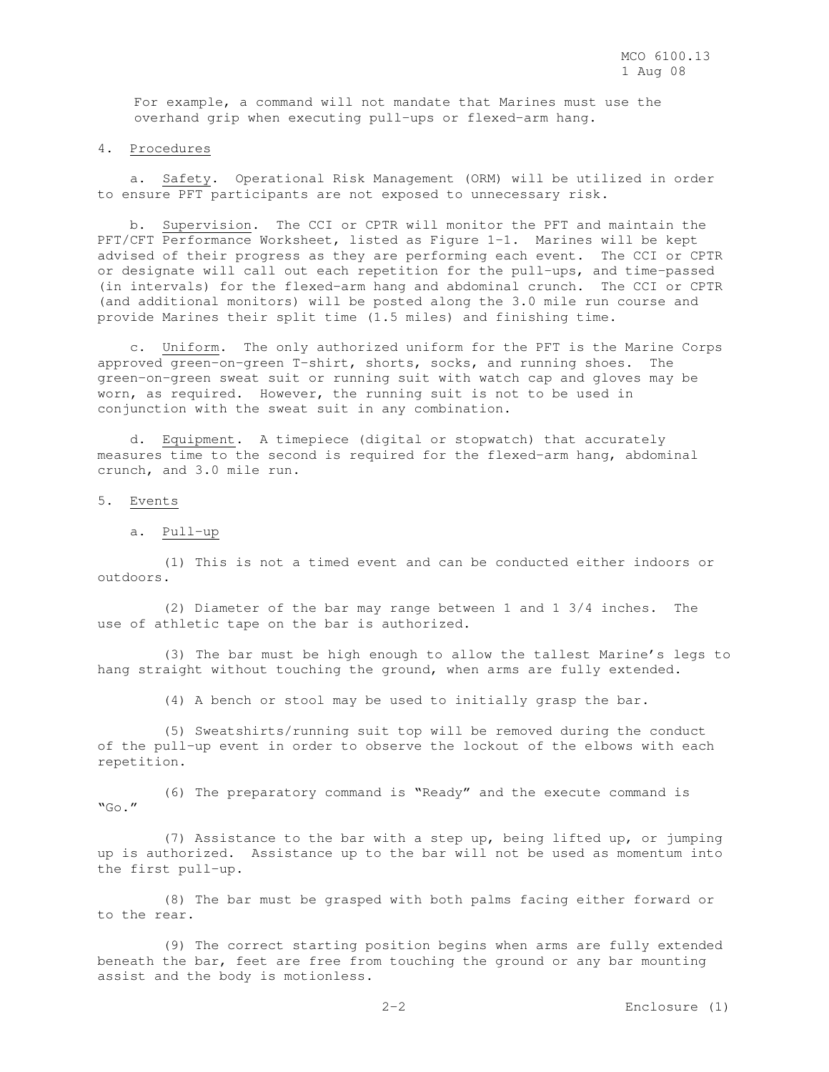For example, a command will not mandate that Marines must use the overhand grip when executing pull-ups or flexed-arm hang.

4. Procedures

 a. Safety. Operational Risk Management (ORM) will be utilized in order to ensure PFT participants are not exposed to unnecessary risk.

 b. Supervision. The CCI or CPTR will monitor the PFT and maintain the PFT/CFT Performance Worksheet, listed as Figure 1-1. Marines will be kept advised of their progress as they are performing each event. The CCI or CPTR or designate will call out each repetition for the pull-ups, and time-passed (in intervals) for the flexed-arm hang and abdominal crunch. The CCI or CPTR (and additional monitors) will be posted along the 3.0 mile run course and provide Marines their split time (1.5 miles) and finishing time.

 c. Uniform. The only authorized uniform for the PFT is the Marine Corps approved green-on-green T-shirt, shorts, socks, and running shoes. The green-on-green sweat suit or running suit with watch cap and gloves may be worn, as required. However, the running suit is not to be used in conjunction with the sweat suit in any combination.

 d. Equipment. A timepiece (digital or stopwatch) that accurately measures time to the second is required for the flexed-arm hang, abdominal crunch, and 3.0 mile run.

5. Events

a. Pull-up

 (1) This is not a timed event and can be conducted either indoors or outdoors.

 (2) Diameter of the bar may range between 1 and 1 3/4 inches. The use of athletic tape on the bar is authorized.

 (3) The bar must be high enough to allow the tallest Marine's legs to hang straight without touching the ground, when arms are fully extended.

(4) A bench or stool may be used to initially grasp the bar.

 (5) Sweatshirts/running suit top will be removed during the conduct of the pull-up event in order to observe the lockout of the elbows with each repetition.

 (6) The preparatory command is "Ready" and the execute command is  $"GO."$ 

 (7) Assistance to the bar with a step up, being lifted up, or jumping up is authorized. Assistance up to the bar will not be used as momentum into the first pull-up.

 (8) The bar must be grasped with both palms facing either forward or to the rear.

 (9) The correct starting position begins when arms are fully extended beneath the bar, feet are free from touching the ground or any bar mounting assist and the body is motionless.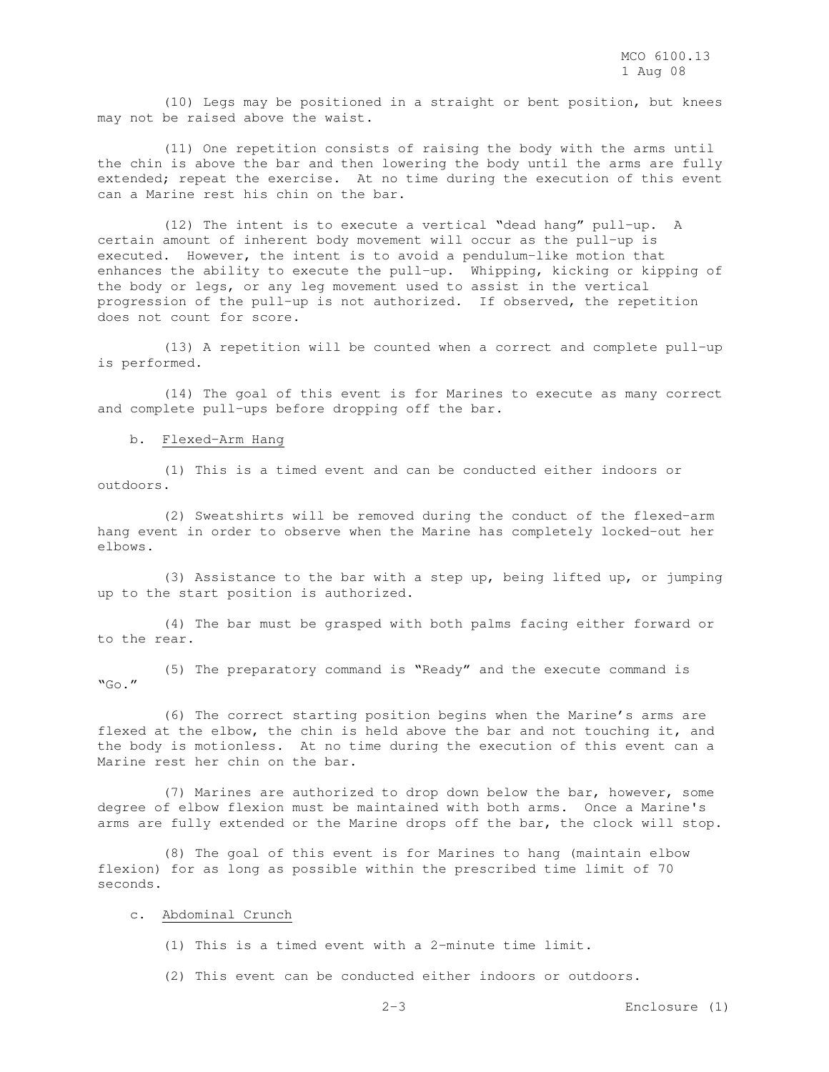(10) Legs may be positioned in a straight or bent position, but knees may not be raised above the waist.

 (11) One repetition consists of raising the body with the arms until the chin is above the bar and then lowering the body until the arms are fully extended; repeat the exercise. At no time during the execution of this event can a Marine rest his chin on the bar.

 (12) The intent is to execute a vertical "dead hang" pull-up. A certain amount of inherent body movement will occur as the pull-up is executed. However, the intent is to avoid a pendulum-like motion that enhances the ability to execute the pull-up. Whipping, kicking or kipping of the body or legs, or any leg movement used to assist in the vertical progression of the pull-up is not authorized. If observed, the repetition does not count for score.

 (13) A repetition will be counted when a correct and complete pull-up is performed.

 (14) The goal of this event is for Marines to execute as many correct and complete pull-ups before dropping off the bar.

b. Flexed-Arm Hang

 (1) This is a timed event and can be conducted either indoors or outdoors.

 (2) Sweatshirts will be removed during the conduct of the flexed-arm hang event in order to observe when the Marine has completely locked-out her elbows.

 (3) Assistance to the bar with a step up, being lifted up, or jumping up to the start position is authorized.

 (4) The bar must be grasped with both palms facing either forward or to the rear.

 (5) The preparatory command is "Ready" and the execute command is "Go."

 (6) The correct starting position begins when the Marine's arms are flexed at the elbow, the chin is held above the bar and not touching it, and the body is motionless. At no time during the execution of this event can a Marine rest her chin on the bar.

 (7) Marines are authorized to drop down below the bar, however, some degree of elbow flexion must be maintained with both arms. Once a Marine's arms are fully extended or the Marine drops off the bar, the clock will stop.

 (8) The goal of this event is for Marines to hang (maintain elbow flexion) for as long as possible within the prescribed time limit of 70 seconds.

#### c. Abdominal Crunch

(1) This is a timed event with a 2-minute time limit.

(2) This event can be conducted either indoors or outdoors.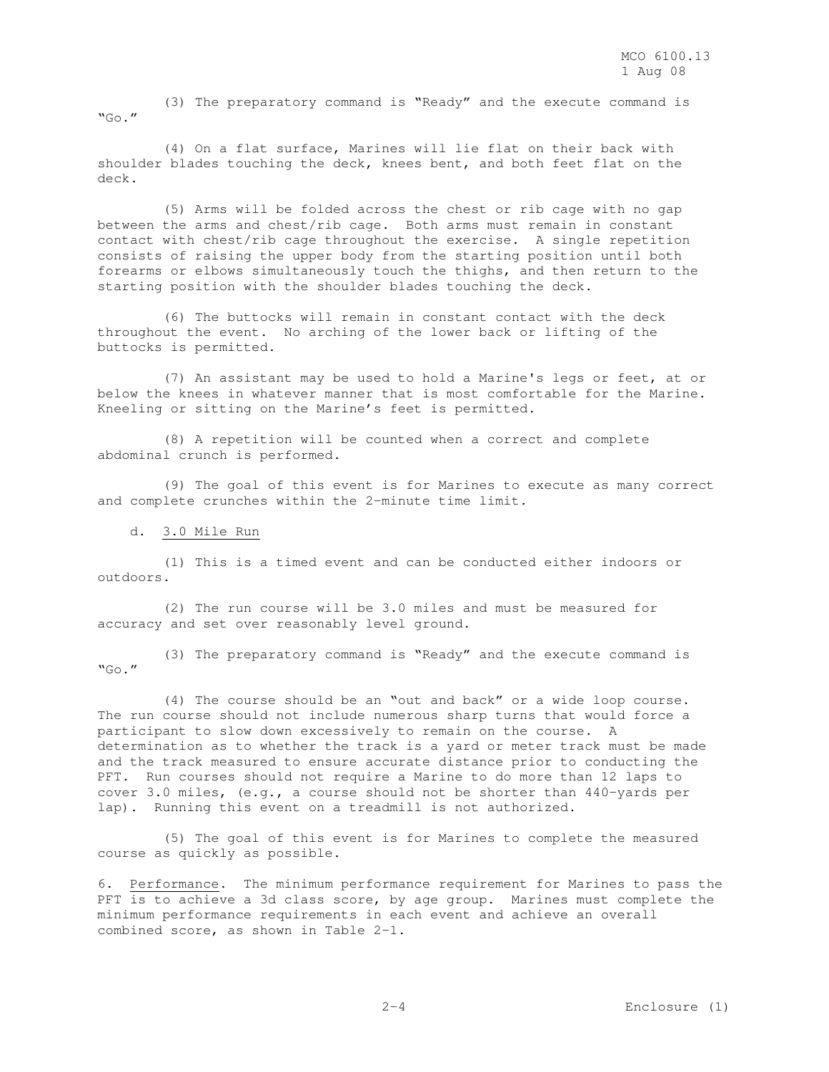(3) The preparatory command is "Ready" and the execute command is  $"GO."$ 

 (4) On a flat surface, Marines will lie flat on their back with shoulder blades touching the deck, knees bent, and both feet flat on the deck.

 (5) Arms will be folded across the chest or rib cage with no gap between the arms and chest/rib cage. Both arms must remain in constant contact with chest/rib cage throughout the exercise. A single repetition consists of raising the upper body from the starting position until both forearms or elbows simultaneously touch the thighs, and then return to the starting position with the shoulder blades touching the deck.

 (6) The buttocks will remain in constant contact with the deck throughout the event. No arching of the lower back or lifting of the buttocks is permitted.

 (7) An assistant may be used to hold a Marine's legs or feet, at or below the knees in whatever manner that is most comfortable for the Marine. Kneeling or sitting on the Marine's feet is permitted.

 (8) A repetition will be counted when a correct and complete abdominal crunch is performed.

 (9) The goal of this event is for Marines to execute as many correct and complete crunches within the 2-minute time limit.

d. 3.0 Mile Run

 (1) This is a timed event and can be conducted either indoors or outdoors.

 (2) The run course will be 3.0 miles and must be measured for accuracy and set over reasonably level ground.

 (3) The preparatory command is "Ready" and the execute command is "Go."

 (4) The course should be an "out and back" or a wide loop course. The run course should not include numerous sharp turns that would force a participant to slow down excessively to remain on the course. A determination as to whether the track is a yard or meter track must be made and the track measured to ensure accurate distance prior to conducting the PFT. Run courses should not require a Marine to do more than 12 laps to cover 3.0 miles, (e.g., a course should not be shorter than 440-yards per lap). Running this event on a treadmill is not authorized.

 (5) The goal of this event is for Marines to complete the measured course as quickly as possible.

6. Performance. The minimum performance requirement for Marines to pass the PFT is to achieve a 3d class score, by age group. Marines must complete the minimum performance requirements in each event and achieve an overall combined score, as shown in Table 2-1.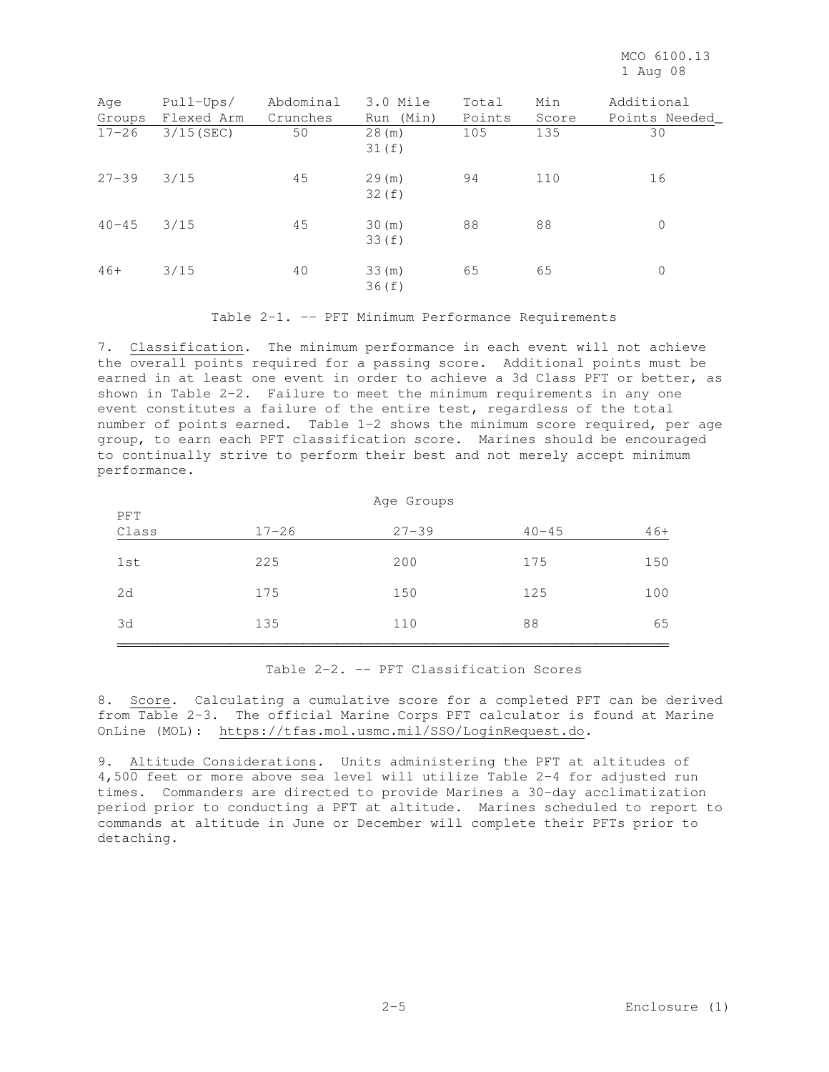| Age<br>Groups | $Pull-Ups/$<br>Flexed Arm | Abdominal<br>Crunches | 3.0 Mile<br>Run (Min) | Total<br>Points | Min<br>Score | Additional<br>Points Needed |
|---------------|---------------------------|-----------------------|-----------------------|-----------------|--------------|-----------------------------|
| $17 - 26$     | $3/15$ (SEC)              | 50                    | 28(m)<br>31(f)        | 105             | 135          | 30                          |
| $27 - 39$     | 3/15                      | 45                    | 29(m)<br>32(f)        | 94              | 110          | 16                          |
| $40 - 45$     | 3/15                      | 45                    | 30(m)<br>33(f)        | 88              | 88           | 0                           |
| $46+$         | 3/15                      | 40                    | 33(m)<br>36(f)        | 65              | 65           | 0                           |

Table 2-1. -- PFT Minimum Performance Requirements

7. Classification. The minimum performance in each event will not achieve the overall points required for a passing score. Additional points must be earned in at least one event in order to achieve a 3d Class PFT or better, as shown in Table 2-2. Failure to meet the minimum requirements in any one event constitutes a failure of the entire test, regardless of the total number of points earned. Table 1-2 shows the minimum score required, per age group, to earn each PFT classification score. Marines should be encouraged to continually strive to perform their best and not merely accept minimum performance.

|              | Age Groups |           |           |       |  |  |  |  |
|--------------|------------|-----------|-----------|-------|--|--|--|--|
| PFT<br>Class | $17 - 26$  | $27 - 39$ | $40 - 45$ | $46+$ |  |  |  |  |
| 1st          | 225        | 200       | 175       | 150   |  |  |  |  |
| 2d           | 175        | 150       | 125       | 100   |  |  |  |  |
| 3d           | 135        | 110       | 88        | 65    |  |  |  |  |

### Table 2-2. -- PFT Classification Scores

8. Score. Calculating a cumulative score for a completed PFT can be derived from Table 2-3. The official Marine Corps PFT calculator is found at Marine OnLine (MOL): https://tfas.mol.usmc.mil/SSO/LoginRequest.do.

9. Altitude Considerations. Units administering the PFT at altitudes of 4,500 feet or more above sea level will utilize Table 2-4 for adjusted run times. Commanders are directed to provide Marines a 30-day acclimatization period prior to conducting a PFT at altitude. Marines scheduled to report to commands at altitude in June or December will complete their PFTs prior to detaching.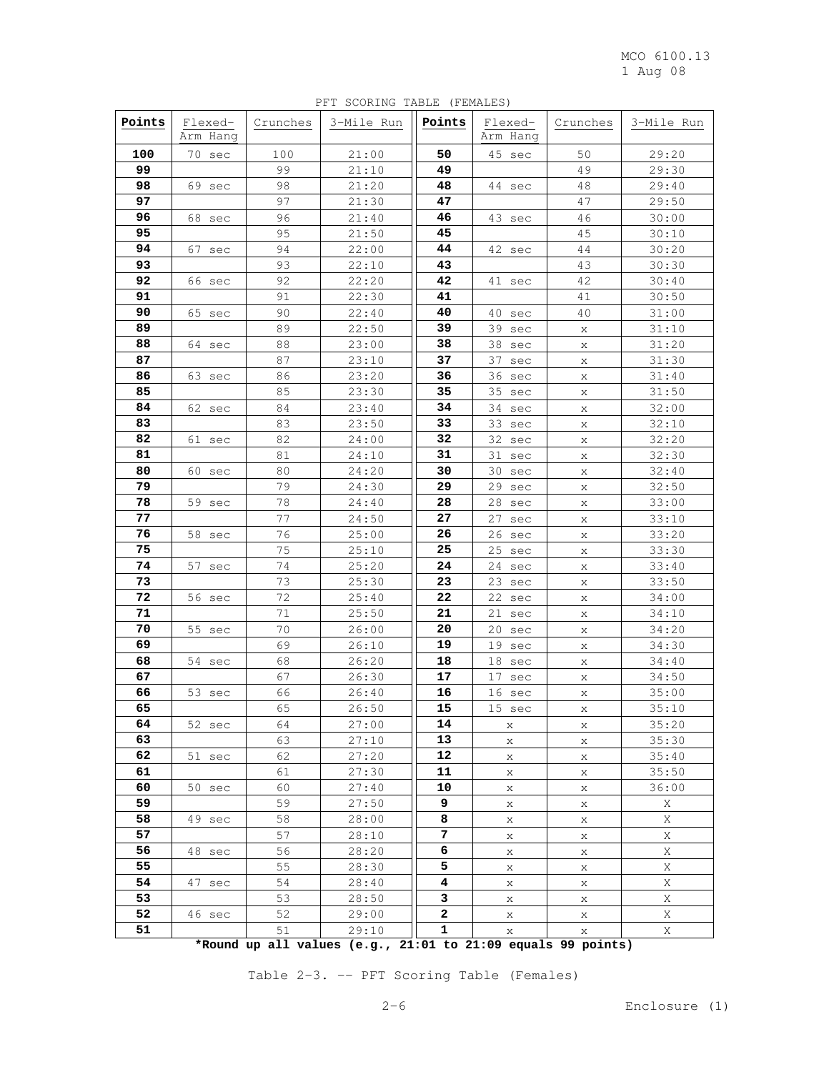|          |                     |          | PFT SCORING TABLE (FEMALES) |              |                                             |          |                |
|----------|---------------------|----------|-----------------------------|--------------|---------------------------------------------|----------|----------------|
| Points   | Flexed-<br>Arm Hang | Crunches | 3-Mile Run                  | Points       | Flexed-<br>Arm Hang                         | Crunches | 3-Mile Run     |
| 100      | 70 sec              | 100      | 21:00                       | 50           | 45 sec                                      | 50       | 29:20          |
| 99       |                     | 99       | 21:10                       | 49           |                                             | 49       | 29:30          |
| 98       | 69 sec              | 98       | 21:20                       | 48           | 44 sec                                      | 48       | 29:40          |
| 97       |                     | 97       | 21:30                       | 47           |                                             | 47       | 29:50          |
| 96       |                     | 96       | 21:40                       | 46           |                                             | 46       | 30:00          |
| 95       | 68 sec              | 95       | 21:50                       | 45           | 43 sec                                      | 45       | 30:10          |
| 94       | 67 sec              | 94       | 22:00                       | 44           | 42 sec                                      | 44       | 30:20          |
| 93       |                     | 93       | 22:10                       | 43           |                                             | 43       | 30:30          |
| 92       | 66 sec              | 92       |                             | 42           | 41 sec                                      | 42       | 30:40          |
| 91       |                     |          | 22:20                       | 41           |                                             |          |                |
| 90       |                     | 91<br>90 | 22:30                       | 40           |                                             | 41<br>40 | 30:50          |
| 89       | 65 sec              | 89       | 22:40                       | 39           | 40 sec                                      |          | 31:00          |
|          |                     |          | 22:50                       |              | 39 sec                                      | X        | 31:10          |
| 88       | 64 sec              | 88       | 23:00                       | 38           | 38 sec                                      | X        | 31:20          |
| 87       |                     | 87       | 23:10                       | 37           | 37 sec                                      | X        | 31:30          |
| 86<br>85 | 63 sec              | 86<br>85 | 23:20                       | 36<br>35     | 36 sec                                      | X        | 31:40          |
|          |                     |          | 23:30                       |              | 35 sec                                      | X        | 31:50          |
| 84       | 62 sec              | 84<br>83 | 23:40<br>23:50              | 34           | 34 sec                                      | X        | 32:00          |
| 83       |                     | 82       |                             | 33<br>32     | 33 sec                                      | X        | 32:10          |
| 82       | 61 sec              |          | 24:00<br>24:10              |              | 32 sec                                      | X        | 32:20          |
| 81<br>80 |                     | 81<br>80 | 24:20                       | 31<br>30     | 31 sec                                      | X        | 32:30<br>32:40 |
| 79       | 60 sec              | 79       | 24:30                       | 29           | 30 sec<br>29 sec                            | X        |                |
| 78       | 59 sec              | 78       | 24:40                       | 28           | 28 sec                                      | X        | 32:50<br>33:00 |
| 77       |                     | 77       | 24:50                       | 27           | 27 sec                                      | X        | 33:10          |
| 76       | 58 sec              | 76       | 25:00                       | 26           | 26 sec                                      | X        | 33:20          |
| 75       |                     | 75       | 25:10                       | 25           | 25 sec                                      | X        | 33:30          |
| 74       | 57 sec              | 74       | 25:20                       | 24           | 24 sec                                      | X        | 33:40          |
| 73       |                     | 73       | 25:30                       | 23           | 23 sec                                      | X<br>X   | 33:50          |
| 72       | 56 sec              | 72       | 25:40                       | 22           | 22 sec                                      | X        | 34:00          |
| 71       |                     | 71       | 25:50                       | 21           | 21 sec                                      | Χ        | 34:10          |
| 70       | 55 sec              | 70       | 26:00                       | 20           | 20 sec                                      | X        | 34:20          |
| 69       |                     | 69       | 26:10                       | 19           | 19 sec                                      | X        | 34:30          |
| 68       | 54 sec              | 68       | 26:20                       | 18           | 18 sec                                      | Х        | 34:40          |
| 67       |                     | 67       | 26:30                       | 17           | 17 sec                                      | X        | 34:50          |
| 66       | 53 sec              | 66       | 26:40                       | 16           | 16 sec                                      | X        | 35:00          |
| 65       |                     | 65       | 26:50                       | 15           | 15 sec                                      | x        | 35:10          |
| 64       | 52 sec              | 64       | 27:00                       | 14           | X                                           | X        | 35:20          |
| 63       |                     | 63       | 27:10                       | 13           | X                                           | X        | 35:30          |
| 62       | 51 sec              | 62       | 27:20                       | 12           | X                                           | X        | 35:40          |
| 61       |                     | 61       | 27:30                       | 11           | X                                           | X        | 35:50          |
| 60       | 50 sec              | 60       | 27:40                       | 10           | X                                           | X        | 36:00          |
| 59       |                     | 59       | 27:50                       | 9            | X                                           | X        | X              |
| 58       | 49 sec              | 58       | 28:00                       | 8            | X                                           | X        | Χ              |
| 57       |                     | 57       | 28:10                       | 7            | X                                           | X        | X              |
| 56       | 48 sec              | 56       | 28:20                       | 6            | X                                           | X        | X              |
| 55       |                     | 55       | 28:30                       | 5            | X                                           | X        | Χ              |
| 54       | 47 sec              | 54       | 28:40                       | 4            | X                                           | X        | Χ              |
| 53       |                     | 53       | 28:50                       | 3            | X                                           | X        | Χ              |
| 52       | 46 sec              | 52       | 29:00                       | 2            | X                                           | X        | Χ              |
| 51       |                     | 51       | 29:10                       | 1            | X                                           | X        | X              |
|          | $+$ nound $-$       |          | $-11 - 11$                  | $21.01 - 4.$ | $21.00 \cdot 24.00 \cdot 24.00 \cdot 24.00$ |          |                |

PFT SCORING TABLE (FEMALES)

**\*Round up all values (e.g., 21:01 to 21:09 equals 99 points)** 

Table 2-3. -- PFT Scoring Table (Females)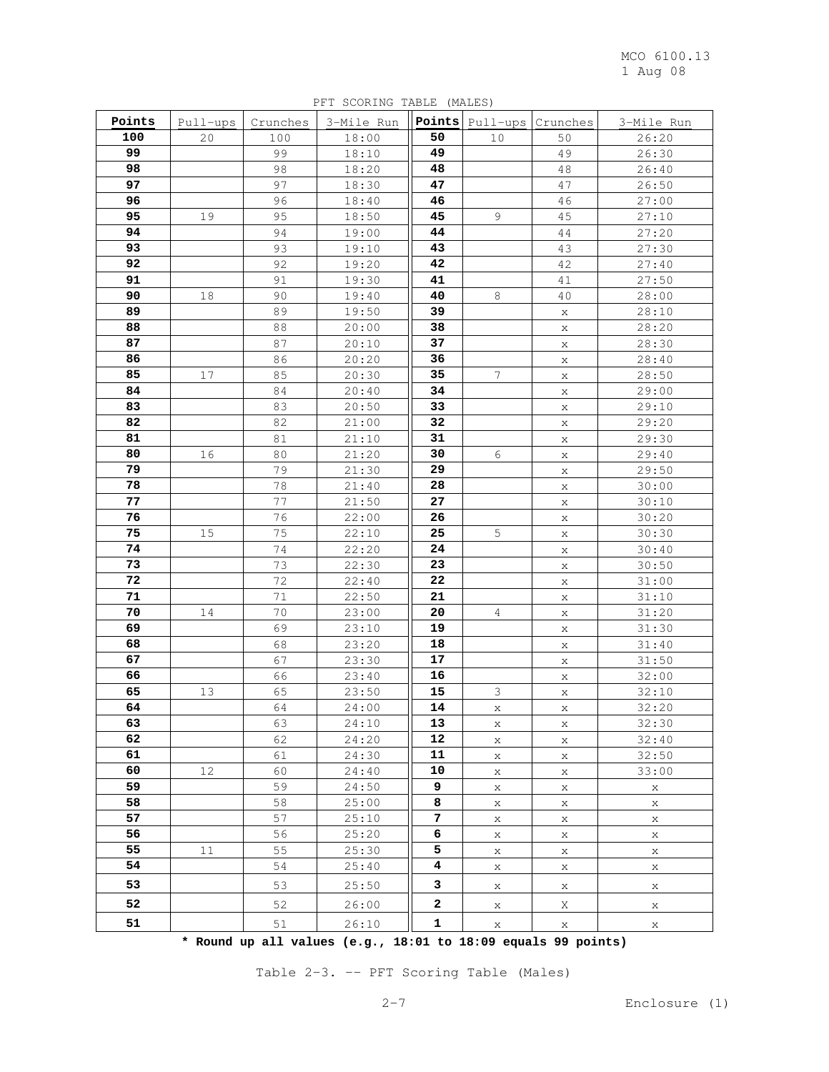MCO 6100.13 1 Aug 08

| Points   | Pull-ups | Crunches | 3-Mile Run     |          | Points Pull-ups | Crunches    | 3-Mile Run     |
|----------|----------|----------|----------------|----------|-----------------|-------------|----------------|
| 100      | 20       | 100      | 18:00          | 50       | 10              | 50          | 26:20          |
| 99       |          | 99       | 18:10          | 49       |                 | 49          | 26:30          |
| 98       |          | 98       | 18:20          | 48       |                 | 48          | 26:40          |
| 97       |          | 97       | 18:30          | 47       |                 | 47          | 26:50          |
| 96       |          | 96       | 18:40          | 46       |                 | 46          | 27:00          |
| 95       | 19       | 95       | 18:50          | 45       | 9               | 45          | 27:10          |
| 94       |          | 94       | 19:00          | 44       |                 | 44          | 27:20          |
| 93       |          | 93       | 19:10          | 43       |                 | 43          | 27:30          |
| 92       |          | 92       | 19:20          | 42       |                 | 42          | 27:40          |
| 91       |          | 91       | 19:30          | 41       |                 | 41          | 27:50          |
| 90       | 18       | 90       | 19:40          | 40       | 8               | 40          | 28:00          |
| 89       |          | 89       | 19:50          | 39       |                 | X           | 28:10          |
| 88       |          | 88       | 20:00          | 38       |                 | Χ           | 28:20          |
| 87       |          | 87       | 20:10          | 37       |                 | Χ           | 28:30          |
| 86       |          | 86       | 20:20          | 36       |                 | X           | 28:40          |
| 85       | 17       | 85       | 20:30          | 35       | $\overline{7}$  | X           | 28:50          |
| 84       |          | 84       | 20:40          | 34       |                 | Χ           | 29:00          |
| 83       |          | 83       | 20:50          | 33       |                 | X           | 29:10          |
| 82       |          | 82       | 21:00          | 32       |                 | X           | 29:20          |
| 81       |          | 81       | 21:10          | 31       |                 | X           | 29:30          |
| 80       | 16       | 80       | 21:20          | 30       | $\epsilon$      | X           | 29:40          |
| 79       |          | 79       | 21:30          | 29       |                 | Χ           | 29:50          |
| 78       |          | 78       | 21:40          | 28       |                 | Χ           | 30:00          |
| 77       |          | 77       | 21:50          | 27       |                 | Χ           | 30:10          |
| 76       |          | 76       | 22:00          | 26       |                 | Χ           | 30:20          |
| 75       | 15       | 75       | 22:10          | 25       | 5               | Χ           | 30:30          |
| 74       |          | 74       | 22:20          | 24       |                 | X           | 30:40          |
| 73       |          | 73       | 22:30          | 23       |                 | Χ           | 30:50          |
| 72       |          | 72       | 22:40          | 22       |                 | Χ           | 31:00          |
| 71       |          | 71       | 22:50          | 21       |                 | Χ           | 31:10          |
| 70       | 14       | 70       | 23:00          | 20       | 4               | Χ           | 31:20          |
| 69<br>68 |          | 69       | 23:10          | 19<br>18 |                 | Χ           | 31:30          |
| 67       |          | 68<br>67 | 23:20          | 17       |                 | Χ           | 31:40          |
| 66       |          |          | 23:30          | 16       |                 | X           | 31:50          |
| 65       | 13       | 66<br>65 | 23:40<br>23:50 | 15       | 3               | X           | 32:00<br>32:10 |
| 64       |          | 64       | 24:00          | 14       | X               | X<br>Χ      | 32:20          |
| 63       |          | 63       | 24:10          | 13       | X               | Χ           | 32:30          |
| 62       |          | 62       | 24:20          | 12       | X               | X           | 32:40          |
| 61       |          | 61       | 24:30          | 11       | X               | X           | 32:50          |
| 60       | 12       | 60       | 24:40          | 10       | X               | X           | 33:00          |
| 59       |          | 59       | 24:50          | 9        | Χ               | Χ           | Χ              |
| 58       |          | 58       | 25:00          | 8        | X               | $\mathbf X$ | $\mathbf x$    |
| 57       |          | 57       | 25:10          | 7        | Χ               | Χ           | X              |
| 56       |          | 56       | 25:20          | 6        | Χ               | X           | Χ              |
| 55       | 11       | 55       | 25:30          | 5        | Χ               | X           | X              |
| 54       |          | 54       | 25:40          | 4        | X               | X           | X              |
| 53       |          | 53       | 25:50          | 3        | X               | X           | Χ              |
| 52       |          | 52       | 26:00          | 2        | X               | Χ           | X              |
| 51       |          | 51       | 26:10          | 1        | X               | Χ           | X              |

PFT SCORING TABLE (MALES)

**\* Round up all values (e.g., 18:01 to 18:09 equals 99 points)**

Table 2-3. -- PFT Scoring Table (Males)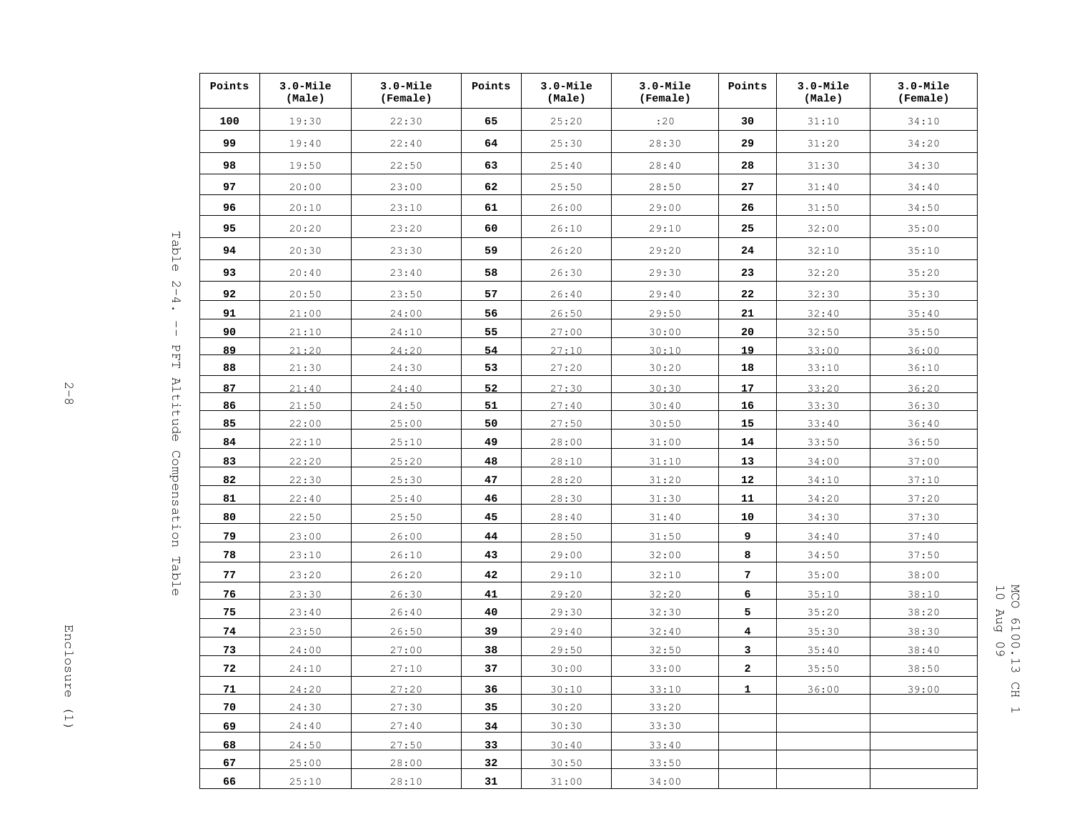| Points | $3.0$ -Mile<br>(Male) | $3.0$ -Mile<br>(Female) | Points    | $3.0 -$ Mile<br>(Male) | 3.0-Mile<br>(Female) | Points       | $3.0$ -Mile<br>(Male) | $3.0$ -Mile<br>(Female) |
|--------|-----------------------|-------------------------|-----------|------------------------|----------------------|--------------|-----------------------|-------------------------|
| 100    | 19:30                 | 22:30                   | 65        | 25:20                  | :20                  | 30           | 31:10                 | 34:10                   |
| 99     | 19:40                 | 22:40                   | 64        | 25:30                  | 28:30                | 29           | 31:20                 | 34:20                   |
| 98     | 19:50                 | 22:50                   | 63        | 25:40                  | 28:40                | 28           | 31:30                 | 34:30                   |
| 97     | 20:00                 | 23:00                   | 62        | 25:50                  | 28:50                | 27           | 31:40                 | 34:40                   |
| 96     | 20:10                 | 23:10                   | 61        | 26:00                  | 29:00                | 26           | 31:50                 | 34:50                   |
| 95     | 20:20                 | 23:20                   | 60        | 26:10                  | 29:10                | 25           | 32:00                 | 35:00                   |
| 94     | 20:30                 | 23:30                   | 59        | 26:20                  | 29:20                | 24           | 32:10                 | 35:10                   |
| 93     | 20:40                 | 23:40                   | 58        | 26:30                  | 29:30                | 23           | 32:20                 | 35:20                   |
| 92     | 20:50                 | 23:50                   | 57        | 26:40                  | 29:40                | 22           | 32:30                 | 35:30                   |
| 91     | 21:00                 | 24:00                   | 56        | 26:50                  | 29:50                | 21           | 32:40                 | 35:40                   |
| 90     | 21:10                 | 24:10                   | 55        | 27:00                  | 30:00                | 20           | 32:50                 | 35:50                   |
| 89     | 21:20                 | 24:20                   | 54        | 27:10                  | 30:10                | 19           | 33:00                 | 36:00                   |
| 88     | 21:30                 | 24:30                   | 53        | 27:20                  | 30:20                | 18           | 33:10                 | 36:10                   |
| 87     | 21:40                 | 24:40                   | 52        | 27:30                  | 30:30                | 17           | 33:20                 | 36:20                   |
| 86     | 21:50                 | 24:50                   | <u>51</u> | 27:40                  | 30:40                | 16           | 33:30                 | 36:30                   |
| 85     | 22:00                 | 25:00                   | 50        | 27:50                  | 30:50                | 15           | 33:40                 | 36:40                   |
| 84     | 22:10                 | 25:10                   | 49        | 28:00                  | 31:00                | 14           | 33:50                 | 36:50                   |
| 83     | 22:20                 | 25:20                   | 48        | 28:10                  | 31:10                | 13           | 34:00                 | 37:00                   |
| 82     | 22:30                 | 25:30                   | 47        | 28:20                  | 31:20                | 12           | 34:10                 | 37:10                   |
| 81     | 22:40                 | 25:40                   | 46        | 28:30                  | 31:30                | 11           | 34:20                 | 37:20                   |
| 80     | 22:50                 | 25:50                   | 45        | 28:40                  | 31:40                | 10           | 34:30                 | 37:30                   |
| 79     | 23:00                 | 26:00                   | 44        | 28:50                  | 31:50                | 9            | 34:40                 | 37:40                   |
| 78     | 23:10                 | 26:10                   | 43        | 29:00                  | 32:00                | 8            | 34:50                 | 37:50                   |
| 77     | 23:20                 | 26:20                   | 42        | 29:10                  | 32:10                | 7            | 35:00                 | 38:00                   |
| 76     | 23:30                 | 26:30                   | 41        | 29:20                  | 32:20                | 6            | 35:10                 | 38:10                   |
| 75     | 23:40                 | 26:40                   | 40        | 29:30                  | 32:30                | 5            | 35:20                 | 38:20                   |
| 74     | 23:50                 | 26:50                   | 39        | 29:40                  | 32:40                | 4            | 35:30                 | 38:30                   |
| 73     | 24:00                 | 27:00                   | 38        | 29:50                  | 32:50                | 3            | 35:40                 | 38:40                   |
| 72     | 24:10                 | 27:10                   | 37        | 30:00                  | 33:00                | $\mathbf{2}$ | 35:50                 | 38:50                   |
| 71     | 24:20                 | 27:20                   | 36        | 30:10                  | 33:10                | $\mathbf{1}$ | 36:00                 | 39:00                   |
| 70     | 24:30                 | 27:30                   | 35        | 30:20                  | 33:20                |              |                       |                         |
| 69     | 24:40                 | 27:40                   | 34        | 30:30                  | 33:30                |              |                       |                         |
| 68     | 24:50                 | 27:50                   | 33        | 30:40                  | 33:40                |              |                       |                         |
| 67     | 25:00                 | 28:00                   | 32        | 30:50                  | 33:50                |              |                       |                         |
| 66     | 25:10                 | 28:10                   | 31        | 31:00                  | 34:00                |              |                       |                         |

 $\frac{2}{8}$ 

 10 Aug 09 MCO 6100.13 CH 1 MCO 6100.13 CH 1<br>10 Aug 09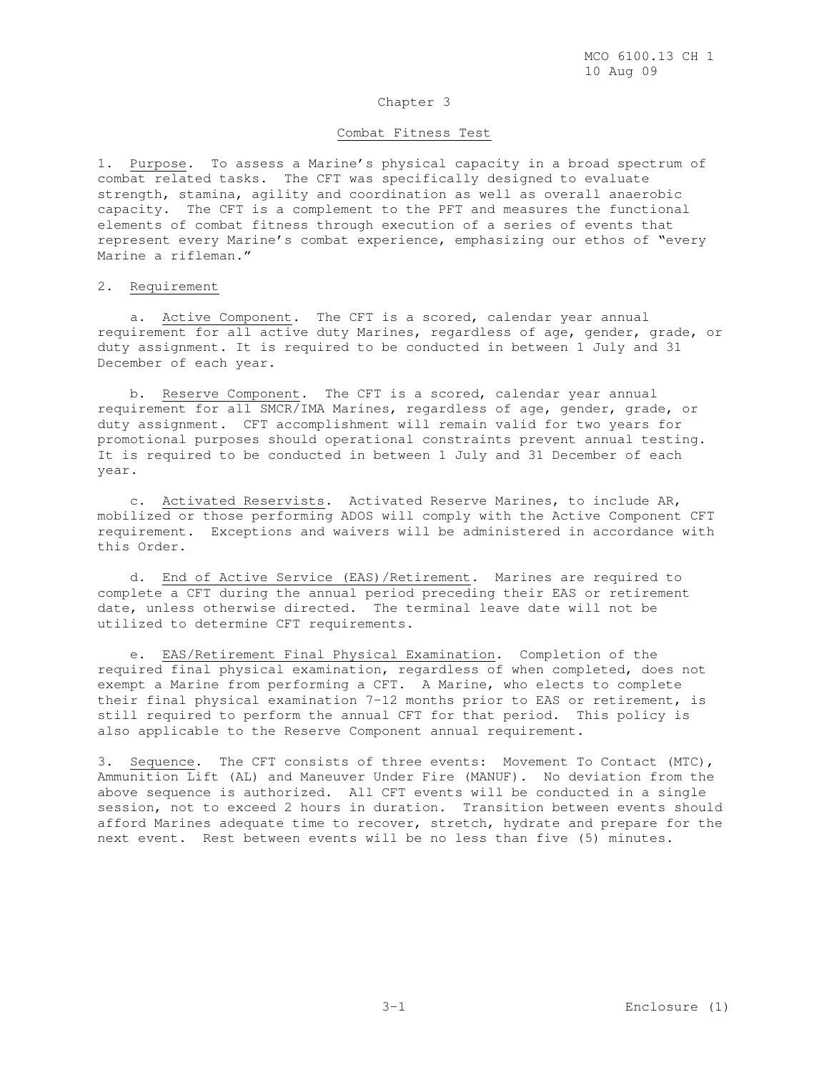#### Chapter 3

### Combat Fitness Test

1. Purpose. To assess a Marine's physical capacity in a broad spectrum of combat related tasks. The CFT was specifically designed to evaluate strength, stamina, agility and coordination as well as overall anaerobic capacity. The CFT is a complement to the PFT and measures the functional elements of combat fitness through execution of a series of events that represent every Marine's combat experience, emphasizing our ethos of "every Marine a rifleman."

#### 2. Requirement

 a. Active Component. The CFT is a scored, calendar year annual requirement for all active duty Marines, regardless of age, gender, grade, or duty assignment. It is required to be conducted in between 1 July and 31 December of each year.

b. Reserve Component. The CFT is a scored, calendar year annual requirement for all SMCR/IMA Marines, regardless of age, gender, grade, or duty assignment. CFT accomplishment will remain valid for two years for promotional purposes should operational constraints prevent annual testing. It is required to be conducted in between 1 July and 31 December of each year.

 c. Activated Reservists. Activated Reserve Marines, to include AR, mobilized or those performing ADOS will comply with the Active Component CFT requirement. Exceptions and waivers will be administered in accordance with this Order.

 d. End of Active Service (EAS)/Retirement. Marines are required to complete a CFT during the annual period preceding their EAS or retirement date, unless otherwise directed. The terminal leave date will not be utilized to determine CFT requirements.

 e. EAS/Retirement Final Physical Examination. Completion of the required final physical examination, regardless of when completed, does not exempt a Marine from performing a CFT. A Marine, who elects to complete their final physical examination 7-12 months prior to EAS or retirement, is still required to perform the annual CFT for that period. This policy is also applicable to the Reserve Component annual requirement.

3. Sequence. The CFT consists of three events: Movement To Contact (MTC), Ammunition Lift (AL) and Maneuver Under Fire (MANUF). No deviation from the above sequence is authorized. All CFT events will be conducted in a single session, not to exceed 2 hours in duration. Transition between events should afford Marines adequate time to recover, stretch, hydrate and prepare for the next event. Rest between events will be no less than five (5) minutes.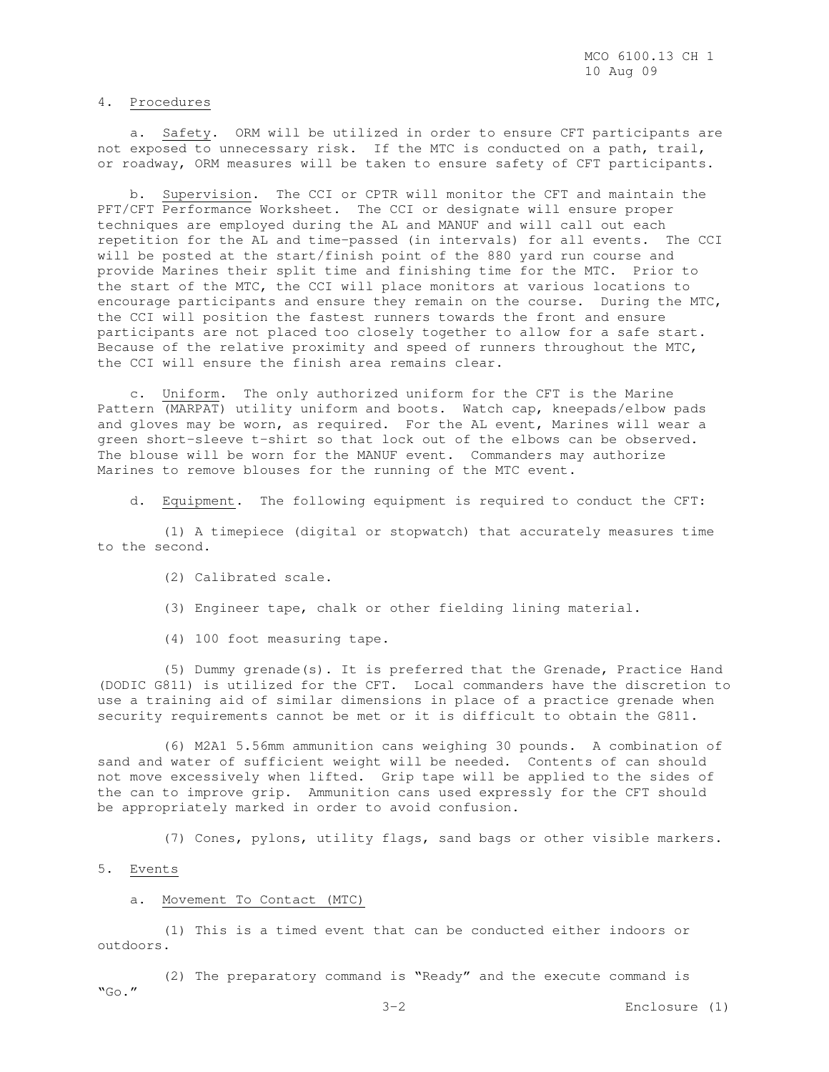#### 4. Procedures

 a. Safety. ORM will be utilized in order to ensure CFT participants are not exposed to unnecessary risk. If the MTC is conducted on a path, trail, or roadway, ORM measures will be taken to ensure safety of CFT participants.

 b. Supervision. The CCI or CPTR will monitor the CFT and maintain the PFT/CFT Performance Worksheet. The CCI or designate will ensure proper techniques are employed during the AL and MANUF and will call out each repetition for the AL and time-passed (in intervals) for all events. The CCI will be posted at the start/finish point of the 880 yard run course and provide Marines their split time and finishing time for the MTC. Prior to the start of the MTC, the CCI will place monitors at various locations to encourage participants and ensure they remain on the course. During the MTC, the CCI will position the fastest runners towards the front and ensure participants are not placed too closely together to allow for a safe start. Because of the relative proximity and speed of runners throughout the MTC, the CCI will ensure the finish area remains clear.

 c. Uniform. The only authorized uniform for the CFT is the Marine Pattern (MARPAT) utility uniform and boots. Watch cap, kneepads/elbow pads and gloves may be worn, as required. For the AL event, Marines will wear a green short-sleeve t-shirt so that lock out of the elbows can be observed. The blouse will be worn for the MANUF event. Commanders may authorize Marines to remove blouses for the running of the MTC event.

d. Equipment. The following equipment is required to conduct the CFT:

 (1) A timepiece (digital or stopwatch) that accurately measures time to the second.

- (2) Calibrated scale.
- (3) Engineer tape, chalk or other fielding lining material.
- (4) 100 foot measuring tape.

 (5) Dummy grenade(s). It is preferred that the Grenade, Practice Hand (DODIC G811) is utilized for the CFT. Local commanders have the discretion to use a training aid of similar dimensions in place of a practice grenade when security requirements cannot be met or it is difficult to obtain the G811.

 (6) M2A1 5.56mm ammunition cans weighing 30 pounds. A combination of sand and water of sufficient weight will be needed. Contents of can should not move excessively when lifted. Grip tape will be applied to the sides of the can to improve grip. Ammunition cans used expressly for the CFT should be appropriately marked in order to avoid confusion.

(7) Cones, pylons, utility flags, sand bags or other visible markers.

5. Events

### a. Movement To Contact (MTC)

 (1) This is a timed event that can be conducted either indoors or outdoors.

 (2) The preparatory command is "Ready" and the execute command is  $"GO."$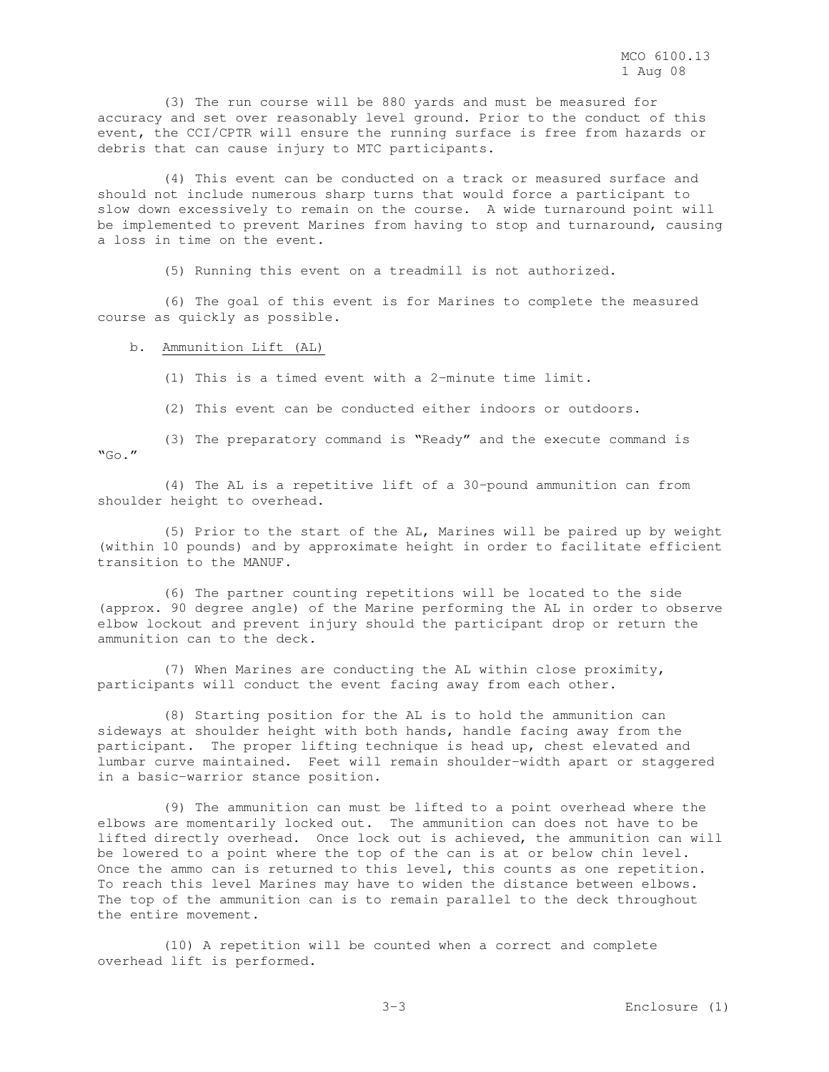(3) The run course will be 880 yards and must be measured for accuracy and set over reasonably level ground. Prior to the conduct of this event, the CCI/CPTR will ensure the running surface is free from hazards or debris that can cause injury to MTC participants.

 (4) This event can be conducted on a track or measured surface and should not include numerous sharp turns that would force a participant to slow down excessively to remain on the course. A wide turnaround point will be implemented to prevent Marines from having to stop and turnaround, causing a loss in time on the event.

(5) Running this event on a treadmill is not authorized.

 (6) The goal of this event is for Marines to complete the measured course as quickly as possible.

b. Ammunition Lift (AL)

(1) This is a timed event with a 2-minute time limit.

(2) This event can be conducted either indoors or outdoors.

 (3) The preparatory command is "Ready" and the execute command is  $"GO."$ 

 (4) The AL is a repetitive lift of a 30-pound ammunition can from shoulder height to overhead.

 (5) Prior to the start of the AL, Marines will be paired up by weight (within 10 pounds) and by approximate height in order to facilitate efficient transition to the MANUF.

 (6) The partner counting repetitions will be located to the side (approx. 90 degree angle) of the Marine performing the AL in order to observe elbow lockout and prevent injury should the participant drop or return the ammunition can to the deck.

 (7) When Marines are conducting the AL within close proximity, participants will conduct the event facing away from each other.

 (8) Starting position for the AL is to hold the ammunition can sideways at shoulder height with both hands, handle facing away from the participant. The proper lifting technique is head up, chest elevated and lumbar curve maintained. Feet will remain shoulder-width apart or staggered in a basic-warrior stance position.

 (9) The ammunition can must be lifted to a point overhead where the elbows are momentarily locked out. The ammunition can does not have to be lifted directly overhead. Once lock out is achieved, the ammunition can will be lowered to a point where the top of the can is at or below chin level. Once the ammo can is returned to this level, this counts as one repetition. To reach this level Marines may have to widen the distance between elbows. The top of the ammunition can is to remain parallel to the deck throughout the entire movement.

 (10) A repetition will be counted when a correct and complete overhead lift is performed.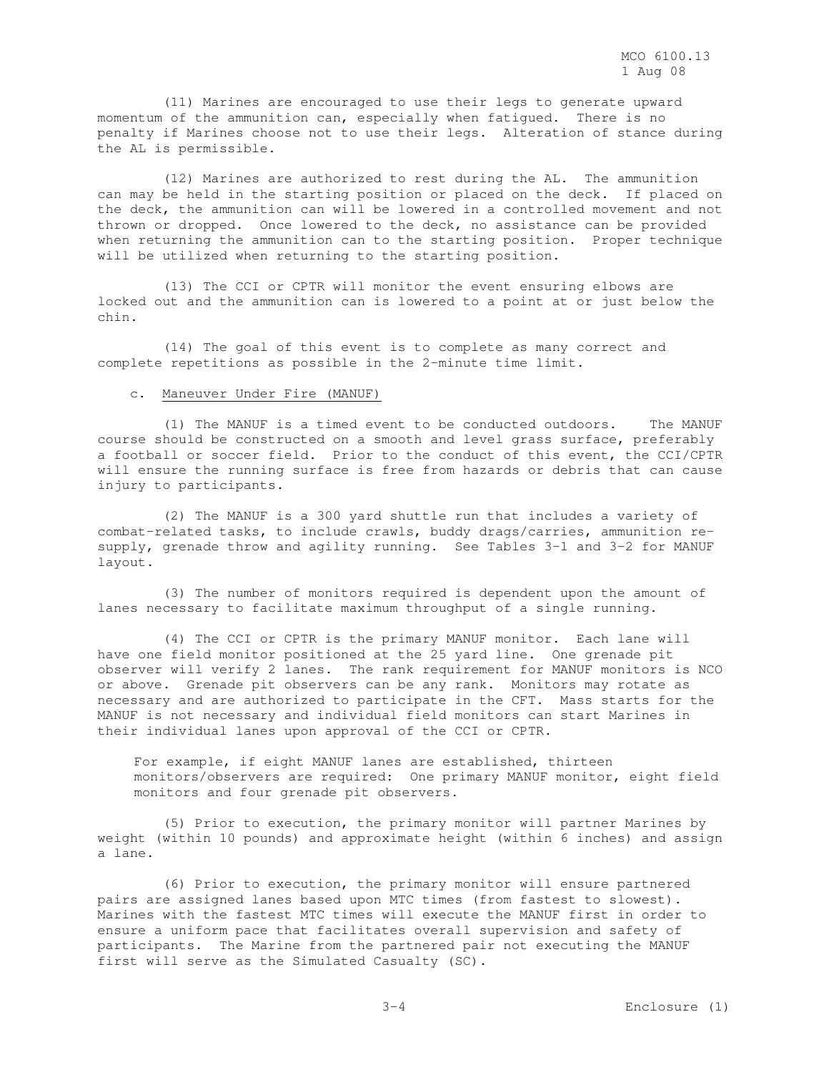(11) Marines are encouraged to use their legs to generate upward momentum of the ammunition can, especially when fatigued. There is no penalty if Marines choose not to use their legs. Alteration of stance during the AL is permissible.

 (12) Marines are authorized to rest during the AL. The ammunition can may be held in the starting position or placed on the deck. If placed on the deck, the ammunition can will be lowered in a controlled movement and not thrown or dropped. Once lowered to the deck, no assistance can be provided when returning the ammunition can to the starting position. Proper technique will be utilized when returning to the starting position.

 (13) The CCI or CPTR will monitor the event ensuring elbows are locked out and the ammunition can is lowered to a point at or just below the chin.

 (14) The goal of this event is to complete as many correct and complete repetitions as possible in the 2-minute time limit.

#### c. Maneuver Under Fire (MANUF)

 (1) The MANUF is a timed event to be conducted outdoors. The MANUF course should be constructed on a smooth and level grass surface, preferably a football or soccer field. Prior to the conduct of this event, the CCI/CPTR will ensure the running surface is free from hazards or debris that can cause injury to participants.

 (2) The MANUF is a 300 yard shuttle run that includes a variety of combat-related tasks, to include crawls, buddy drags/carries, ammunition resupply, grenade throw and agility running. See Tables 3-1 and 3-2 for MANUF layout.

 (3) The number of monitors required is dependent upon the amount of lanes necessary to facilitate maximum throughput of a single running.

 (4) The CCI or CPTR is the primary MANUF monitor. Each lane will have one field monitor positioned at the 25 yard line. One grenade pit observer will verify 2 lanes. The rank requirement for MANUF monitors is NCO or above. Grenade pit observers can be any rank. Monitors may rotate as necessary and are authorized to participate in the CFT. Mass starts for the MANUF is not necessary and individual field monitors can start Marines in their individual lanes upon approval of the CCI or CPTR.

For example, if eight MANUF lanes are established, thirteen monitors/observers are required: One primary MANUF monitor, eight field monitors and four grenade pit observers.

 (5) Prior to execution, the primary monitor will partner Marines by weight (within 10 pounds) and approximate height (within 6 inches) and assign a lane.

 (6) Prior to execution, the primary monitor will ensure partnered pairs are assigned lanes based upon MTC times (from fastest to slowest). Marines with the fastest MTC times will execute the MANUF first in order to ensure a uniform pace that facilitates overall supervision and safety of participants. The Marine from the partnered pair not executing the MANUF first will serve as the Simulated Casualty (SC).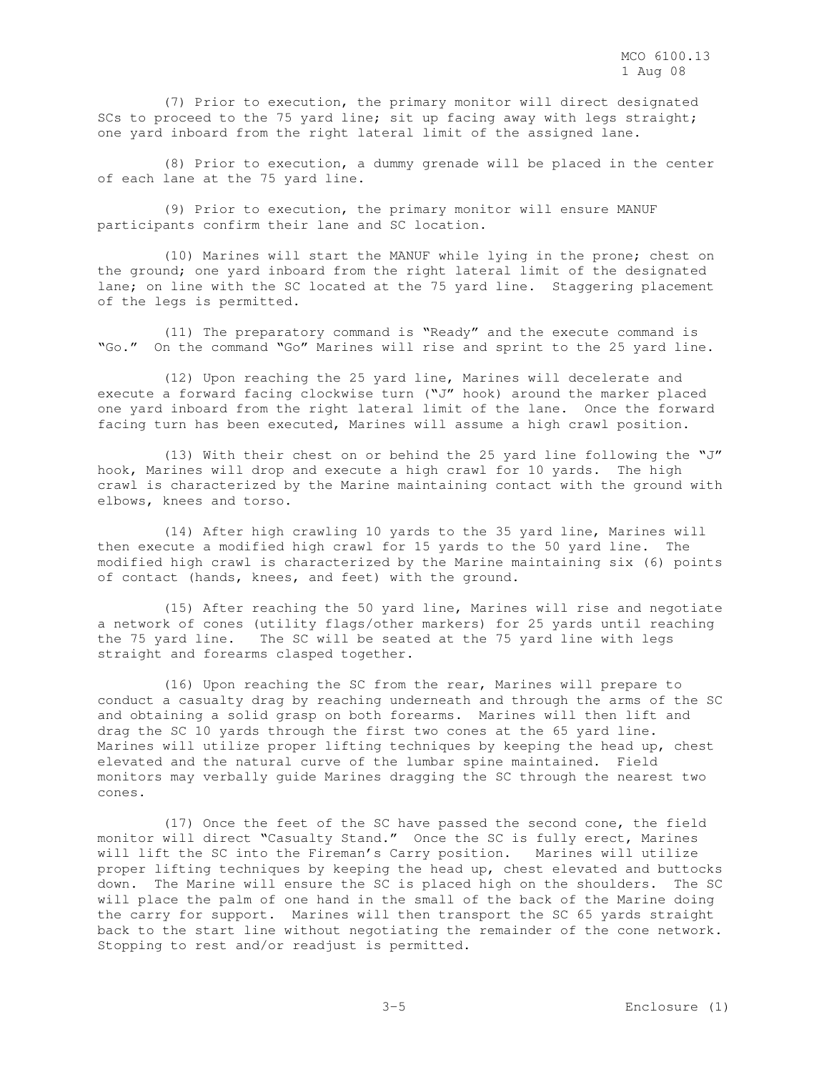(7) Prior to execution, the primary monitor will direct designated SCs to proceed to the 75 yard line; sit up facing away with legs straight; one yard inboard from the right lateral limit of the assigned lane.

 (8) Prior to execution, a dummy grenade will be placed in the center of each lane at the 75 yard line.

 (9) Prior to execution, the primary monitor will ensure MANUF participants confirm their lane and SC location.

 (10) Marines will start the MANUF while lying in the prone; chest on the ground; one yard inboard from the right lateral limit of the designated lane; on line with the SC located at the 75 yard line. Staggering placement of the legs is permitted.

 (11) The preparatory command is "Ready" and the execute command is "Go." On the command "Go" Marines will rise and sprint to the 25 yard line.

 (12) Upon reaching the 25 yard line, Marines will decelerate and execute a forward facing clockwise turn ("J" hook) around the marker placed one yard inboard from the right lateral limit of the lane. Once the forward facing turn has been executed, Marines will assume a high crawl position.

 (13) With their chest on or behind the 25 yard line following the "J" hook, Marines will drop and execute a high crawl for 10 yards. The high crawl is characterized by the Marine maintaining contact with the ground with elbows, knees and torso.

 (14) After high crawling 10 yards to the 35 yard line, Marines will then execute a modified high crawl for 15 yards to the 50 yard line. The modified high crawl is characterized by the Marine maintaining six (6) points of contact (hands, knees, and feet) with the ground.

 (15) After reaching the 50 yard line, Marines will rise and negotiate a network of cones (utility flags/other markers) for 25 yards until reaching the 75 yard line. The SC will be seated at the 75 yard line with legs straight and forearms clasped together.

 (16) Upon reaching the SC from the rear, Marines will prepare to conduct a casualty drag by reaching underneath and through the arms of the SC and obtaining a solid grasp on both forearms. Marines will then lift and drag the SC 10 yards through the first two cones at the 65 yard line. Marines will utilize proper lifting techniques by keeping the head up, chest elevated and the natural curve of the lumbar spine maintained. Field monitors may verbally guide Marines dragging the SC through the nearest two cones.

 (17) Once the feet of the SC have passed the second cone, the field monitor will direct "Casualty Stand." Once the SC is fully erect, Marines will lift the SC into the Fireman's Carry position. Marines will utilize proper lifting techniques by keeping the head up, chest elevated and buttocks down. The Marine will ensure the SC is placed high on the shoulders. The SC will place the palm of one hand in the small of the back of the Marine doing the carry for support. Marines will then transport the SC 65 yards straight back to the start line without negotiating the remainder of the cone network. Stopping to rest and/or readjust is permitted.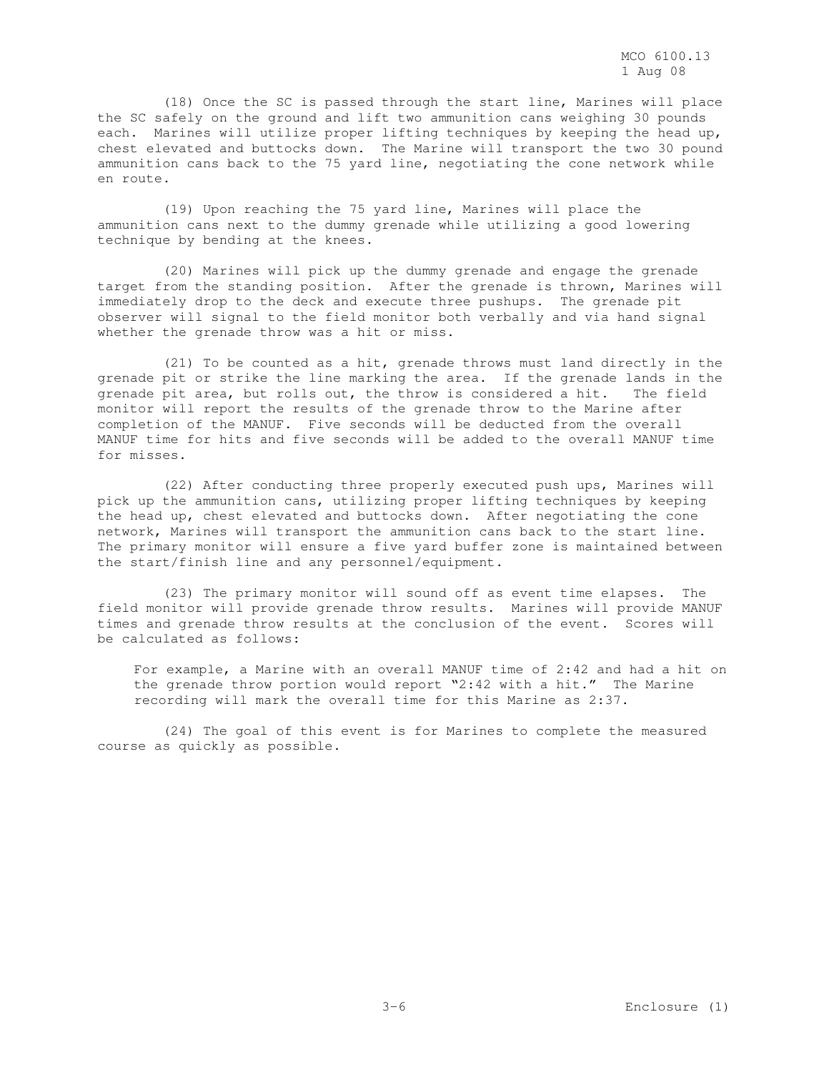(18) Once the SC is passed through the start line, Marines will place the SC safely on the ground and lift two ammunition cans weighing 30 pounds each. Marines will utilize proper lifting techniques by keeping the head up, chest elevated and buttocks down. The Marine will transport the two 30 pound ammunition cans back to the 75 yard line, negotiating the cone network while en route.

 (19) Upon reaching the 75 yard line, Marines will place the ammunition cans next to the dummy grenade while utilizing a good lowering technique by bending at the knees.

 (20) Marines will pick up the dummy grenade and engage the grenade target from the standing position. After the grenade is thrown, Marines will immediately drop to the deck and execute three pushups. The grenade pit observer will signal to the field monitor both verbally and via hand signal whether the grenade throw was a hit or miss.

 (21) To be counted as a hit, grenade throws must land directly in the grenade pit or strike the line marking the area. If the grenade lands in the grenade pit area, but rolls out, the throw is considered a hit. The field monitor will report the results of the grenade throw to the Marine after completion of the MANUF. Five seconds will be deducted from the overall MANUF time for hits and five seconds will be added to the overall MANUF time for misses.

 (22) After conducting three properly executed push ups, Marines will pick up the ammunition cans, utilizing proper lifting techniques by keeping the head up, chest elevated and buttocks down. After negotiating the cone network, Marines will transport the ammunition cans back to the start line. The primary monitor will ensure a five yard buffer zone is maintained between the start/finish line and any personnel/equipment.

 (23) The primary monitor will sound off as event time elapses. The field monitor will provide grenade throw results. Marines will provide MANUF times and grenade throw results at the conclusion of the event. Scores will be calculated as follows:

For example, a Marine with an overall MANUF time of 2:42 and had a hit on the grenade throw portion would report "2:42 with a hit." The Marine recording will mark the overall time for this Marine as 2:37.

 (24) The goal of this event is for Marines to complete the measured course as quickly as possible.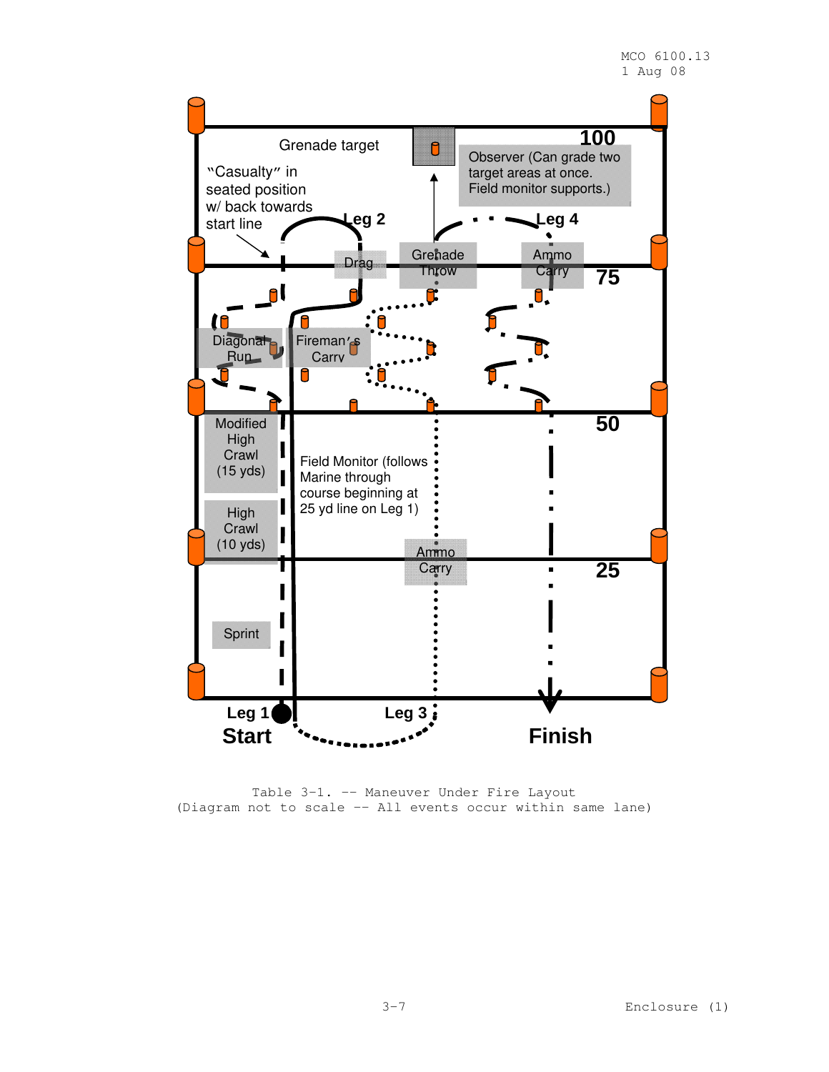

Table 3-1. -- Maneuver Under Fire Layout (Diagram not to scale -- All events occur within same lane)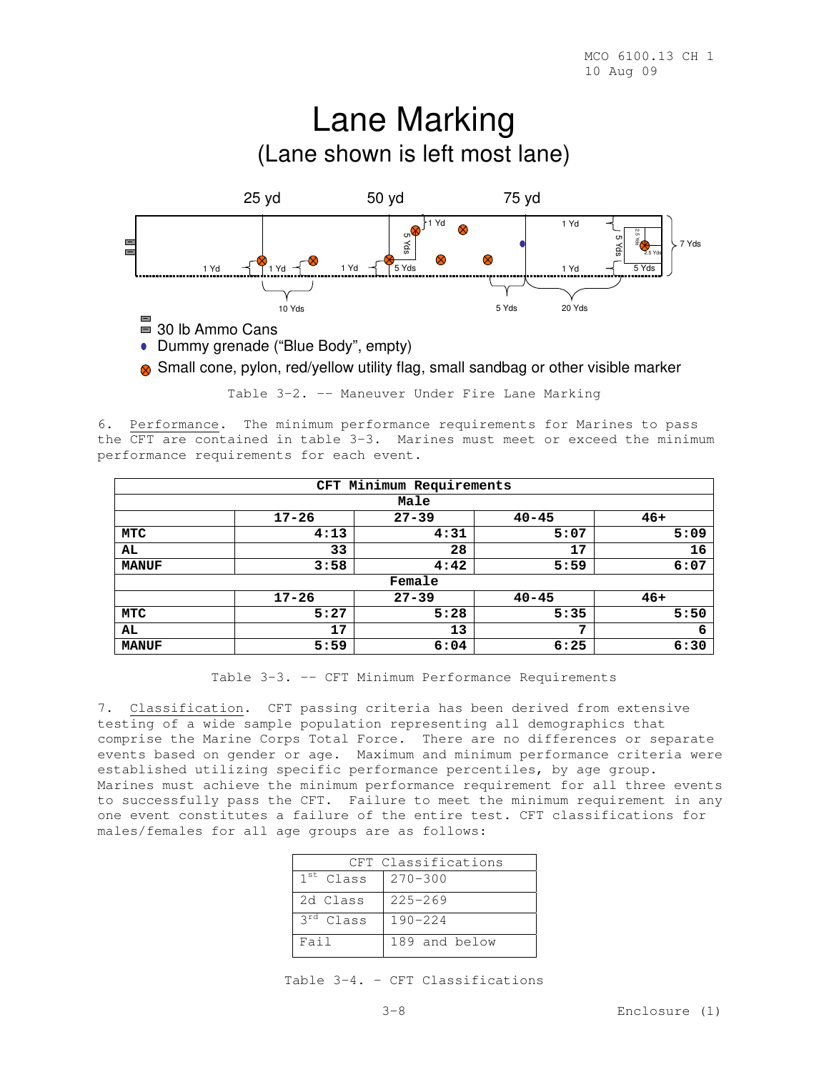

Small cone, pylon, red/yellow utility flag, small sandbag or other visible marker

Table 3-2. -- Maneuver Under Fire Lane Marking

6. Performance. The minimum performance requirements for Marines to pass the CFT are contained in table 3-3. Marines must meet or exceed the minimum performance requirements for each event.

|              | Minimum Requirements<br><b>CFT</b> |           |           |       |  |  |  |  |
|--------------|------------------------------------|-----------|-----------|-------|--|--|--|--|
|              | Male                               |           |           |       |  |  |  |  |
|              | $17 - 26$                          | $27 - 39$ | $40 - 45$ | $46+$ |  |  |  |  |
| MTC          | 4:13                               | 4:31      | 5:07      | 5:09  |  |  |  |  |
| AL           | 33                                 | 28        | 17        | 16    |  |  |  |  |
| <b>MANUF</b> | 3:58                               | 4:42      | 5:59      | 6:07  |  |  |  |  |
|              |                                    | Female    |           |       |  |  |  |  |
|              | $17 - 26$                          | $27 - 39$ | $40 - 45$ | $46+$ |  |  |  |  |
| MTC          | 5:27                               | 5:28      | 5:35      | 5:50  |  |  |  |  |
| AL           | 17                                 | 13        | 7         | 6     |  |  |  |  |
| <b>MANUF</b> | 5:59                               | 6:04      | 6:25      | 6:30  |  |  |  |  |

Table 3-3. -- CFT Minimum Performance Requirements

7. Classification. CFT passing criteria has been derived from extensive testing of a wide sample population representing all demographics that comprise the Marine Corps Total Force. There are no differences or separate events based on gender or age. Maximum and minimum performance criteria were established utilizing specific performance percentiles, by age group. Marines must achieve the minimum performance requirement for all three events to successfully pass the CFT. Failure to meet the minimum requirement in any one event constitutes a failure of the entire test. CFT classifications for males/females for all age groups are as follows:

| CFT Classifications |               |  |  |  |  |  |
|---------------------|---------------|--|--|--|--|--|
| $1st$ Class         | $270 - 300$   |  |  |  |  |  |
| 2d Class            | $225 - 269$   |  |  |  |  |  |
| $3rd$ Class         | $190 - 224$   |  |  |  |  |  |
| Fail                | 189 and below |  |  |  |  |  |

Table 3-4. – CFT Classifications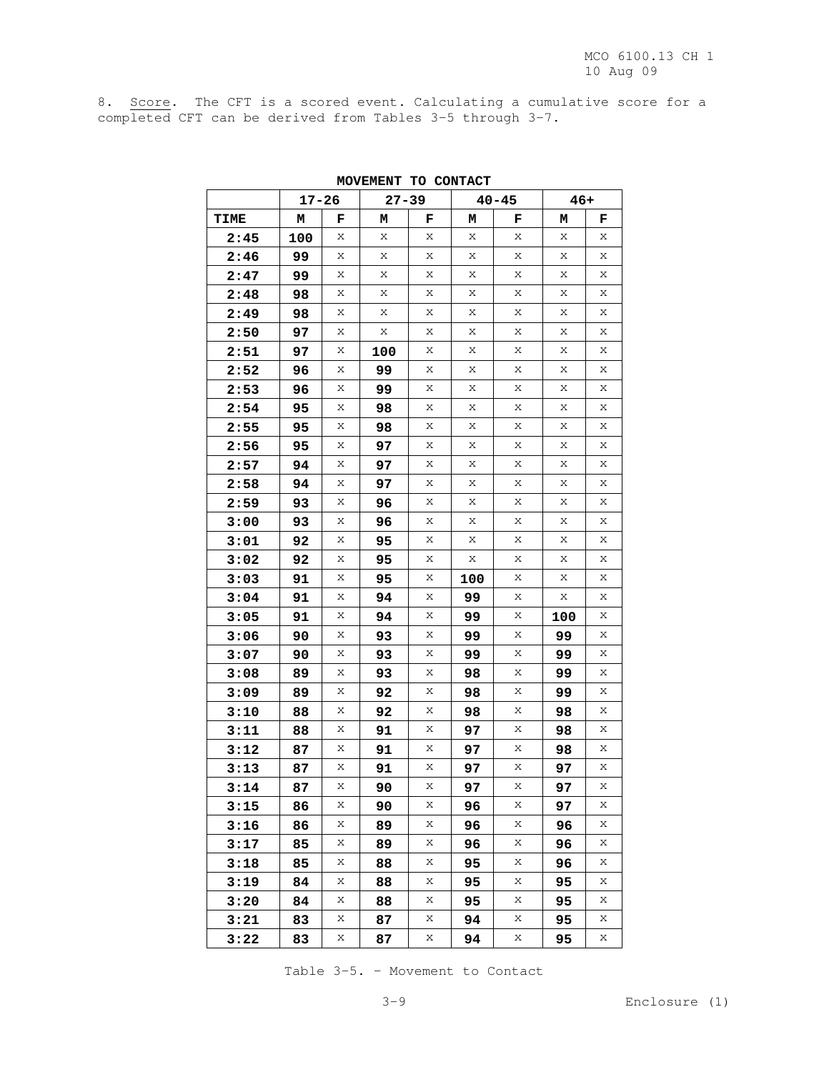8. Score. The CFT is a scored event. Calculating a cumulative score for a completed CFT can be derived from Tables 3-5 through 3-7.

|             | $17 - 26$ |   | $27 - 39$ |   |     | $40 - 45$   | $46+$ |   |
|-------------|-----------|---|-----------|---|-----|-------------|-------|---|
| <b>TIME</b> | м         | F | М         | F | Μ   | F           | Μ     | F |
| 2:45        | 100       | Χ | Х         | Х | Χ   | Χ           | Х     | Х |
| 2:46        | 99        | Х | Х         | Х | Χ   | Х           | Х     | Χ |
| 2:47        | 99        | Χ | Х         | Х | Χ   | Χ           | Х     | Х |
| 2:48        | 98        | Χ | Х         | Х | Х   | Х           | Х     | Χ |
| 2:49        | 98        | Χ | Х         | Х | Χ   | Х           | Х     | Χ |
| 2:50        | 97        | Χ | Χ         | Х | Χ   | Χ           | Χ     | Х |
| 2:51        | 97        | Χ | 100       | Х | Χ   | Х           | Х     | Χ |
| 2:52        | 96        | Χ | 99        | Х | Χ   | Х           | Х     | Χ |
| 2:53        | 96        | Χ | 99        | Х | Χ   | Χ           | Х     | Χ |
| 2:54        | 95        | Χ | 98        | Х | Х   | Х           | Х     | Χ |
| 2:55        | 95        | Χ | 98        | Х | Χ   | Х           | Х     | Χ |
| 2:56        | 95        | Χ | 97        | Х | Χ   | Χ           | Χ     | Х |
| 2:57        | 94        | Χ | 97        | Х | Χ   | Х           | Х     | Χ |
| 2:58        | 94        | Χ | 97        | Х | Χ   | Х           | Х     | Χ |
| 2:59        | 93        | Χ | 96        | Х | Χ   | Χ           | Х     | Х |
| 3:00        | 93        | Χ | 96        | Х | Х   | Х           | Х     | Χ |
| 3:01        | 92        | Χ | 95        | Х | Χ   | Χ           | Х     | Χ |
| 3:02        | 92        | Χ | 95        | Х | Χ   | Χ           | Χ     | Х |
| 3:03        | 91        | Χ | 95        | Х | 100 | Х           | Х     | Χ |
| 3:04        | 91        | Χ | 94        | Х | 99  | Χ           | Х     | Χ |
| 3:05        | 91        | Χ | 94        | Х | 99  | Χ           | 100   | Х |
| 3:06        | 90        | Χ | 93        | Х | 99  | Х           | 99    | Χ |
| 3:07        | 90        | Χ | 93        | Х | 99  | Χ           | 99    | Χ |
| 3:08        | 89        | Χ | 93        | Х | 98  | Χ           | 99    | Х |
| 3:09        | 89        | Χ | 92        | Х | 98  | $\mathbf X$ | 99    | Χ |
| 3:10        | 88        | Χ | 92        | Х | 98  | Х           | 98    | Χ |
| 3:11        | 88        | Χ | 91        | Х | 97  | Χ           | 98    | Х |
| 3:12        | 87        | Χ | 91        | Х | 97  | Х           | 98    | Χ |
| 3:13        | 87        | Χ | 91        | Х | 97  | Χ           | 97    | Χ |
| 3:14        | 87        | Χ | 90        | Х | 97  | Χ           | 97    | Χ |
| 3:15        | 86        | Χ | 90        | Χ | 96  | Х           | 97    | Χ |
| 3:16        | 86        | Χ | 89        | Х | 96  | Χ           | 96    | Χ |
| 3:17        | 85        | Χ | 89        | Χ | 96  | Χ           | 96    | Χ |
| 3:18        | 85        | Χ | 88        | Х | 95  | Χ           | 96    | Χ |
| 3:19        | 84        | X | 88        | Х | 95  | Χ           | 95    | X |
| 3:20        | 84        | X | 88        | Χ | 95  | Χ           | 95    | Χ |
| 3:21        | 83        | Χ | 87        | Х | 94  | Х           | 95    | Χ |
| 3:22        | 83        | Χ | 87        | Х | 94  | Χ           | 95    | Χ |

**MOVEMENT TO CONTACT** 

Table 3-5. – Movement to Contact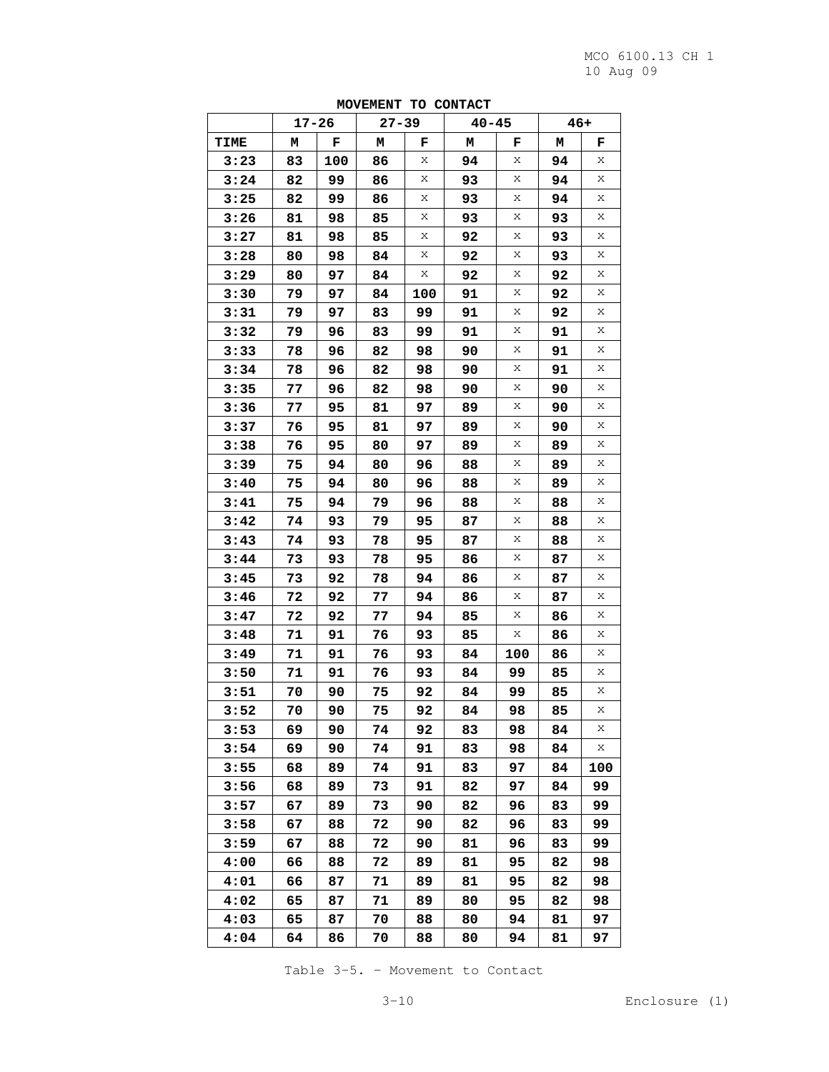|      |    |       |    |           | $-1 - 1$  |     |     |     |
|------|----|-------|----|-----------|-----------|-----|-----|-----|
|      |    | 17-26 |    | $27 - 39$ | $40 - 45$ |     | 46+ |     |
| TIME | М  | F     | М  | F         | М         | F   | М   | F   |
| 3:23 | 83 | 100   | 86 | Χ         | 94        | Χ   | 94  | Χ   |
| 3:24 | 82 | 99    | 86 | Х         | 93        | Χ   | 94  | Χ   |
| 3:25 | 82 | 99    | 86 | Х         | 93        | Χ   | 94  | Х   |
| 3:26 | 81 | 98    | 85 | Χ         | 93        | Χ   | 93  | Χ   |
| 3:27 | 81 | 98    | 85 | Х         | 92        | Х   | 93  | Χ   |
| 3:28 | 80 | 98    | 84 | Х         | 92        | Χ   | 93  | Х   |
| 3:29 | 80 | 97    | 84 | Х         | 92        | Χ   | 92  | Χ   |
| 3:30 | 79 | 97    | 84 | 100       | 91        | Χ   | 92  | Χ   |
| 3:31 | 79 | 97    | 83 | 99        | 91        | Χ   | 92  | Х   |
| 3:32 | 79 | 96    | 83 | 99        | 91        | Χ   | 91  | Χ   |
| 3:33 | 78 | 96    | 82 | 98        | 90        | Х   | 91  | Χ   |
| 3:34 | 78 | 96    | 82 | 98        | 90        | Χ   | 91  | Х   |
| 3:35 | 77 | 96    | 82 | 98        | 90        | Χ   | 90  | Χ   |
| 3:36 | 77 | 95    | 81 | 97        | 89        | Χ   | 90  | Χ   |
| 3:37 | 76 | 95    | 81 | 97        | 89        | Χ   | 90  | Х   |
| 3:38 | 76 | 95    | 80 | 97        | 89        | Χ   | 89  | Χ   |
| 3:39 | 75 | 94    | 80 | 96        | 88        | Х   | 89  | Χ   |
| 3:40 | 75 | 94    | 80 | 96        | 88        | Χ   | 89  | Х   |
| 3:41 | 75 | 94    | 79 | 96        | 88        | Χ   | 88  | Χ   |
| 3:42 | 74 | 93    | 79 | 95        | 87        | Χ   | 88  | Χ   |
| 3:43 | 74 | 93    | 78 | 95        | 87        | Χ   | 88  | Х   |
| 3:44 | 73 | 93    | 78 | 95        | 86        | Χ   | 87  | Χ   |
| 3:45 | 73 | 92    | 78 | 94        | 86        | Х   | 87  | Χ   |
| 3:46 | 72 | 92    | 77 | 94        | 86        | Χ   | 87  | Х   |
| 3:47 | 72 | 92    | 77 | 94        | 85        | Χ   | 86  | Χ   |
| 3:48 | 71 | 91    | 76 | 93        | 85        | Х   | 86  | Χ   |
| 3:49 | 71 | 91    | 76 | 93        | 84        | 100 | 86  | Х   |
| 3:50 | 71 | 91    | 76 | 93        | 84        | 99  | 85  | Χ   |
| 3:51 | 70 | 90    | 75 | 92        | 84        | 99  | 85  | Х   |
| 3:52 | 70 | 90    | 75 | 92        | 84        | 98  | 85  | Χ   |
| 3:53 | 69 | 90    | 74 | 92        | 83        | 98  | 84  | Χ   |
| 3:54 | 69 | 90    | 74 | 91        | 83        | 98  | 84  | Χ   |
| 3:55 | 68 | 89    | 74 | 91        | 83        | 97  | 84  | 100 |
| 3:56 | 68 | 89    | 73 | 91        | 82        | 97  | 84  | 99  |
| 3:57 | 67 | 89    | 73 | 90        | 82        | 96  | 83  | 99  |
| 3:58 | 67 | 88    | 72 | 90        | 82        | 96  | 83  | 99  |
| 3:59 | 67 | 88    | 72 | 90        | 81        | 96  | 83  | 99  |
| 4:00 | 66 | 88    | 72 | 89        | 81        | 95  | 82  | 98  |
| 4:01 | 66 | 87    | 71 | 89        | 81        | 95  | 82  | 98  |
| 4:02 | 65 | 87    | 71 | 89        | 80        | 95  | 82  | 98  |
| 4:03 | 65 | 87    | 70 | 88        | 80        | 94  | 81  | 97  |
| 4:04 | 64 | 86    | 70 | 88        | 80        | 94  | 81  | 97  |

**MOVEMENT TO CONTACT** 

Table 3-5. – Movement to Contact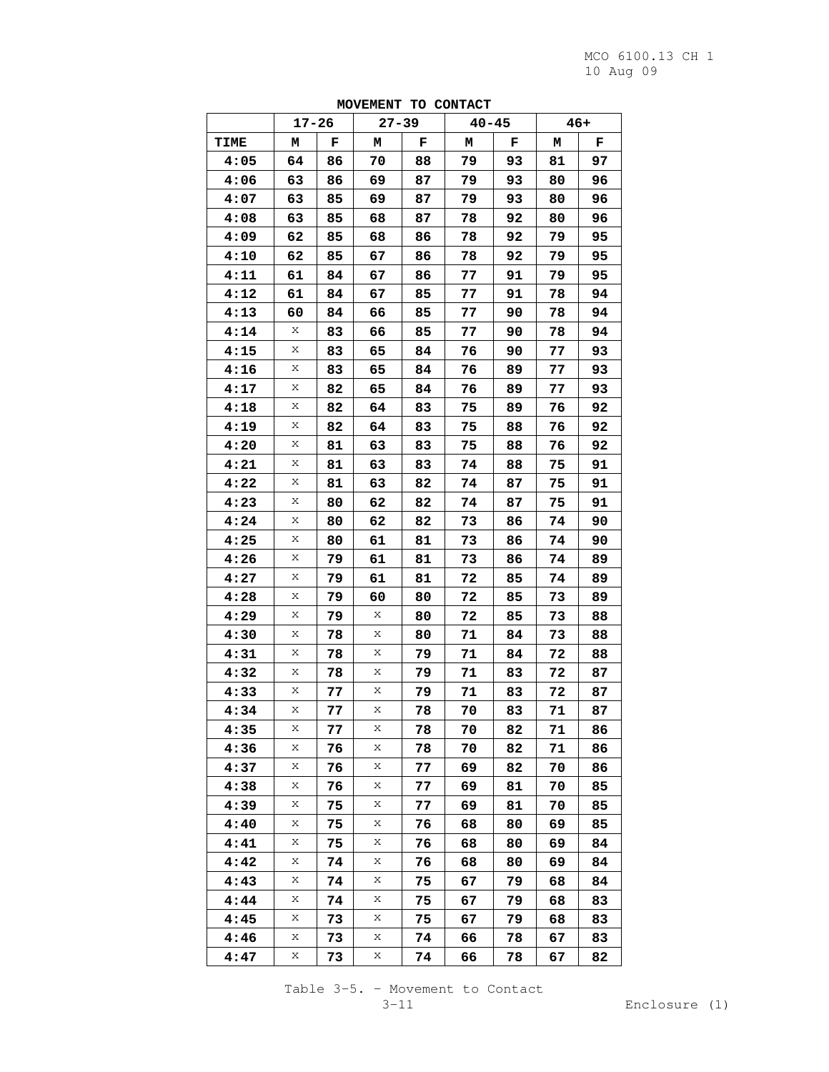|      |           |    | $\sqrt{2}$ | $\overline{ }$ | 0.0111704 |    |    |       |
|------|-----------|----|------------|----------------|-----------|----|----|-------|
|      | $17 - 26$ |    | $27 - 39$  |                | $40 - 45$ |    |    | $46+$ |
| TIME | М         | F  | Μ          | F              | Μ         | F  | Μ  | F     |
| 4:05 | 64        | 86 | 70         | 88             | 79        | 93 | 81 | 97    |
| 4:06 | 63        | 86 | 69         | 87             | 79        | 93 | 80 | 96    |
| 4:07 | 63        | 85 | 69         | 87             | 79        | 93 | 80 | 96    |
| 4:08 | 63        | 85 | 68         | 87             | 78        | 92 | 80 | 96    |
| 4:09 | 62        | 85 | 68         | 86             | 78        | 92 | 79 | 95    |
| 4:10 | 62        | 85 | 67         | 86             | 78        | 92 | 79 | 95    |
| 4:11 | 61        | 84 | 67         | 86             | 77        | 91 | 79 | 95    |
| 4:12 | 61        | 84 | 67         | 85             | 77        | 91 | 78 | 94    |
| 4:13 | 60        | 84 | 66         | 85             | 77        | 90 | 78 | 94    |
| 4:14 | Χ         | 83 | 66         | 85             | 77        | 90 | 78 | 94    |
| 4:15 | Χ         | 83 | 65         | 84             | 76        | 90 | 77 | 93    |
| 4:16 | Χ         | 83 | 65         | 84             | 76        | 89 | 77 | 93    |
| 4:17 | Χ         | 82 | 65         | 84             | 76        | 89 | 77 | 93    |
| 4:18 | X         | 82 | 64         | 83             | 75        | 89 | 76 | 92    |
| 4:19 | Χ         | 82 | 64         | 83             | 75        | 88 | 76 | 92    |
| 4:20 | Χ         | 81 | 63         | 83             | 75        | 88 | 76 | 92    |
| 4:21 | Χ         | 81 | 63         | 83             | 74        | 88 | 75 | 91    |
| 4:22 | Χ         | 81 | 63         | 82             | 74        | 87 | 75 | 91    |
| 4:23 | Χ         | 80 | 62         | 82             | 74        | 87 | 75 | 91    |
| 4:24 | X         | 80 | 62         | 82             | 73        | 86 | 74 | 90    |
| 4:25 | Χ         | 80 | 61         | 81             | 73        | 86 | 74 | 90    |
| 4:26 | Χ         | 79 | 61         | 81             | 73        | 86 | 74 | 89    |
| 4:27 | Χ         | 79 | 61         | 81             | 72        | 85 | 74 | 89    |
| 4:28 | Χ         | 79 | 60         | 80             | 72        | 85 | 73 | 89    |
| 4:29 | Χ         | 79 | Χ          | 80             | 72        | 85 | 73 | 88    |
| 4:30 | Х         | 78 | Χ          | 80             | 71        | 84 | 73 | 88    |
| 4:31 | Χ         | 78 | Χ          | 79             | 71        | 84 | 72 | 88    |
| 4:32 | Χ         | 78 | Χ          | 79             | 71        | 83 | 72 | 87    |
| 4:33 | Χ         | 77 | Х          | 79             | 71        | 83 | 72 | 87    |
| 4:34 | Χ         | 77 | Х          | 78             | 70        | 83 | 71 | 87    |
| 4:35 | Χ         | 77 | Χ          | 78             | 70        | 82 | 71 | 86    |
| 4:36 | Χ         | 76 | Χ          | 78             | 70        | 82 | 71 | 86    |
| 4:37 | Х         | 76 | Χ          | 77             | 69        | 82 | 70 | 86    |
| 4:38 | Х         | 76 | Х          | 77             | 69        | 81 | 70 | 85    |
| 4:39 | Χ         | 75 | Χ          | 77             | 69        | 81 | 70 | 85    |
| 4:40 | Χ         | 75 | Χ          | 76             | 68        | 80 | 69 | 85    |
| 4:41 | Χ         | 75 | Х          | 76             | 68        | 80 | 69 | 84    |
| 4:42 | Х         | 74 | Χ          | 76             | 68        | 80 | 69 | 84    |
| 4:43 | Х         | 74 | Х          | 75             | 67        | 79 | 68 | 84    |
| 4:44 | Х         | 74 | Х          | 75             | 67        | 79 | 68 | 83    |
| 4:45 | Χ         | 73 | Χ          | 75             | 67        | 79 | 68 | 83    |
| 4:46 | Χ         | 73 | Х          | 74             | 66        | 78 | 67 | 83    |
| 4:47 | Χ         | 73 | Χ          | 74             | 66        | 78 | 67 | 82    |

**MOVEMENT TO CONTACT** 

Table  $3-5$ . – Movement to Contact<br> $3-11$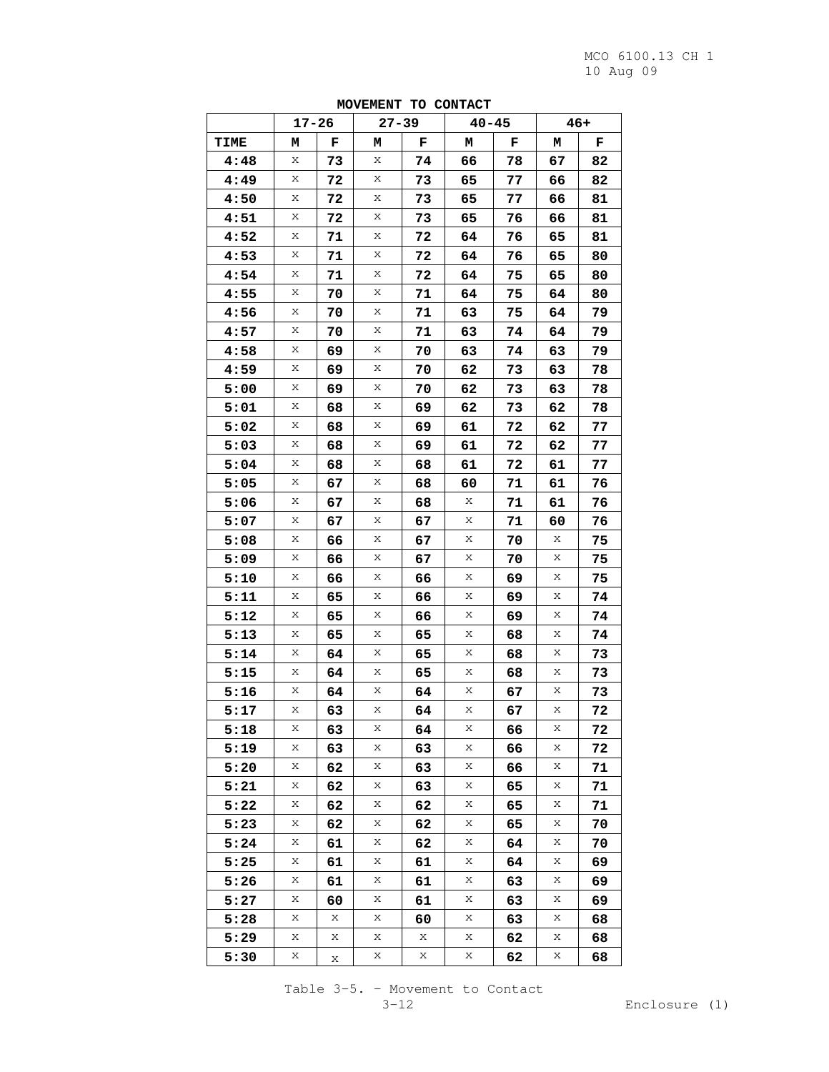|      |           |    |           | $\overline{\phantom{a}}$ | ,,,,,,,,, |    |       |    |
|------|-----------|----|-----------|--------------------------|-----------|----|-------|----|
|      | $17 - 26$ |    | $27 - 39$ |                          | $40 - 45$ |    | $46+$ |    |
| TIME | м         | F  | М         | F                        | М         | F  | M     | F  |
| 4:48 | Х         | 73 | Χ         | 74                       | 66        | 78 | 67    | 82 |
| 4:49 | Χ         | 72 | Χ         | 73                       | 65        | 77 | 66    | 82 |
| 4:50 | Χ         | 72 | Χ         | 73                       | 65        | 77 | 66    | 81 |
| 4:51 | Χ         | 72 | Χ         | 73                       | 65        | 76 | 66    | 81 |
| 4:52 | Χ         | 71 | Χ         | 72                       | 64        | 76 | 65    | 81 |
| 4:53 | Χ         | 71 | Χ         | 72                       | 64        | 76 | 65    | 80 |
| 4:54 | Χ         | 71 | Χ         | 72                       | 64        | 75 | 65    | 80 |
| 4:55 | Χ         | 70 | Χ         | 71                       | 64        | 75 | 64    | 80 |
| 4:56 | Χ         | 70 | Χ         | 71                       | 63        | 75 | 64    | 79 |
| 4:57 | Χ         | 70 | Χ         | 71                       | 63        | 74 | 64    | 79 |
| 4:58 | Χ         | 69 | Χ         | 70                       | 63        | 74 | 63    | 79 |
| 4:59 | Χ         | 69 | Χ         | 70                       | 62        | 73 | 63    | 78 |
| 5:00 | Χ         | 69 | Χ         | 70                       | 62        | 73 | 63    | 78 |
| 5:01 | Χ         | 68 | Χ         | 69                       | 62        | 73 | 62    | 78 |
| 5:02 | Χ         | 68 | Χ         | 69                       | 61        | 72 | 62    | 77 |
| 5:03 | Χ         | 68 | Χ         | 69                       | 61        | 72 | 62    | 77 |
| 5:04 | Χ         | 68 | Χ         | 68                       | 61        | 72 | 61    | 77 |
| 5:05 | Χ         | 67 | Χ         | 68                       | 60        | 71 | 61    | 76 |
| 5:06 | Χ         | 67 | Χ         | 68                       | Χ         | 71 | 61    | 76 |
| 5:07 | Χ         | 67 | Χ         | 67                       | Х         | 71 | 60    | 76 |
| 5:08 | Χ         | 66 | Χ         | 67                       | Χ         | 70 | Χ     | 75 |
| 5:09 | Χ         | 66 | Χ         | 67                       | Χ         | 70 | Χ     | 75 |
| 5:10 | Χ         | 66 | Χ         | 66                       | Х         | 69 | Χ     | 75 |
| 5:11 | Χ         | 65 | Χ         | 66                       | Х         | 69 | Χ     | 74 |
| 5:12 | Χ         | 65 | Χ         | 66                       | Х         | 69 | Χ     | 74 |
| 5:13 | Χ         | 65 | Χ         | 65                       | Х         | 68 | Χ     | 74 |
| 5:14 | Χ         | 64 | Χ         | 65                       | Χ         | 68 | Χ     | 73 |
| 5:15 | Χ         | 64 | Χ         | 65                       | Χ         | 68 | Χ     | 73 |
| 5:16 | Χ         | 64 | Χ         | 64                       | Х         | 67 | Χ     | 73 |
| 5:17 | Χ         | 63 | Χ         | 64                       | Χ         | 67 | Χ     | 72 |
| 5:18 | X         | 63 | Х         | 64                       | Χ         | 66 | Χ     | 72 |
| 5:19 | Χ         | 63 | Χ         | 63                       | Χ         | 66 | Χ     | 72 |
| 5:20 | X         | 62 | Χ         | 63                       | Χ         | 66 | X     | 71 |
| 5:21 | Χ         | 62 | Х         | 63                       | Χ         | 65 | X     | 71 |
| 5:22 | Х         | 62 | Х         | 62                       | Χ         | 65 | Χ     | 71 |
| 5:23 | X         | 62 | X         | 62                       | Х         | 65 | Х     | 70 |
| 5:24 | Χ         | 61 | Χ         | 62                       | X         | 64 | X     | 70 |
| 5:25 | Χ         | 61 | Χ         | 61                       | Χ         | 64 | Х     | 69 |
| 5:26 | X         | 61 | Х         | 61                       | Χ         | 63 | X     | 69 |
| 5:27 | Χ         | 60 | Х         | 61                       | Χ         | 63 | X     | 69 |
| 5:28 | Х         | Х  | Х         | 60                       | Χ         | 63 | Χ     | 68 |
| 5:29 | X         | X  | X         | X                        | Х         | 62 | X     | 68 |
| 5:30 | Χ         | Χ  | Χ         | Χ                        | X         | 62 | Χ     | 68 |

**MOVEMENT TO CONTACT** 

Table 3-5. – Movement to Contact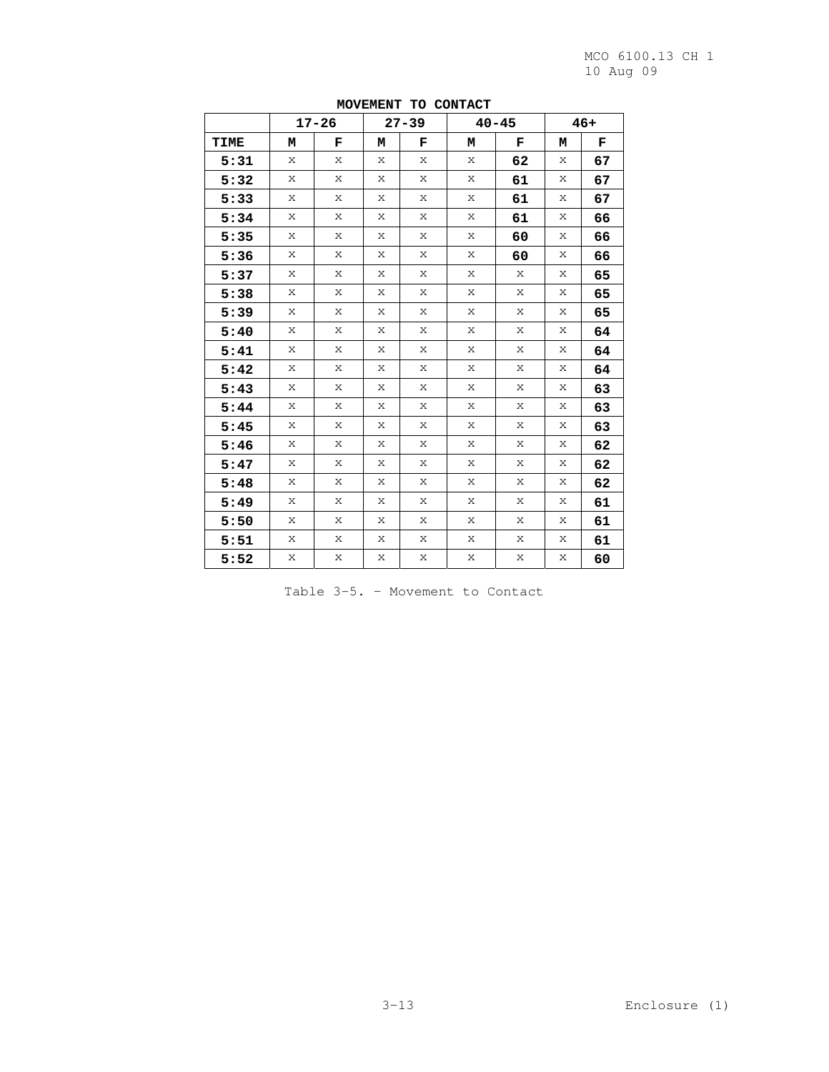|      |   | $17 - 26$ |   | $27 - 39$ |   | $40 - 45$ |   | $46+$ |
|------|---|-----------|---|-----------|---|-----------|---|-------|
| TIME | М | F         | M | F         | м | F         | м | F     |
| 5:31 | X | X         | X | X         | X | 62        | Х | 67    |
| 5:32 | X | X         | X | X         | X | 61        | X | 67    |
| 5:33 | X | X         | X | X         | X | 61        | X | 67    |
| 5:34 | X | X         | X | X         | X | 61        | X | 66    |
| 5:35 | X | X         | X | X         | X | 60        | X | 66    |
| 5:36 | X | X         | X | X         | X | 60        | X | 66    |
| 5:37 | X | X         | X | X         | X | X         | X | 65    |
| 5:38 | X | X         | X | X         | X | X         | Х | 65    |
| 5:39 | X | X         | X | X         | X | X         | X | 65    |
| 5:40 | X | X         | X | X         | X | X         | X | 64    |
| 5:41 | X | X         | X | X         | X | X         | X | 64    |
| 5:42 | X | X         | X | X         | X | X         | X | 64    |
| 5:43 | X | X         | X | X         | X | X         | Х | 63    |
| 5:44 | X | X         | X | X         | X | X         | X | 63    |
| 5:45 | X | X         | X | X         | X | X         | X | 63    |
| 5:46 | X | X         | X | X         | X | X         | X | 62    |
| 5:47 | X | X         | X | X         | X | Χ         | Х | 62    |
| 5:48 | Х | X         | X | X         | Х | X         | Х | 62    |
| 5:49 | X | X         | X | X         | X | X         | Х | 61    |
| 5:50 | X | X         | X | X         | X | X         | X | 61    |
| 5:51 | X | X         | X | X         | X | X         | X | 61    |
| 5:52 | X | X         | X | X         | X | X         | X | 60    |

**MOVEMENT TO CONTACT** 

Table 3-5. – Movement to Contact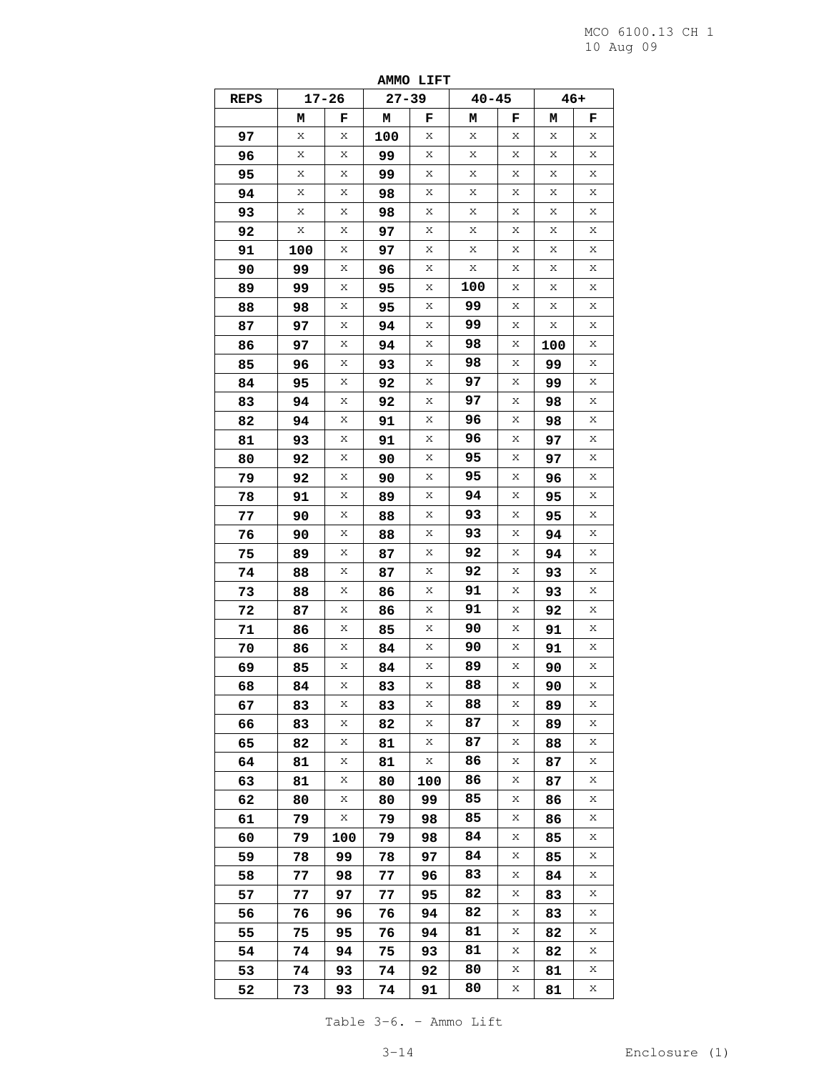|      |     |           |           | ---- |           |   |     |       |
|------|-----|-----------|-----------|------|-----------|---|-----|-------|
| REPS |     | $17 - 26$ | $27 - 39$ |      | $40 - 45$ |   |     | $46+$ |
|      | м   | F         | М         | F    | м         | F | м   | F     |
| 97   | Χ   | Χ         | 100       | Х    | Χ         | Χ | Χ   | Χ     |
| 96   | Χ   | Χ         | 99        | Χ    | Χ         | Χ | Χ   | Χ     |
| 95   | Χ   | Χ         | 99        | Χ    | Χ         | х | Χ   | Χ     |
| 94   | Χ   | Χ         | 98        | Х    | Х         | Х | Х   | Χ     |
| 93   | Χ   | Χ         | 98        | Х    | Х         | Х | Χ   | Χ     |
| 92   | Χ   | Χ         | 97        | Х    | Χ         | Χ | Х   | Х     |
| 91   | 100 | Χ         | 97        | Х    | Х         | Х | Х   | Χ     |
| 90   | 99  | Χ         | 96        | Χ    | Χ         | Х | Χ   | Χ     |
| 89   | 99  | Χ         | 95        | Χ    | 100       | Х | Х   | Χ     |
| 88   | 98  | Χ         | 95        | Х    | 99        | X | Χ   | Х     |
| 87   | 97  | Χ         | 94        | Х    | 99        | Х | Х   | Χ     |
| 86   | 97  | Χ         | 94        | Χ    | 98        | Х | 100 | Χ     |
| 85   | 96  | Х         | 93        | Х    | 98        | X | 99  | Χ     |
| 84   | 95  | Χ         | 92        | Χ    | 97        | Х | 99  | Χ     |
| 83   | 94  | Χ         | 92        | Х    | 97        | X | 98  | Χ     |
| 82   | 94  | Χ         | 91        | Х    | 96        | Χ | 98  | Χ     |
| 81   | 93  | Χ         | 91        | Х    | 96        | Х | 97  | Χ     |
| 80   | 92  | Χ         | 90        | Χ    | 95        | Χ | 97  | Х     |
| 79   | 92  | Х         | 90        | Х    | 95        | Χ | 96  | Χ     |
| 78   | 91  | Χ         | 89        | Х    | 94        | Χ | 95  | Χ     |
| 77   | 90  | Χ         | 88        | Χ    | 93        | X | 95  | Χ     |
| 76   | 90  | Χ         | 88        | Х    | 93        | Χ | 94  | Χ     |
| 75   | 89  | Χ         | 87        | Х    | 92        | Х | 94  | Χ     |
| 74   | 88  | Χ         | 87        | Х    | 92        | х | 93  | X     |
| 73   | 88  | Х         | 86        | Х    | 91        | Χ | 93  | Χ     |
| 72   | 87  | Χ         | 86        | Х    | 91        | Χ | 92  | Χ     |
| 71   | 86  | Χ         | 85        | Χ    | 90        | X | 91  | Χ     |
| 70   | 86  | Χ         | 84        | Х    | 90        | Χ | 91  | Χ     |
| 69   | 85  | Χ         | 84        | Х    | 89        | Χ | 90  | Χ     |
| 68   | 84  | Χ         | 83        | Χ    | 88        | Χ | 90  | X     |
| 67   | 83  | Χ         | 83        | Χ    | 88        | Χ | 89  | Χ     |
| 66   | 83  | Χ         | 82        | Х    | 87        | Х | 89  | Χ     |
| 65   | 82  | Х         | 81        | Х    | 87        | Χ | 88  | Χ     |
| 64   | 81  | Χ         | 81        | Х    | 86        | Χ | 87  | Χ     |
| 63   | 81  | Χ         | 80        | 100  | 86        | Χ | 87  | Χ     |
| 62   | 80  | Χ         | 80        | 99   | 85        | Χ | 86  | Χ     |
| 61   | 79  | Χ         | 79        | 98   | 85        | Х | 86  | Χ     |
| 60   | 79  | 100       | 79        | 98   | 84        | Х | 85  | Χ     |
| 59   | 78  | 99        | 78        | 97   | 84        | Χ | 85  | Χ     |
| 58   | 77  | 98        | 77        | 96   | 83        | Χ | 84  | Χ     |
| 57   | 77  | 97        | 77        | 95   | 82        | Χ | 83  | Χ     |
| 56   | 76  | 96        | 76        | 94   | 82        | Χ | 83  | Χ     |
| 55   | 75  | 95        | 76        | 94   | 81        | Х | 82  | Χ     |
| 54   | 74  | 94        | 75        | 93   | 81        | Х | 82  | Χ     |
| 53   | 74  | 93        | 74        | 92   | 80        | Χ | 81  | Χ     |
|      |     |           |           |      | 80        | Χ |     | Χ     |
| 52   | 73  | 93        | 74        | 91   |           |   | 81  |       |

**AMMO LIFT** 

Table 3-6. – Ammo Lift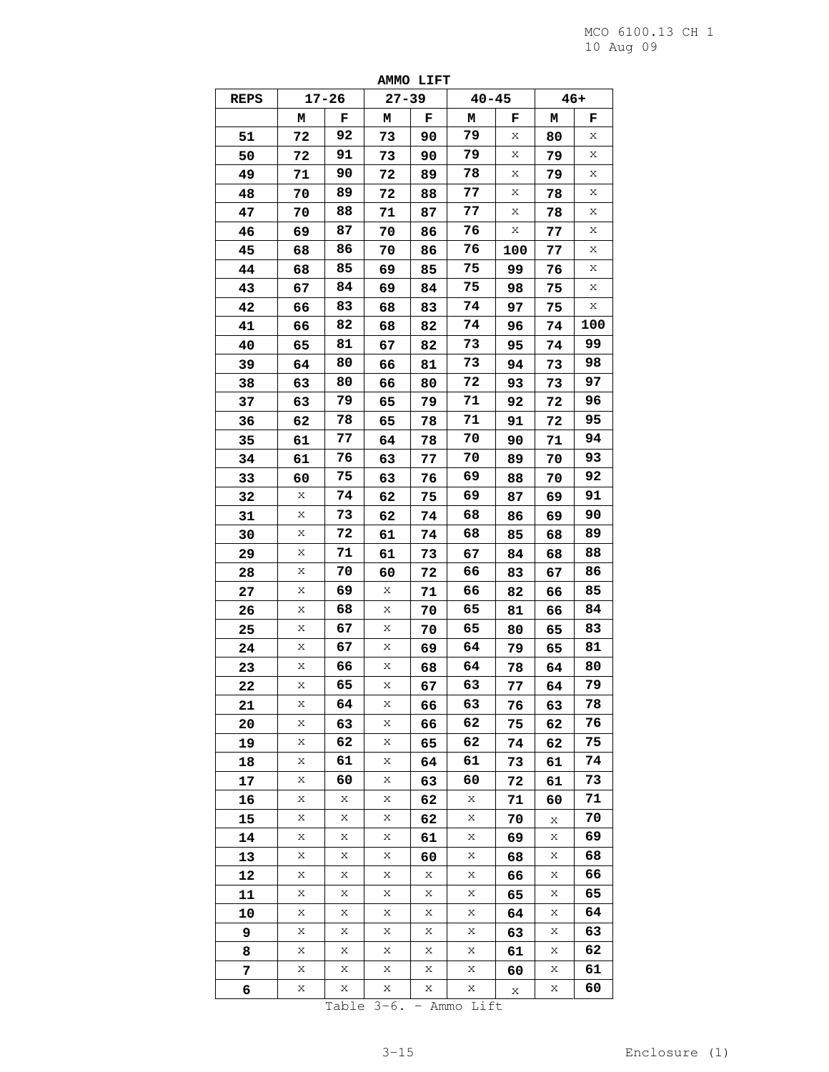| <b>REPS</b> |    | $17 - 26$ | ------<br>$27 - 39$ | ---- | $40 - 45$ |     | $46+$ |     |
|-------------|----|-----------|---------------------|------|-----------|-----|-------|-----|
|             | м  | F         | М                   | F    | Μ         | F   | М     | F   |
| 51          | 72 | 92        | 73                  | 90   | 79        | Х   | 80    | Χ   |
| 50          | 72 | 91        | 73                  | 90   | 79        | Χ   | 79    | X   |
| 49          | 71 | 90        | 72                  | 89   | 78        | Х   | 79    | Χ   |
| 48          | 70 | 89        | 72                  | 88   | 77        | Χ   | 78    | Χ   |
| 47          | 70 | 88        | 71                  | 87   | 77        | Х   | 78    | Χ   |
| 46          | 69 | 87        | 70                  | 86   | 76        | Х   | 77    | Χ   |
| 45          | 68 | 86        | 70                  | 86   | 76        | 100 | 77    | Χ   |
| 44          | 68 | 85        | 69                  | 85   | 75        | 99  | 76    | X   |
| 43          | 67 | 84        | 69                  | 84   | 75        | 98  | 75    | Χ   |
| 42          | 66 | 83        | 68                  | 83   | 74        | 97  | 75    | Χ   |
| 41          | 66 | 82        | 68                  | 82   | 74        | 96  | 74    | 100 |
| 40          | 65 | 81        | 67                  | 82   | 73        | 95  | 74    | 99  |
| 39          | 64 | 80        | 66                  | 81   | 73        | 94  | 73    | 98  |
| 38          | 63 | 80        | 66                  | 80   | 72        | 93  | 73    | 97  |
| 37          | 63 | 79        | 65                  | 79   | 71        | 92  | 72    | 96  |
| 36          | 62 | 78        | 65                  | 78   | 71        | 91  | 72    | 95  |
| 35          | 61 | 77        | 64                  | 78   | 70        | 90  | 71    | 94  |
| 34          | 61 | 76        | 63                  | 77   | 70        | 89  | 70    | 93  |
| 33          | 60 | 75        | 63                  | 76   | 69        | 88  | 70    | 92  |
| 32          | X  | 74        | 62                  | 75   | 69        | 87  | 69    | 91  |
| 31          | Χ  | 73        | 62                  | 74   | 68        | 86  | 69    | 90  |
| 30          | Χ  | 72        | 61                  | 74   | 68        | 85  | 68    | 89  |
| 29          | Χ  | 71        | 61                  | 73   | 67        | 84  | 68    | 88  |
| 28          | Χ  | 70        | 60                  | 72   | 66        | 83  | 67    | 86  |
| 27          | Χ  | 69        | Х                   | 71   | 66        | 82  | 66    | 85  |
| 26          | X  | 68        | Χ                   | 70   | 65        | 81  | 66    | 84  |
| 25          | Χ  | 67        | Χ                   | 70   | 65        | 80  | 65    | 83  |
| 24          | Χ  | 67        | Х                   | 69   | 64        | 79  | 65    | 81  |
| 23          | Χ  | 66        | Χ                   | 68   | 64        | 78  | 64    | 80  |
| 22          | Х  | 65        | Х                   | 67   | 63        | 77  | 64    | 79  |
| 21          | Χ  | 64        | Х                   | 66   | 63        | 76  | 63    | 78  |
| 20          | Χ  | 63        | Χ                   | 66   | 62        | 75  | 62    | 76  |
| 19          | Х  | 62        | Χ                   | 65   | 62        | 74  | 62    | 75  |
| 18          | Χ  | 61        | Χ                   | 64   | 61        | 73  | 61    | 74  |
| 17          | Χ  | 60        | Χ                   | 63   | 60        | 72  | 61    | 73  |
| 16          | Χ  | Χ         | Χ                   | 62   | Х         | 71  | 60    | 71  |
| 15          | Χ  | Χ         | Χ                   | 62   | Χ         | 70  | Х     | 70  |
| 14          | Χ  | Χ         | Χ                   | 61   | Χ         | 69  | Χ     | 69  |
| 13          | Х  | Χ         | Х                   | 60   | Χ         | 68  | Χ     | 68  |
| 12          | Χ  | Χ         | Χ                   | Χ    | Χ         | 66  | Χ     | 66  |
| 11          | X  | Χ         | Χ                   | X    | Χ         | 65  | Χ     | 65  |
| 10          | Χ  | Χ         | Χ                   | X    | Х         | 64  | Χ     | 64  |
| 9           | Χ  | Χ         | Χ                   | Χ    | X         | 63  | Χ     | 63  |
| 8           | Χ  | Χ         | Χ                   | Χ    | Χ         | 61  | Χ     | 62  |
| 7           | Χ  | Χ         | Х                   | Χ    | Х         | 60  | Χ     | 61  |
| 6           | Χ  | Χ         | Χ                   | Χ    | Χ         | Χ   | Χ     | 60  |
|             |    |           |                     |      |           |     |       |     |

**AMMO LIFT** 

Table 3-6. – Ammo Lift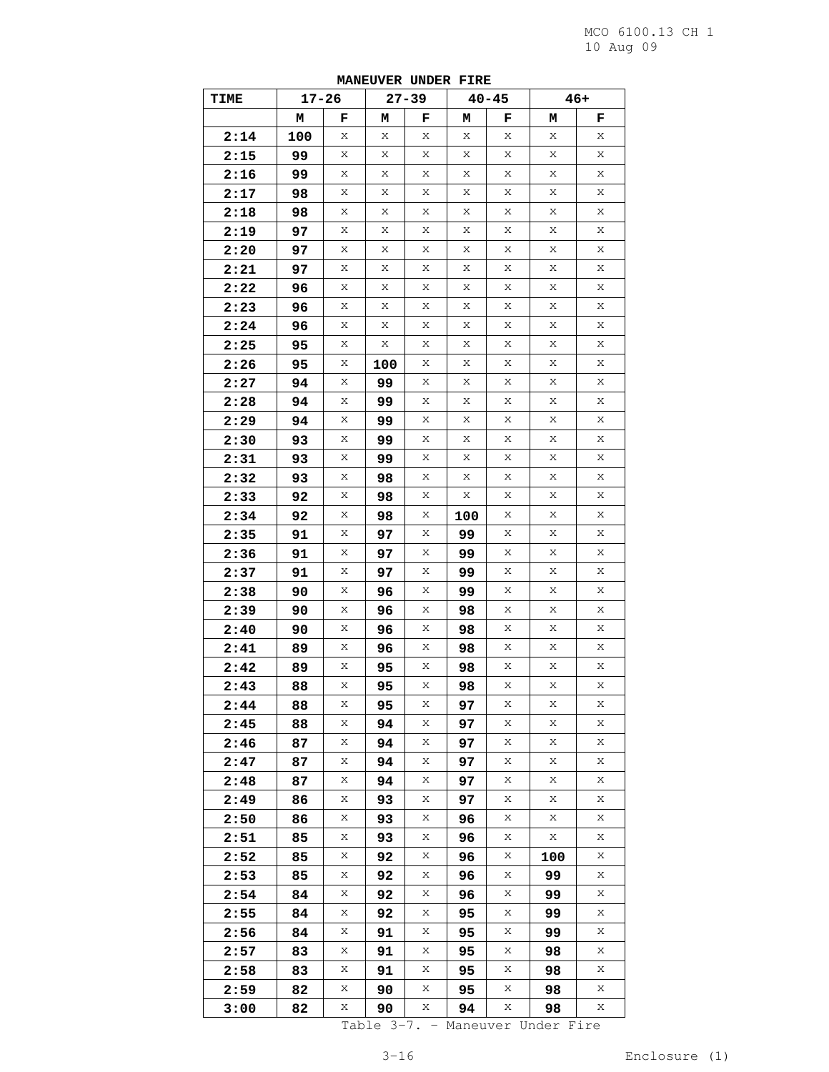| TIME | $17 - 26$ |   |     | $27 - 39$ |     | $40 - 45$ |     | 46+ |
|------|-----------|---|-----|-----------|-----|-----------|-----|-----|
|      | м         | F | м   | F         | м   | F         | м   | F   |
| 2:14 | 100       | Χ | Χ   | Χ         | Χ   | Χ         | X   | Χ   |
| 2:15 | 99        | Х | Х   | Х         | Х   | Х         | X   | Χ   |
| 2:16 | 99        | Χ | Χ   | Χ         | Χ   | Χ         | Χ   | Χ   |
| 2:17 | 98        | Χ | Х   | Х         | Χ   | Х         | Х   | Χ   |
| 2:18 | 98        | Х | Χ   | X         | X   | X         | X   | Х   |
| 2:19 | 97        | Χ | Χ   | Χ         | Χ   | Χ         | Χ   | Χ   |
| 2:20 | 97        | Χ | Х   | Х         | Χ   | Χ         | Х   | Χ   |
| 2:21 | 97        | Χ | Х   | Х         | Х   | X         | X   | Χ   |
| 2:22 | 96        | Χ | Χ   | Χ         | Χ   | Χ         | Χ   | Χ   |
| 2:23 | 96        | Χ | Х   | Χ         | Χ   | Х         | Х   | Χ   |
| 2:24 | 96        | Х | Χ   | X         | X   | X         | X   | Х   |
| 2:25 | 95        | Χ | Χ   | Χ         | Χ   | Χ         | Χ   | Χ   |
| 2:26 | 95        | Χ | 100 | Х         | Χ   | Χ         | Х   | Χ   |
| 2:27 | 94        | Х | 99  | Х         | Χ   | X         | X   | Χ   |
| 2:28 | 94        | Χ | 99  | Χ         | Χ   | Χ         | Χ   | Χ   |
| 2:29 | 94        | Χ | 99  | Х         | Χ   | Х         | Х   | Χ   |
| 2:30 | 93        | X | 99  | X         | X   | X         | X   | Х   |
| 2:31 | 93        | Χ | 99  | Χ         | Χ   | Χ         | Χ   | Χ   |
| 2:32 | 93        | Χ | 98  | Х         | Χ   | Χ         | Х   | Χ   |
| 2:33 | 92        | Х | 98  | Х         | Χ   | X         | X   | Χ   |
| 2:34 | 92        | Χ | 98  | Χ         | 100 | Χ         | Χ   | Χ   |
| 2:35 | 91        | Χ | 97  | Χ         | 99  | Х         | X   | Χ   |
| 2:36 | 91        | X | 97  | X         | 99  | X         | X   | Х   |
| 2:37 | 91        | Χ | 97  | Χ         | 99  | Χ         | Χ   | Χ   |
| 2:38 | 90        | Χ | 96  | Χ         | 99  | Χ         | Х   | Χ   |
| 2:39 | 90        | Χ | 96  | Х         | 98  | X         | X   | Х   |
| 2:40 | 90        | Χ | 96  | Χ         | 98  | Χ         | Χ   | Χ   |
| 2:41 | 89        | Χ | 96  | Х         | 98  | Х         | X   | Χ   |
| 2:42 | 89        | Х | 95  | X         | 98  | X         | X   | Χ   |
| 2:43 | 88        | X | 95  | Χ         | 98  | Χ         | X   | Χ   |
| 2:44 | 88        | Χ | 95  | Χ         | 97  | Χ         | Х   | Χ   |
| 2:45 | 88        | Χ | 94  | Х         | 97  | X         | Χ   | Χ   |
| 2:46 | 87        | Χ | 94  | Χ         | 97  | Χ         | Χ   | Χ   |
| 2:47 | 87        | Χ | 94  | Х         | 97  | Х         | X   | Χ   |
| 2:48 | 87        | Χ | 94  | Х         | 97  | X         | X   | Χ   |
| 2:49 | 86        | Χ | 93  | Χ         | 97  | Х         | Χ   | Χ   |
| 2:50 | 86        | Χ | 93  | Х         | 96  | X         | X   | Х   |
| 2:51 | 85        | Χ | 93  | Х         | 96  | X         | X   | Χ   |
| 2:52 | 85        | Χ | 92  | Χ         | 96  | Χ         | 100 | Х   |
| 2:53 | 85        | Χ | 92  | Х         | 96  | X         | 99  | Χ   |
| 2:54 | 84        | Χ | 92  | Х         | 96  | X         | 99  | Χ   |
| 2:55 | 84        | Χ | 92  | Χ         | 95  | Χ         | 99  | Χ   |
| 2:56 | 84        | Χ | 91  | Х         | 95  | X         | 99  | Χ   |
| 2:57 | 83        | Χ | 91  | Х         | 95  | X         | 98  | Χ   |
| 2:58 | 83        | Χ | 91  | Χ         | 95  | X         | 98  | Х   |
| 2:59 | 82        | Χ | 90  | Х         | 95  | X         | 98  | Х   |
| 3:00 | 82        | Х | 90  | Χ         | 94  | X         | 98  | Х   |

**MANEUVER UNDER FIRE** 

Table 3-7. – Maneuver Under Fire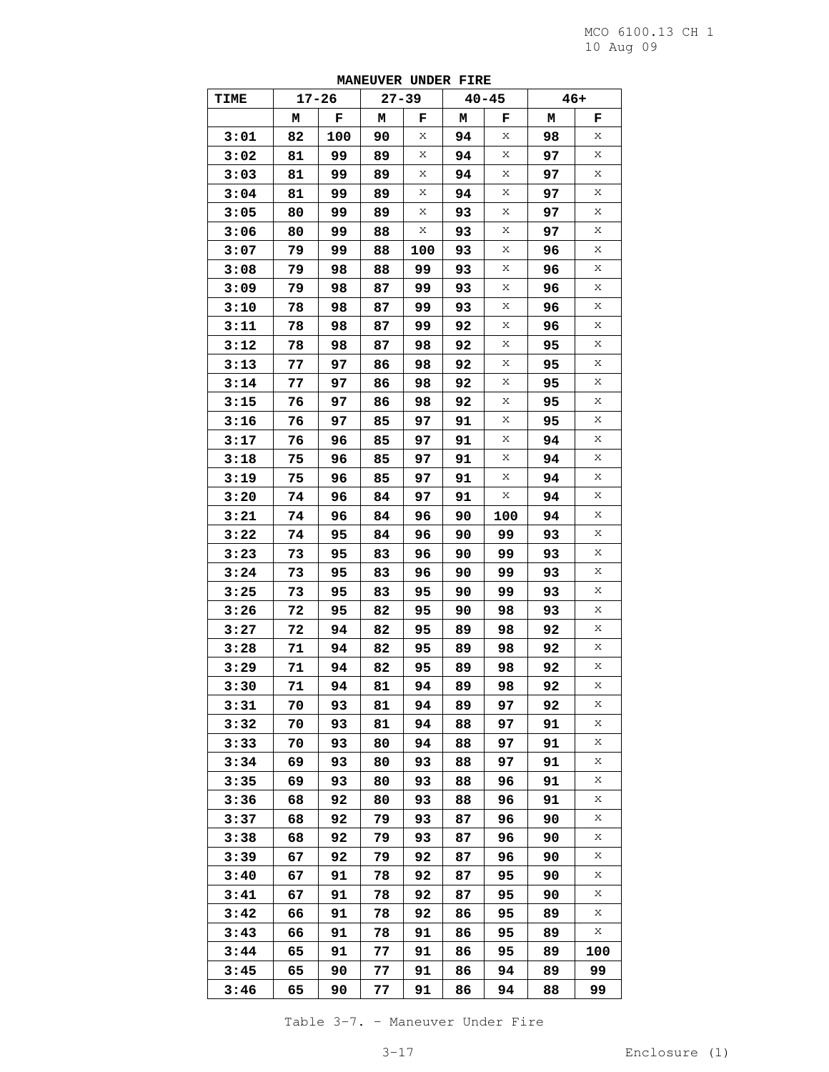|      |    |       | PERSONER ORDER FIRE |     |    |           |       |     |
|------|----|-------|---------------------|-----|----|-----------|-------|-----|
| TIME |    | 17-26 | $27 - 39$           |     |    | $40 - 45$ | $46+$ |     |
|      | Μ  | F     | М                   | F   | м  | F         | М     | F   |
| 3:01 | 82 | 100   | 90                  | Χ   | 94 | Χ         | 98    | Χ   |
| 3:02 | 81 | 99    | 89                  | Χ   | 94 | Χ         | 97    | X   |
| 3:03 | 81 | 99    | 89                  | Χ   | 94 | Χ         | 97    | Χ   |
| 3:04 | 81 | 99    | 89                  | Х   | 94 | X         | 97    | Χ   |
| 3:05 | 80 | 99    | 89                  | Χ   | 93 | Χ         | 97    | Χ   |
| 3:06 | 80 | 99    | 88                  | Χ   | 93 | Χ         | 97    | Χ   |
| 3:07 | 79 | 99    | 88                  | 100 | 93 | X         | 96    | Χ   |
| 3:08 | 79 | 98    | 88                  | 99  | 93 | Χ         | 96    | X   |
| 3:09 | 79 | 98    | 87                  | 99  | 93 | Χ         | 96    | Χ   |
| 3:10 | 78 | 98    | 87                  | 99  | 93 | X         | 96    | Χ   |
| 3:11 | 78 | 98    | 87                  | 99  | 92 | Χ         | 96    | Χ   |
|      |    |       |                     |     | 92 | Χ         |       | Χ   |
| 3:12 | 78 | 98    | 87                  | 98  |    | X         | 95    | Χ   |
| 3:13 | 77 | 97    | 86                  | 98  | 92 |           | 95    |     |
| 3:14 | 77 | 97    | 86                  | 98  | 92 | Χ         | 95    | X   |
| 3:15 | 76 | 97    | 86                  | 98  | 92 | Χ         | 95    | Χ   |
| 3:16 | 76 | 97    | 85                  | 97  | 91 | X         | 95    | Χ   |
| 3:17 | 76 | 96    | 85                  | 97  | 91 | Χ         | 94    | Χ   |
| 3:18 | 75 | 96    | 85                  | 97  | 91 | Χ         | 94    | Χ   |
| 3:19 | 75 | 96    | 85                  | 97  | 91 | X         | 94    | Χ   |
| 3:20 | 74 | 96    | 84                  | 97  | 91 | Χ         | 94    | X   |
| 3:21 | 74 | 96    | 84                  | 96  | 90 | 100       | 94    | Χ   |
| 3:22 | 74 | 95    | 84                  | 96  | 90 | 99        | 93    | Χ   |
| 3:23 | 73 | 95    | 83                  | 96  | 90 | 99        | 93    | Χ   |
| 3:24 | 73 | 95    | 83                  | 96  | 90 | 99        | 93    | Χ   |
| 3:25 | 73 | 95    | 83                  | 95  | 90 | 99        | 93    | Χ   |
| 3:26 | 72 | 95    | 82                  | 95  | 90 | 98        | 93    | X   |
| 3:27 | 72 | 94    | 82                  | 95  | 89 | 98        | 92    | Χ   |
| 3:28 | 71 | 94    | 82                  | 95  | 89 | 98        | 92    | Χ   |
| 3:29 | 71 | 94    | 82                  | 95  | 89 | 98        | 92    | Χ   |
| 3:30 | 71 | 94    | 81                  | 94  | 89 | 98        | 92    | Χ   |
| 3:31 | 70 | 93    | 81                  | 94  | 89 | 97        | 92    | Х   |
| 3:32 | 70 | 93    | 81                  | 94  | 88 | 97        | 91    | Χ   |
| 3:33 | 70 | 93    | 80                  | 94  | 88 | 97        | 91    | Χ   |
| 3:34 | 69 | 93    | 80                  | 93  | 88 | 97        | 91    | Χ   |
| 3:35 | 69 | 93    | 80                  | 93  | 88 | 96        | 91    | Χ   |
| 3:36 | 68 | 92    | 80                  | 93  | 88 | 96        | 91    | Χ   |
| 3:37 | 68 | 92    | 79                  | 93  | 87 | 96        | 90    | Χ   |
| 3:38 | 68 | 92    | 79                  | 93  | 87 | 96        | 90    | Χ   |
| 3:39 | 67 | 92    | 79                  | 92  | 87 | 96        | 90    | Χ   |
| 3:40 |    | 91    |                     | 92  |    |           |       | Χ   |
|      | 67 |       | 78                  |     | 87 | 95        | 90    | Χ   |
| 3:41 | 67 | 91    | 78                  | 92  | 87 | 95        | 90    |     |
| 3:42 | 66 | 91    | 78                  | 92  | 86 | 95        | 89    | Χ   |
| 3:43 | 66 | 91    | 78                  | 91  | 86 | 95        | 89    | Х   |
| 3:44 | 65 | 91    | 77                  | 91  | 86 | 95        | 89    | 100 |
| 3:45 | 65 | 90    | 77                  | 91  | 86 | 94        | 89    | 99  |
| 3:46 | 65 | 90    | 77                  | 91  | 86 | 94        | 88    | 99  |

**MANEUVER UNDER FIRE** 

Table 3-7. – Maneuver Under Fire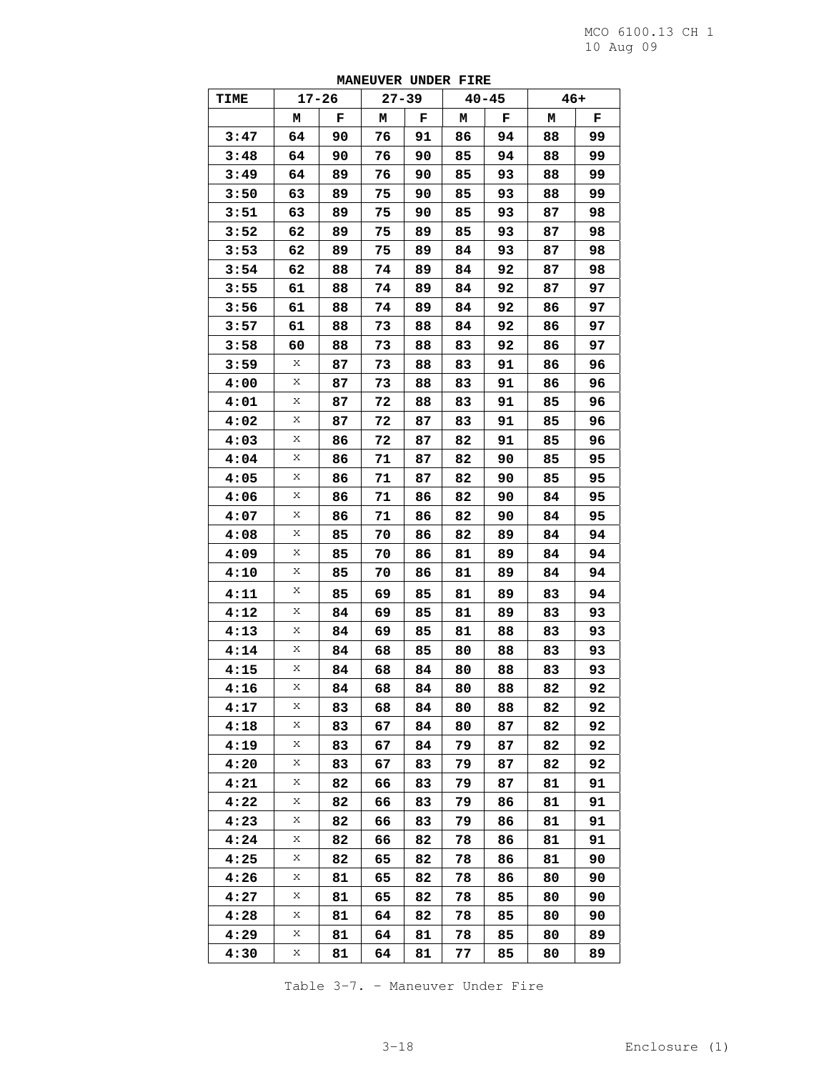| <b>TIME</b> | $17 - 26$ |    | $27 - 39$ |    |    | $40 - 45$ | $46+$ |    |
|-------------|-----------|----|-----------|----|----|-----------|-------|----|
|             | М         | F  | М         | F  | М  | F         | М     | F  |
| 3:47        | 64        | 90 | 76        | 91 | 86 | 94        | 88    | 99 |
| 3:48        | 64        | 90 | 76        | 90 | 85 | 94        | 88    | 99 |
| 3:49        | 64        | 89 | 76        | 90 | 85 | 93        | 88    | 99 |
| 3:50        | 63        | 89 | 75        | 90 | 85 | 93        | 88    | 99 |
| 3:51        | 63        | 89 | 75        | 90 | 85 | 93        | 87    | 98 |
| 3:52        | 62        | 89 | 75        | 89 | 85 | 93        | 87    | 98 |
| 3:53        | 62        | 89 | 75        | 89 | 84 | 93        | 87    | 98 |
| 3:54        | 62        | 88 | 74        | 89 | 84 | 92        | 87    | 98 |
| 3:55        | 61        | 88 | 74        | 89 | 84 | 92        | 87    | 97 |
| 3:56        | 61        | 88 | 74        | 89 | 84 | 92        | 86    | 97 |
| 3:57        | 61        | 88 | 73        | 88 | 84 | 92        | 86    | 97 |
| 3:58        | 60        | 88 | 73        | 88 | 83 | 92        | 86    | 97 |
| 3:59        | Χ         | 87 | 73        | 88 | 83 | 91        | 86    | 96 |
| 4:00        | Х         | 87 | 73        | 88 | 83 | 91        | 86    | 96 |
| 4:01        | Х         | 87 | 72        | 88 | 83 | 91        | 85    | 96 |
| 4:02        | Х         | 87 | 72        | 87 | 83 | 91        | 85    | 96 |
| 4:03        | Χ         | 86 | 72        | 87 | 82 | 91        | 85    | 96 |
| 4:04        | Х         | 86 | 71        | 87 | 82 | 90        | 85    | 95 |
| 4:05        | Х         | 86 | 71        | 87 | 82 | 90        | 85    | 95 |
| 4:06        | Х         | 86 | 71        | 86 | 82 | 90        | 84    | 95 |
| 4:07        | Х         | 86 | 71        | 86 | 82 | 90        | 84    | 95 |
| 4:08        | Х         | 85 | 70        | 86 | 82 | 89        | 84    | 94 |
| 4:09        | Χ         | 85 | 70        | 86 | 81 | 89        | 84    | 94 |
| 4:10        | Х         | 85 | 70        | 86 | 81 | 89        | 84    | 94 |
| 4:11        | Χ         | 85 | 69        | 85 | 81 | 89        | 83    | 94 |
| 4:12        | Х         | 84 | 69        | 85 | 81 | 89        | 83    | 93 |
| 4:13        | Х         | 84 | 69        | 85 | 81 | 88        | 83    | 93 |
| 4:14        | Χ         | 84 | 68        | 85 | 80 | 88        | 83    | 93 |
| 4:15        | Х         | 84 | 68        | 84 | 80 | 88        | 83    | 93 |
| 4:16        | Х         | 84 | 68        | 84 | 80 | 88        | 82    | 92 |
| 4:17        | Χ         | 83 | 68        | 84 | 80 | 88        | 82    | 92 |
| 4:18        | Χ         | 83 | 67        | 84 | 80 | 87        | 82    | 92 |
| 4:19        | Χ         | 83 | 67        | 84 | 79 | 87        | 82    | 92 |
| 4:20        | Χ         | 83 | 67        | 83 | 79 | 87        | 82    | 92 |
| 4:21        | Χ         | 82 | 66        | 83 | 79 | 87        | 81    | 91 |
| 4:22        | Χ         | 82 | 66        | 83 | 79 | 86        | 81    | 91 |
| 4:23        | Χ         | 82 | 66        | 83 | 79 | 86        | 81    | 91 |
| 4:24        | Χ         | 82 | 66        | 82 | 78 | 86        | 81    | 91 |
| 4:25        | Χ         | 82 | 65        | 82 | 78 | 86        | 81    | 90 |
| 4:26        | Χ         | 81 | 65        | 82 | 78 | 86        | 80    | 90 |
| 4:27        | Χ         | 81 | 65        | 82 | 78 | 85        | 80    | 90 |
| 4:28        | Χ         | 81 | 64        | 82 | 78 | 85        | 80    | 90 |
| 4:29        | Χ         | 81 | 64        | 81 | 78 | 85        | 80    | 89 |
| 4:30        | Χ         | 81 | 64        | 81 | 77 | 85        | 80    | 89 |

**MANEUVER UNDER FIRE** 

Table 3-7. – Maneuver Under Fire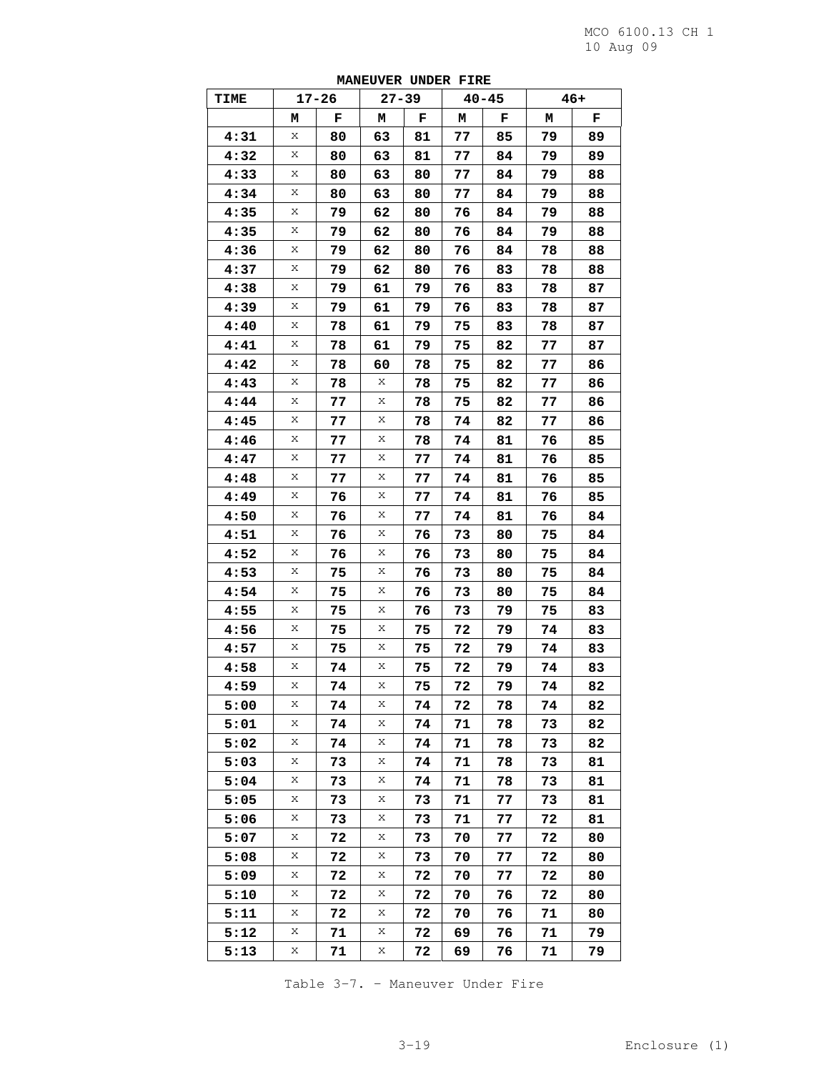| TIME |   | $17 - 26$ | $27 - 39$   |    |    | $40 - 45$ |    | $46+$ |
|------|---|-----------|-------------|----|----|-----------|----|-------|
|      | м | F         | М           | F  | М  | F         | м  | F     |
| 4:31 | Χ | 80        | 63          | 81 | 77 | 85        | 79 | 89    |
| 4:32 | Χ | 80        | 63          | 81 | 77 | 84        | 79 | 89    |
| 4:33 | Х | 80        | 63          | 80 | 77 | 84        | 79 | 88    |
| 4:34 | Х | 80        | 63          | 80 | 77 | 84        | 79 | 88    |
| 4:35 | Χ | 79        | 62          | 80 | 76 | 84        | 79 | 88    |
| 4:35 | Х | 79        | 62          | 80 | 76 | 84        | 79 | 88    |
| 4:36 | Χ | 79        | 62          | 80 | 76 | 84        | 78 | 88    |
| 4:37 | Χ | 79        | 62          | 80 | 76 | 83        | 78 | 88    |
| 4:38 | Х | 79        | 61          | 79 | 76 | 83        | 78 | 87    |
| 4:39 | Χ | 79        | 61          | 79 | 76 | 83        | 78 | 87    |
| 4:40 | Χ | 78        | 61          | 79 | 75 | 83        | 78 | 87    |
| 4:41 | Х | 78        | 61          | 79 | 75 | 82        | 77 | 87    |
| 4:42 | Χ | 78        | 60          | 78 | 75 | 82        | 77 | 86    |
| 4:43 | Χ | 78        | Χ           | 78 | 75 | 82        | 77 | 86    |
| 4:44 | Х | 77        | Χ           | 78 | 75 | 82        | 77 | 86    |
| 4:45 | Χ | 77        | Χ           | 78 | 74 | 82        | 77 | 86    |
| 4:46 | Χ | 77        | Χ           | 78 | 74 | 81        | 76 | 85    |
| 4:47 | Х | 77        | Χ           | 77 | 74 | 81        | 76 | 85    |
| 4:48 | Х | 77        | Χ           | 77 | 74 | 81        | 76 | 85    |
| 4:49 | Χ | 76        | Χ           | 77 | 74 | 81        | 76 | 85    |
| 4:50 | Х | 76        | Χ           | 77 | 74 | 81        | 76 | 84    |
| 4:51 | Χ | 76        | Χ           | 76 | 73 | 80        | 75 | 84    |
| 4:52 | Χ | 76        | Χ           | 76 | 73 | 80        | 75 | 84    |
| 4:53 | Х | 75        | Χ           | 76 | 73 | 80        | 75 | 84    |
| 4:54 | Х | 75        | Χ           | 76 | 73 | 80        | 75 | 84    |
| 4:55 | Χ | 75        | Χ           | 76 | 73 | 79        | 75 | 83    |
| 4:56 | Х | 75        | Χ           | 75 | 72 | 79        | 74 | 83    |
| 4:57 | Χ | 75        | Χ           | 75 | 72 | 79        | 74 | 83    |
| 4:58 | Χ | 74        | Χ           | 75 | 72 | 79        | 74 | 83    |
| 4:59 | Х | 74        | $\mathbf x$ | 75 | 72 | 79        | 74 | 82    |
| 5:00 | Χ | 74        | Χ           | 74 | 72 | 78        | 74 | 82    |
| 5:01 | Χ | 74        | Χ           | 74 | 71 | 78        | 73 | 82    |
| 5:02 | Х | 74        | Χ           | 74 | 71 | 78        | 73 | 82    |
| 5:03 | Χ | 73        | Χ           | 74 | 71 | 78        | 73 | 81    |
| 5:04 | Χ | 73        | Χ           | 74 | 71 | 78        | 73 | 81    |
| 5:05 | Χ | 73        | Χ           | 73 | 71 | 77        | 73 | 81    |
| 5:06 | Χ | 73        | Х           | 73 | 71 | 77        | 72 | 81    |
| 5:07 | Χ | 72        | Χ           | 73 | 70 | 77        | 72 | 80    |
| 5:08 | Х | 72        | Χ           | 73 | 70 | 77        | 72 | 80    |
| 5:09 | Χ | 72        | Χ           | 72 | 70 | 77        | 72 | 80    |
| 5:10 | Χ | 72        | Χ           | 72 | 70 | 76        | 72 | 80    |
| 5:11 | Χ | 72        | Χ           | 72 | 70 | 76        | 71 | 80    |
| 5:12 | Χ | 71        | Х           | 72 | 69 | 76        | 71 | 79    |
| 5:13 | Х | 71        | Χ           | 72 | 69 | 76        | 71 | 79    |

**MANEUVER UNDER FIRE** 

Table 3-7. – Maneuver Under Fire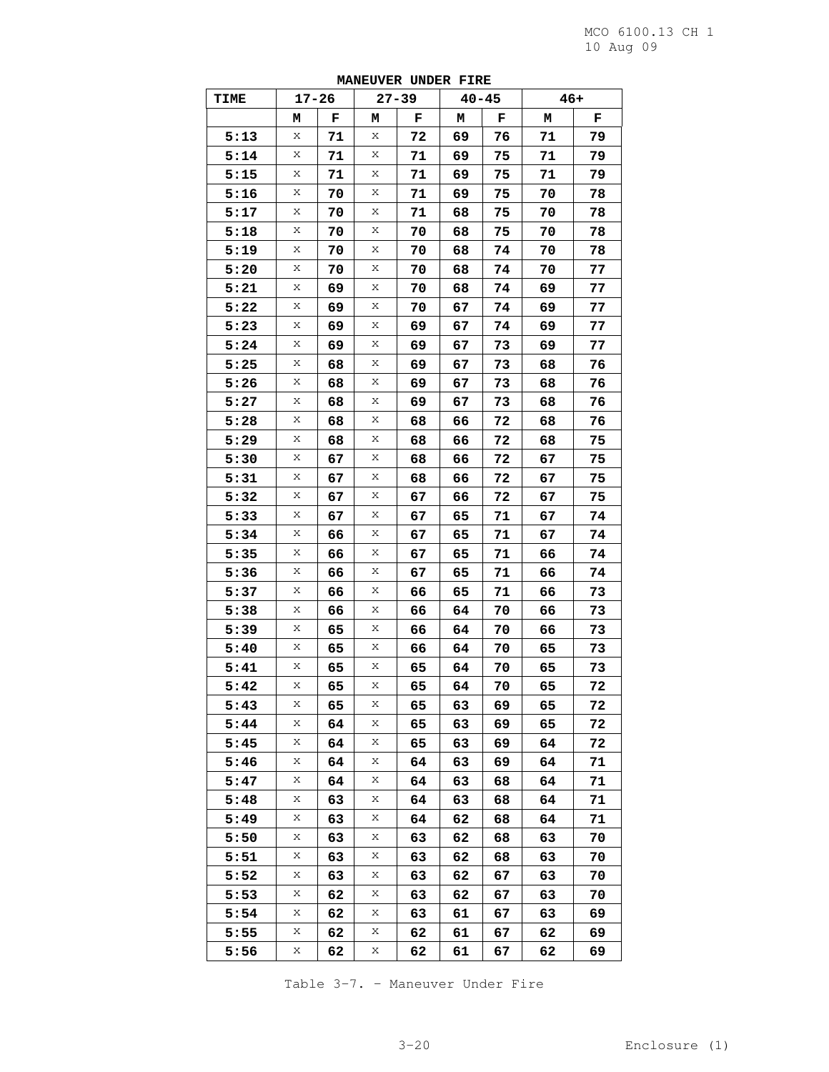| <b>TIME</b> | $17 - 26$ |    |   | $\sim$<br>$27 - 39$ | $40 - 45$ |    | $46+$ |    |
|-------------|-----------|----|---|---------------------|-----------|----|-------|----|
|             | М         | F  | М | F                   | М         | F  | М     | F  |
| 5:13        | Χ         | 71 | Χ | 72                  | 69        | 76 | 71    | 79 |
| 5:14        | Χ         | 71 | Χ | 71                  | 69        | 75 | 71    | 79 |
| 5:15        | Χ         | 71 | Χ | 71                  | 69        | 75 | 71    | 79 |
| 5:16        | Х         | 70 | Χ | 71                  | 69        | 75 | 70    | 78 |
| 5:17        | Χ         | 70 | Χ | 71                  | 68        | 75 | 70    | 78 |
| 5:18        | Χ         | 70 | Χ | 70                  | 68        | 75 | 70    | 78 |
| 5:19        | Х         | 70 | Χ | 70                  | 68        | 74 | 70    | 78 |
| 5:20        | Χ         | 70 | X | 70                  | 68        | 74 | 70    | 77 |
| 5:21        | Χ         | 69 | Χ | 70                  | 68        | 74 | 69    | 77 |
| 5:22        | Х         | 69 | Χ | 70                  | 67        | 74 | 69    | 77 |
| 5:23        | Χ         | 69 | Χ | 69                  | 67        | 74 | 69    | 77 |
| 5:24        | Χ         | 69 | Χ | 69                  | 67        | 73 | 69    | 77 |
| 5:25        | Χ         | 68 | Χ | 69                  | 67        | 73 | 68    | 76 |
| 5:26        | Χ         | 68 | X | 69                  | 67        | 73 | 68    | 76 |
| 5:27        | Χ         | 68 | Χ | 69                  | 67        | 73 | 68    | 76 |
| 5:28        | Х         | 68 | Χ | 68                  | 66        | 72 | 68    | 76 |
| 5:29        | Х         | 68 | Χ | 68                  | 66        | 72 | 68    | 75 |
| 5:30        | Χ         | 67 | Χ | 68                  | 66        | 72 | 67    | 75 |
| 5:31        | Χ         | 67 | Χ | 68                  | 66        | 72 | 67    | 75 |
| 5:32        | Χ         | 67 | X | 67                  | 66        | 72 | 67    | 75 |
| 5:33        | Χ         | 67 | Χ | 67                  | 65        | 71 | 67    | 74 |
| 5:34        | Х         | 66 | Χ | 67                  | 65        | 71 | 67    | 74 |
| 5:35        | Х         | 66 | Χ | 67                  | 65        | 71 | 66    | 74 |
| 5:36        | Χ         | 66 | Χ | 67                  | 65        | 71 | 66    | 74 |
| 5:37        | Χ         | 66 | Χ | 66                  | 65        | 71 | 66    | 73 |
| 5:38        | Х         | 66 | X | 66                  | 64        | 70 | 66    | 73 |
| 5:39        | Χ         | 65 | Χ | 66                  | 64        | 70 | 66    | 73 |
| 5:40        | Х         | 65 | Χ | 66                  | 64        | 70 | 65    | 73 |
| 5:41        | Х         | 65 | Χ | 65                  | 64        | 70 | 65    | 73 |
| 5:42        | Χ         | 65 | Х | 65                  | 64        | 70 | 65    | 72 |
| 5:43        | Х         | 65 | Х | 65                  | 63        | 69 | 65    | 72 |
| 5:44        | Χ         | 64 | Χ | 65                  | 63        | 69 | 65    | 72 |
| 5:45        | Χ         | 64 | Х | 65                  | 63        | 69 | 64    | 72 |
| 5:46        | Χ         | 64 | Χ | 64                  | 63        | 69 | 64    | 71 |
| 5:47        | Χ         | 64 | Χ | 64                  | 63        | 68 | 64    | 71 |
| 5:48        | Χ         | 63 | Х | 64                  | 63        | 68 | 64    | 71 |
| 5:49        | Χ         | 63 | Χ | 64                  | 62        | 68 | 64    | 71 |
| 5:50        | Χ         | 63 | Χ | 63                  | 62        | 68 | 63    | 70 |
| 5:51        | Χ         | 63 | Х | 63                  | 62        | 68 | 63    | 70 |
| 5:52        | Χ         | 63 | Χ | 63                  | 62        | 67 | 63    | 70 |
| 5:53        | Χ         | 62 | Χ | 63                  | 62        | 67 | 63    | 70 |
| 5:54        | Χ         | 62 | Х | 63                  | 61        | 67 | 63    | 69 |
| 5:55        | Χ         | 62 | Χ | 62                  | 61        | 67 | 62    | 69 |
| 5:56        | Χ         | 62 | Χ | 62                  | 61        | 67 | 62    | 69 |

**MANEUVER UNDER FIRE** 

Table 3-7. – Maneuver Under Fire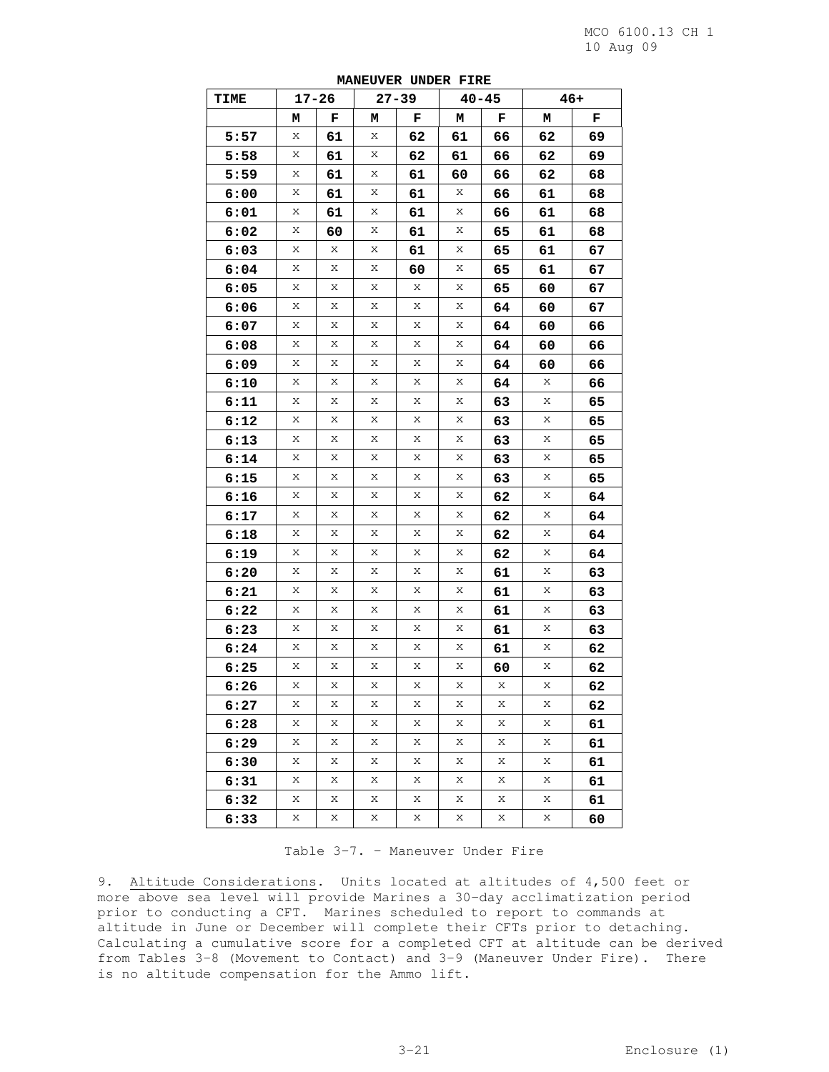| <b>TIME</b> |   | $17 - 26$ |   | $27 - 39$ |    | $40 - 45$ |    | $46+$ |  |
|-------------|---|-----------|---|-----------|----|-----------|----|-------|--|
|             | м | F         | м | F         | М  | F         | м  | F     |  |
| 5:57        | Χ | 61        | Х | 62        | 61 | 66        | 62 | 69    |  |
| 5:58        | Χ | 61        | Χ | 62        | 61 | 66        | 62 | 69    |  |
| 5:59        | Χ | 61        | X | 61        | 60 | 66        | 62 | 68    |  |
| 6:00        | Χ | 61        | Х | 61        | Χ  | 66        | 61 | 68    |  |
| 6:01        | Χ | 61        | Х | 61        | Χ  | 66        | 61 | 68    |  |
| 6:02        | Χ | 60        | Х | 61        | Χ  | 65        | 61 | 68    |  |
| 6:03        | Χ | Χ         | Х | 61        | Χ  | 65        | 61 | 67    |  |
| 6:04        | Χ | Χ         | Χ | 60        | Χ  | 65        | 61 | 67    |  |
| 6:05        | Χ | Χ         | X | Х         | X  | 65        | 60 | 67    |  |
| 6:06        | Χ | Χ         | Х | Χ         | Χ  | 64        | 60 | 67    |  |
| 6:07        | Χ | Χ         | Х | Χ         | Χ  | 64        | 60 | 66    |  |
| 6:08        | Χ | Χ         | X | X         | Χ  | 64        | 60 | 66    |  |
| 6:09        | Χ | Χ         | Х | Х         | Χ  | 64        | 60 | 66    |  |
| 6:10        | Χ | Χ         | Χ | Χ         | Χ  | 64        | Х  | 66    |  |
| 6:11        | Χ | Χ         | X | Х         | X  | 63        | X  | 65    |  |
| 6:12        | Χ | Χ         | Х | Х         | Χ  | 63        | Χ  | 65    |  |
| 6:13        | Χ | Χ         | Х | Χ         | Х  | 63        | Χ  | 65    |  |
| 6:14        | Χ | Χ         | X | X         | Χ  | 63        | Χ  | 65    |  |
| 6:15        | Χ | Χ         | Х | Х         | Χ  | 63        | Χ  | 65    |  |
| 6:16        | Χ | Χ         | Χ | Χ         | Χ  | 62        | Χ  | 64    |  |
| 6:17        | Χ | Χ         | X | Х         | X  | 62        | X  | 64    |  |
| 6:18        | Χ | Χ         | Х | Х         | Χ  | 62        | Χ  | 64    |  |
| 6:19        | Χ | Χ         | Х | Χ         | Х  | 62        | Χ  | 64    |  |
| 6:20        | Χ | Χ         | X | Х         | Χ  | 61        | Χ  | 63    |  |
| 6:21        | Χ | Χ         | Х | Х         | Χ  | 61        | Χ  | 63    |  |
| 6:22        | Χ | Χ         | Χ | Χ         | Χ  | 61        | Х  | 63    |  |
| 6:23        | Χ | Χ         | X | Х         | X  | 61        | X  | 63    |  |
| 6:24        | Χ | Χ         | Х | Χ         | Χ  | 61        | Χ  | 62    |  |
| 6:25        | Χ | Χ         | Х | Χ         | Χ  | 60        | Χ  | 62    |  |
| 6:26        | Χ | Χ         | Χ | Х         | X  | Х         | X  | 62    |  |
| 6:27        | Х | Χ         | Χ | Χ         | Χ  | Χ         | Χ  | 62    |  |
| 6:28        | Х | Х         | Χ | X         | X  | X         | X  | 61    |  |
| 6:29        | Χ | Χ         | Χ | Χ         | Χ  | Х         | X  | 61    |  |
| 6:30        | Χ | Х         | Χ | Χ         | X  | Х         | X  | 61    |  |
| 6:31        | Х | X         | Χ | X         | Х  | X         | X  | 61    |  |
| 6:32        | Χ | Х         | Χ | Χ         | Χ  | Χ         | Х  | 61    |  |
| 6:33        | Χ | Χ         | Χ | Х         | Χ  | Х         | Χ  | 60    |  |

**MANEUVER UNDER FIRE** 

#### Table 3-7. – Maneuver Under Fire

9. Altitude Considerations. Units located at altitudes of 4,500 feet or more above sea level will provide Marines a 30-day acclimatization period prior to conducting a CFT. Marines scheduled to report to commands at altitude in June or December will complete their CFTs prior to detaching. Calculating a cumulative score for a completed CFT at altitude can be derived from Tables 3-8 (Movement to Contact) and 3-9 (Maneuver Under Fire). There is no altitude compensation for the Ammo lift.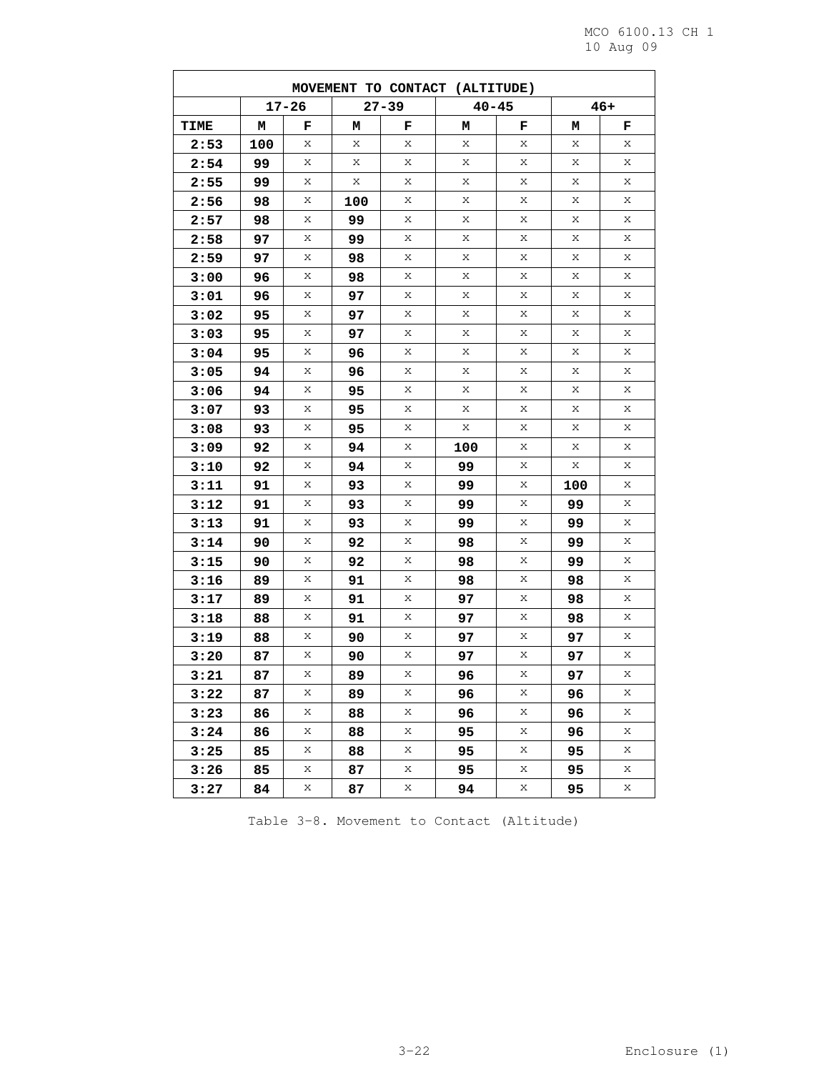| MOVEMENT TO CONTACT (ALTITUDE) |     |           |     |           |           |   |     |       |  |  |  |
|--------------------------------|-----|-----------|-----|-----------|-----------|---|-----|-------|--|--|--|
|                                |     | $17 - 26$ |     | $27 - 39$ | $40 - 45$ |   |     | $46+$ |  |  |  |
| <b>TIME</b>                    | м   | F         | м   | F         | М         | F | м   | F     |  |  |  |
| 2:53                           | 100 | Χ         | Χ   | Χ         | Χ         | Χ | Χ   | Х     |  |  |  |
| 2:54                           | 99  | Χ         | Х   | Χ         | Χ         | Χ | Χ   | Χ     |  |  |  |
| 2:55                           | 99  | Х         | Χ   | Х         | Χ         | Χ | Χ   | Χ     |  |  |  |
| 2:56                           | 98  | Χ         | 100 | Χ         | Х         | Х | Χ   | Χ     |  |  |  |
| 2:57                           | 98  | Χ         | 99  | Χ         | Х         | Χ | Χ   | Χ     |  |  |  |
| 2:58                           | 97  | Х         | 99  | х         | Χ         | х | х   | X     |  |  |  |
| 2:59                           | 97  | Χ         | 98  | Χ         | Χ         | Χ | Χ   | Χ     |  |  |  |
| 3:00                           | 96  | Χ         | 98  | Χ         | Χ         | Χ | Χ   | Χ     |  |  |  |
| 3:01                           | 96  | Χ         | 97  | Х         | Χ         | Х | Х   | Χ     |  |  |  |
| 3:02                           | 95  | Χ         | 97  | Χ         | Х         | Х | Χ   | Χ     |  |  |  |
| 3:03                           | 95  | Χ         | 97  | Χ         | Х         | Χ | Χ   | Χ     |  |  |  |
| 3:04                           | 95  | Χ         | 96  | х         | Χ         | х | х   | X     |  |  |  |
| 3:05                           | 94  | Χ         | 96  | Χ         | Χ         | Χ | Χ   | Χ     |  |  |  |
| 3:06                           | 94  | Χ         | 95  | Χ         | Χ         | Χ | Χ   | Χ     |  |  |  |
| 3:07                           | 93  | Χ         | 95  | Х         | Χ         | Х | Х   | Χ     |  |  |  |
| 3:08                           | 93  | Χ         | 95  | Χ         | Χ         | Х | Χ   | Χ     |  |  |  |
| 3:09                           | 92  | Χ         | 94  | Χ         | 100       | Χ | Χ   | Χ     |  |  |  |
| 3:10                           | 92  | Х         | 94  | х         | 99        | Х | Χ   | X     |  |  |  |
| 3:11                           | 91  | Χ         | 93  | Χ         | 99        | Х | 100 | Χ     |  |  |  |
| 3:12                           | 91  | Χ         | 93  | Χ         | 99        | Χ | 99  | Χ     |  |  |  |
| 3:13                           | 91  | Χ         | 93  | Х         | 99        | Х | 99  | Χ     |  |  |  |
| 3:14                           | 90  | Χ         | 92  | Х         | 98        | Х | 99  | Χ     |  |  |  |
| 3:15                           | 90  | Χ         | 92  | Χ         | 98        | Х | 99  | Χ     |  |  |  |
| 3:16                           | 89  | Х         | 91  | х         | 98        | Х | 98  | X     |  |  |  |
| 3:17                           | 89  | Χ         | 91  | Χ         | 97        | Х | 98  | Χ     |  |  |  |
| 3:18                           | 88  | Χ         | 91  | Χ         | 97        | Χ | 98  | Χ     |  |  |  |
| 3:19                           | 88  | Χ         | 90  | Х         | 97        | Х | 97  | Х     |  |  |  |
| 3:20                           | 87  | Χ         | 90  | Х         | 97        | Х | 97  | Χ     |  |  |  |
| 3:21                           | 87  | Χ         | 89  | Χ         | 96        | Χ | 97  | Χ     |  |  |  |
| 3:22                           | 87  | Χ         | 89  | Χ         | 96        | Χ | 96  | Χ     |  |  |  |
| 3:23                           | 86  | Χ         | 88  | Χ         | 96        | Χ | 96  | Χ     |  |  |  |
| 3:24                           | 86  | Χ         | 88  | Χ         | 95        | Χ | 96  | Χ     |  |  |  |
| 3:25                           | 85  | Χ         | 88  | Х         | 95        | Х | 95  | Х     |  |  |  |
| 3:26                           | 85  | Χ         | 87  | Χ         | 95        | Χ | 95  | Χ     |  |  |  |
| 3:27                           | 84  | Χ         | 87  | Χ         | 94        | Χ | 95  | Χ     |  |  |  |

Table 3-8. Movement to Contact (Altitude)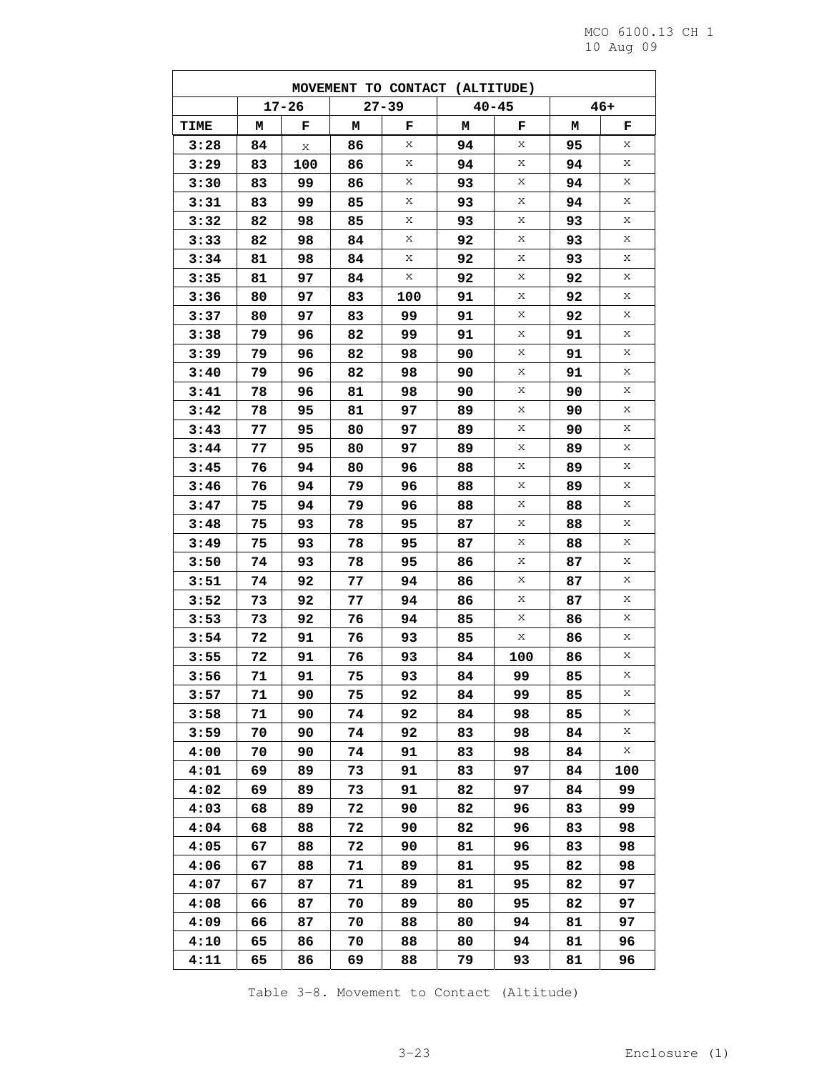$\overline{\phantom{0}}$ 

| MOVEMENT TO CONTACT (ALTITUDE) |          |           |          |           |           |        |          |        |  |  |
|--------------------------------|----------|-----------|----------|-----------|-----------|--------|----------|--------|--|--|
|                                |          | $17 - 26$ |          | $27 - 39$ | $40 - 45$ |        |          | $46+$  |  |  |
| <b>TIME</b>                    | М        | F         | м        | F         | м         | F      | М        | F      |  |  |
| 3:28                           | 84       | Χ         | 86       | Χ         | 94        | Χ      | 95       | Х      |  |  |
| 3:29                           | 83       | 100       | 86       | Χ         | 94        | Χ      | 94       | Χ      |  |  |
| 3:30                           | 83       | 99        | 86       | Χ         | 93        | Х      | 94       | Χ      |  |  |
| 3:31                           | 83       | 99        | 85       | Χ         | 93        | Χ      | 94       | Χ      |  |  |
| 3:32                           | 82       | 98        | 85       | Х         | 93        | Χ      | 93       | Χ      |  |  |
| 3:33                           | 82       | 98        | 84       | Χ         | 92        | Х      | 93       | Χ      |  |  |
| 3:34                           | 81       | 98        | 84       | Χ         | 92        | Χ      | 93       | Χ      |  |  |
| 3:35                           | 81       | 97        | 84       | Χ         | 92        | Χ      | 92       | Χ      |  |  |
| 3:36                           | 80       | 97        | 83       | 100       | 91        | Х      | 92       | Χ      |  |  |
| 3:37                           | 80       | 97        | 83       | 99        | 91        | Χ      | 92       | Χ      |  |  |
| 3:38                           | 79       | 96        | 82       | 99        | 91        | Χ      | 91       | Χ      |  |  |
| 3:39                           | 79       | 96        | 82       | 98        | 90        | Х      | 91       | Χ      |  |  |
| 3:40                           | 79       | 96        | 82       | 98        | 90        | Χ      | 91       | Χ      |  |  |
| 3:41                           | 78       | 96        | 81       | 98        | 90        | Χ      | 90       | Χ      |  |  |
| 3:42                           | 78       | 95        | 81       | 97        | 89        | Χ      | 90       | Χ      |  |  |
| 3:43                           | 77       | 95        | 80       | 97        | 89        | Χ      | 90       | Χ      |  |  |
| 3:44                           | 77       | 95        | 80       | 97        | 89        | Χ      | 89       | Χ      |  |  |
| 3:45                           | 76       | 94        | 80       | 96        | 88        | Χ<br>Χ | 89       | Χ<br>Χ |  |  |
| 3:46                           | 76       | 94        | 79       | 96        | 88        | Χ      | 89       | Χ      |  |  |
| 3:47                           | 75       | 94        | 79       | 96        | 88        | Χ      | 88       | Χ      |  |  |
| 3:48<br>3:49                   | 75<br>75 | 93<br>93  | 78<br>78 | 95<br>95  | 87<br>87  | Χ      | 88<br>88 | Χ      |  |  |
| 3:50                           | 74       | 93        | 78       | 95        | 86        | Χ      | 87       | Χ      |  |  |
| 3:51                           | 74       | 92        | 77       | 94        | 86        | Χ      | 87       | Χ      |  |  |
| 3:52                           | 73       | 92        | 77       | 94        | 86        | Χ      | 87       | Χ      |  |  |
| 3:53                           | 73       | 92        | 76       | 94        | 85        | Χ      | 86       | Χ      |  |  |
| 3:54                           | 72       | 91        | 76       | 93        | 85        | Χ      | 86       | Χ      |  |  |
| 3:55                           | 72       | 91        | 76       | 93        | 84        | 100    | 86       | Χ      |  |  |
| 3:56                           | 71       | 91        | 75       | 93        | 84        | 99     | 85       | Χ      |  |  |
| 3:57                           | 71       | 90        | 75       | 92        | 84        | 99     | 85       | Χ      |  |  |
| 3:58                           | 71       | 90        | 74       | 92        | 84        | 98     | 85       | Χ      |  |  |
| 3:59                           | 70       | 90        | 74       | 92        | 83        | 98     | 84       | Х      |  |  |
| 4:00                           | 70       | 90        | 74       | 91        | 83        | 98     | 84       | Χ      |  |  |
| 4:01                           | 69       | 89        | 73       | 91        | 83        | 97     | 84       | 100    |  |  |
| 4:02                           | 69       | 89        | 73       | 91        | 82        | 97     | 84       | 99     |  |  |
| 4:03                           | 68       | 89        | 72       | 90        | 82        | 96     | 83       | 99     |  |  |
| 4:04                           | 68       | 88        | 72       | 90        | 82        | 96     | 83       | 98     |  |  |
| 4:05                           | 67       | 88        | 72       | 90        | 81        | 96     | 83       | 98     |  |  |
| 4:06                           | 67       | 88        | 71       | 89        | 81        | 95     | 82       | 98     |  |  |
| 4:07                           | 67       | 87        | 71       | 89        | 81        | 95     | 82       | 97     |  |  |
| 4:08                           | 66       | 87        | 70       | 89        | 80        | 95     | 82       | 97     |  |  |
| 4:09                           | 66       | 87        | 70       | 88        | 80        | 94     | 81       | 97     |  |  |
| 4:10                           | 65       | 86        | 70       | 88        | 80        | 94     | 81       | 96     |  |  |
| 4:11                           | 65       | 86        | 69       | 88        | 79        | 93     | 81       | 96     |  |  |

Table 3-8. Movement to Contact (Altitude)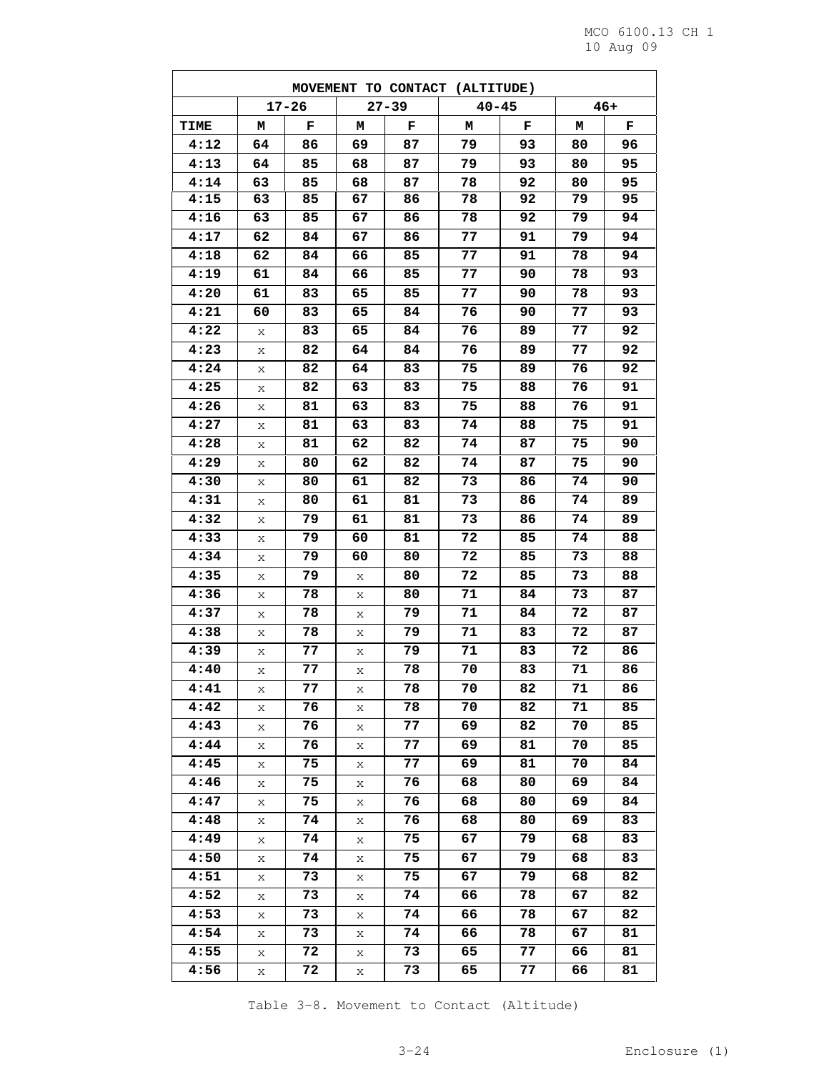$\overline{\phantom{0}}$ 

| MOVEMENT TO CONTACT (ALTITUDE) |    |           |    |           |           |    |    |       |  |  |
|--------------------------------|----|-----------|----|-----------|-----------|----|----|-------|--|--|
|                                |    | $17 - 26$ |    | $27 - 39$ | $40 - 45$ |    |    | $46+$ |  |  |
| TIME                           | м  | F         | м  | F         | м         | F  | м  | F     |  |  |
| 4:12                           | 64 | 86        | 69 | 87        | 79        | 93 | 80 | 96    |  |  |
| 4:13                           | 64 | 85        | 68 | 87        | 79        | 93 | 80 | 95    |  |  |
| 4:14                           | 63 | 85        | 68 | 87        | 78        | 92 | 80 | 95    |  |  |
| 4:15                           | 63 | 85        | 67 | 86        | 78        | 92 | 79 | 95    |  |  |
| 4:16                           | 63 | 85        | 67 | 86        | 78        | 92 | 79 | 94    |  |  |
| 4:17                           | 62 | 84        | 67 | 86        | 77        | 91 | 79 | 94    |  |  |
| 4:18                           | 62 | 84        | 66 | 85        | 77        | 91 | 78 | 94    |  |  |
| 4:19                           | 61 | 84        | 66 | 85        | 77        | 90 | 78 | 93    |  |  |
| 4:20                           | 61 | 83        | 65 | 85        | 77        | 90 | 78 | 93    |  |  |
| 4:21                           | 60 | 83        | 65 | 84        | 76        | 90 | 77 | 93    |  |  |
| 4:22                           | X  | 83        | 65 | 84        | 76        | 89 | 77 | 92    |  |  |
| 4:23                           | X  | 82        | 64 | 84        | 76        | 89 | 77 | 92    |  |  |
| 4:24                           | X  | 82        | 64 | 83        | 75        | 89 | 76 | 92    |  |  |
| 4:25                           | X  | 82        | 63 | 83        | 75        | 88 | 76 | 91    |  |  |
| 4:26                           | X  | 81        | 63 | 83        | 75        | 88 | 76 | 91    |  |  |
| 4:27                           | X  | 81        | 63 | 83        | 74        | 88 | 75 | 91    |  |  |
| 4:28                           | X  | 81        | 62 | 82        | 74        | 87 | 75 | 90    |  |  |
| 4:29                           | X  | 80        | 62 | 82        | 74        | 87 | 75 | 90    |  |  |
| 4:30                           | Х  | 80        | 61 | 82        | 73        | 86 | 74 | 90    |  |  |
| 4:31                           | X  | 80        | 61 | 81        | 73        | 86 | 74 | 89    |  |  |
| 4:32                           | X  | 79        | 61 | 81        | 73        | 86 | 74 | 89    |  |  |
| 4:33                           | X  | 79        | 60 | 81        | 72        | 85 | 74 | 88    |  |  |
| 4:34                           | X  | 79        | 60 | 80        | 72        | 85 | 73 | 88    |  |  |
| 4:35                           | X  | 79        | Х  | 80        | 72        | 85 | 73 | 88    |  |  |
| 4:36                           | X  | 78        | Χ  | 80        | 71        | 84 | 73 | 87    |  |  |
| 4:37                           | X  | 78        | X  | 79        | 71        | 84 | 72 | 87    |  |  |
| 4:38                           | X  | 78        | X  | 79        | 71        | 83 | 72 | 87    |  |  |
| 4:39                           | Χ  | 77        | Χ  | 79        | 71        | 83 | 72 | 86    |  |  |
| 4:40                           | Х  | 77        | Χ  | 78        | 70        | 83 | 71 | 86    |  |  |
| 4:41                           | Χ  | 77        | Χ  | 78        | 70        | 82 | 71 | 86    |  |  |
| 4:42                           | Χ  | 76        | X  | 78        | 70        | 82 | 71 | 85    |  |  |
| 4:43                           | Χ  | 76        | X  | 77        | 69        | 82 | 70 | 85    |  |  |
| 4:44                           | Х  | 76        | Х  | 77        | 69        | 81 | 70 | 85    |  |  |
| 4:45                           | X  | 75        | Х  | 77        | 69        | 81 | 70 | 84    |  |  |
| 4:46                           | Χ  | 75        | Χ  | 76        | 68        | 80 | 69 | 84    |  |  |
| 4:47                           | X  | 75        | X  | 76        | 68        | 80 | 69 | 84    |  |  |
| 4:48                           | Χ  | 74        | X  | 76        | 68        | 80 | 69 | 83    |  |  |
| 4:49                           | Χ  | 74        | Х  | 75        | 67        | 79 | 68 | 83    |  |  |
| 4:50                           | Χ  | 74        | Х  | 75        | 67        | 79 | 68 | 83    |  |  |
| 4:51                           | Χ  | 73        | X  | 75        | 67        | 79 | 68 | 82    |  |  |
| 4:52                           | X  | 73        | Х  | 74        | 66        | 78 | 67 | 82    |  |  |
| 4:53                           | X  | 73        | X  | 74        | 66        | 78 | 67 | 82    |  |  |
| 4:54                           | Χ  | 73        | Х  | 74        | 66        | 78 | 67 | 81    |  |  |
| 4:55                           | Χ  | 72        | Х  | 73        | 65        | 77 | 66 | 81    |  |  |
| 4:56                           | Χ  | 72        | X  | 73        | 65        | 77 | 66 | 81    |  |  |

Table 3-8. Movement to Contact (Altitude)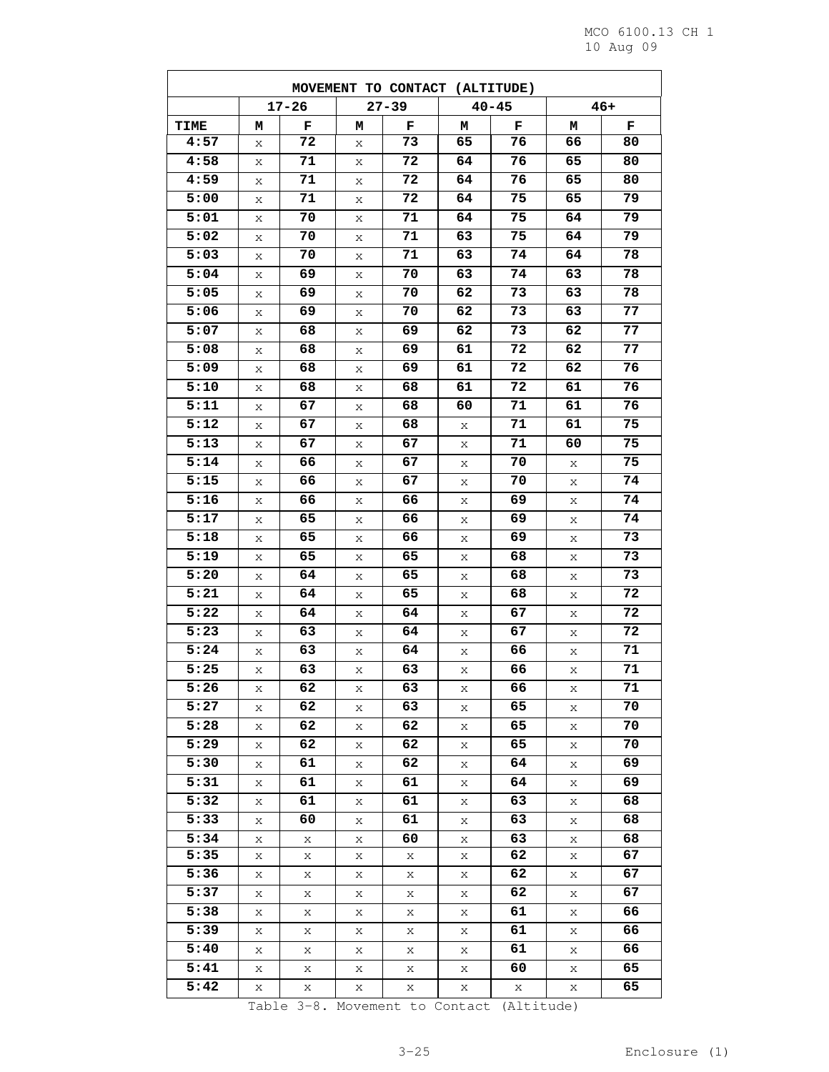|                   |   |           |           | MOVEMENT TO CONTACT (ALTITUDE) |    |           |    |       |
|-------------------|---|-----------|-----------|--------------------------------|----|-----------|----|-------|
|                   |   | $17 - 26$ | $27 - 39$ |                                |    | $40 - 45$ |    | $46+$ |
| <b>TIME</b>       | м | F         | м         | F                              | м  | F         | м  | F     |
| 4:57              | X | 72        | X         | 73                             | 65 | 76        | 66 | 80    |
| 4:58              | Χ | 71        | Χ         | 72                             | 64 | 76        | 65 | 80    |
| 4:59              | Χ | 71        | Χ         | 72                             | 64 | 76        | 65 | 80    |
| 5:00              | Χ | 71        | Х         | 72                             | 64 | 75        | 65 | 79    |
| 5:01              | Χ | 70        | X         | 71                             | 64 | 75        | 64 | 79    |
| 5:02              | Χ | 70        | X         | 71                             | 63 | 75        | 64 | 79    |
| $\overline{5:03}$ | Х | 70        | Х         | 71                             | 63 | 74        | 64 | 78    |
| 5:04              | X | 69        | X         | 70                             | 63 | 74        | 63 | 78    |
| 5:05              | Χ | 69        | X         | 70                             | 62 | 73        | 63 | 78    |
| 5:06              | Χ | 69        | Χ         | 70                             | 62 | 73        | 63 | 77    |
| 5:07              | Χ | 68        | X         | 69                             | 62 | 73        | 62 | 77    |
| 5:08              | Χ | 68        | X         | 69                             | 61 | 72        | 62 | 77    |
| 5:09              | Χ | 68        | Χ         | 69                             | 61 | 72        | 62 | 76    |
| 5:10              | Χ | 68        | X         | 68                             | 61 | 72        | 61 | 76    |
| 5:11              | Χ | 67        | X         | 68                             | 60 | 71        | 61 | 76    |
| 5:12              | Χ | 67        | X         | 68                             | X  | 71        | 61 | 75    |
| 5:13              | Χ | 67        | X         | 67                             | X  | 71        | 60 | 75    |
| $\overline{5:14}$ | Χ | 66        | Χ         | 67                             | Χ  | 70        | Х  | 75    |
| 5:15              | Χ | 66        | Χ         | 67                             | Χ  | 70        | Х  | 74    |
| 5:16              | Х | 66        | X         | 66                             | Х  | 69        | X  | 74    |
| 5:17              | X | 65        | X         | 66                             | X  | 69        | X  | 74    |
| 5:18              | Χ | 65        | Χ         | 66                             | Х  | 69        | Х  | 73    |
| 5:19              | Χ | 65        | X         | 65                             | X  | 68        | X  | 73    |
| 5:20              | Χ | 64        | Χ         | 65                             | X  | 68        | Χ  | 73    |
| 5:21              | Χ | 64        | X         | 65                             | Χ  | 68        | Χ  | 72    |
| 5:22              | Х | 64        | Х         | 64                             | Χ  | 67        | Χ  | 72    |
| 5:23              | Χ | 63        | X         | 64                             | Х  | 67        | X  | 72    |
| 5:24              | Χ | 63        | Χ         | 64                             | Χ  | 66        | Χ  | 71    |
| 5:25              | Χ | 63        | Χ         | 63                             | X  | 66        | X  | 71    |
| 5:26              | X | 62        | Х         | 63                             | Χ  | 66        | Χ  | 71    |
| 5:27              | X | 62        | X         | 63                             | X  | 65        | X  | 70    |
| 5:28              | X | 62        | Х         | 62                             | X  | 65        | Χ  | 70    |
| 5:29              | X | 62        | X         | 62                             | Χ  | 65        | Χ  | 70    |
| 5:30              | X | 61        | Χ         | 62                             | X  | 64        | X  | 69    |
| 5:31              | X | 61        | Х         | 61                             | X  | 64        | X  | 69    |
| 5:32              | X | 61        | X         | 61                             | X  | 63        | X  | 68    |
| 5:33              | X | 60        | X         | 61                             | X  | 63        | X  | 68    |
| 5:34              | X | X         | Χ         | 60                             | X  | 63        | Χ  | 68    |
| 5:35              | X | X         | Χ         | X                              | X  | 62        | X  | 67    |
| 5:36              | X | X         | X         | X                              | X  | 62        | Χ  | 67    |
| 5:37              | X | Χ         | Х         | X                              | X  | 62        | Χ  | 67    |
| 5:38              | X | X         | Χ         | X                              | Χ  | 61        | X  | 66    |
| 5:39              | X | X         | Χ         | X                              | X  | 61        | X  | 66    |
| 5:40              | X | Χ         | X         | X                              | X  | 61        | X  | 66    |
| 5:41              | X | Χ         | X         | X                              | X  | 60        | X  | 65    |
| 5:42              | X | X         | X         | X                              | X  | X         | X  | 65    |
|                   |   |           |           |                                |    |           |    |       |

Table 3-8. Movement to Contact (Altitude)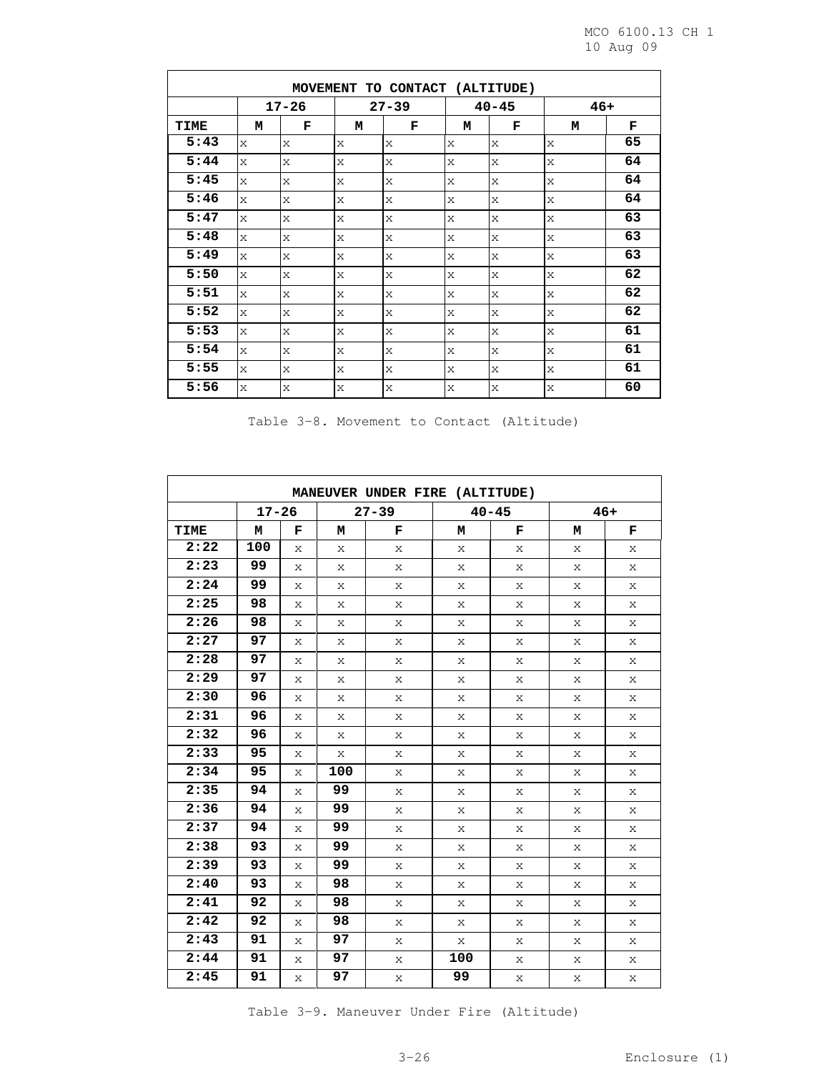| MOVEMENT TO CONTACT (ALTITUDE) |              |              |           |              |              |           |              |       |  |  |
|--------------------------------|--------------|--------------|-----------|--------------|--------------|-----------|--------------|-------|--|--|
|                                |              | $17 - 26$    |           | $27 - 39$    |              | $40 - 45$ |              | $46+$ |  |  |
| TIME                           | М            | F            | М         | F            | М            | F         | М            | F     |  |  |
| 5:43                           | $\mathsf{x}$ | X            | X         | X            | $\mathsf{x}$ | X         | $\mathbf x$  | 65    |  |  |
| 5:44                           | $\mathsf{x}$ | X            | X         | X            | $\mathsf{x}$ | X         | $\mathbf x$  | 64    |  |  |
| 5:45                           | $\mathsf{x}$ | $\mathsf{x}$ | X         | X            | $\mathsf{x}$ | X         | $\times$     | 64    |  |  |
| 5:46                           | X            | X            | X         | X            | X            | X         | $\mathbf{x}$ | 64    |  |  |
| 5:47                           | $\bar{X}$    | X            | X         | X            | $\mathsf{x}$ | X         | $\rm X$      | 63    |  |  |
| 5:48                           | $\mathsf{x}$ | X            | X         | X            | $\mathsf{x}$ | X         | $\mathbf x$  | 63    |  |  |
| 5:49                           | $\mathbf{x}$ | X            | X         | X            | $\mathsf{x}$ | X         | $\mathbf x$  | 63    |  |  |
| 5:50                           | $\mathsf{x}$ | X            | X         | X            | $\mathsf{x}$ | X         | $\mathbf{x}$ | 62    |  |  |
| 5:51                           | $\mathsf{x}$ | X            | X         | X            | X            | X         | $\mathbf{x}$ | 62    |  |  |
| 5:52                           | $\bar{X}$    | X            | $\bar{X}$ | X            | $\mathbf{x}$ | X         | $\mathbf x$  | 62    |  |  |
| 5:53                           | $\mathsf{x}$ | X            | X         | $\mathsf{x}$ | $\mathsf{x}$ | X         | $\mathbf x$  | 61    |  |  |
| 5:54                           | $\mathsf{x}$ | X            | X         | X            | $\mathsf{x}$ | X         | $\mathbf x$  | 61    |  |  |
| 5:55                           | $\mathsf{x}$ | X            | X         | X            | $\mathbf{x}$ | X         | $\mathbf{x}$ | 61    |  |  |
| 5:56                           | X            | X            | X         | X            | X            | X         | $\mathbf x$  | 60    |  |  |

Table 3-8. Movement to Contact (Altitude)

| MANEUVER UNDER FIRE (ALTITUDE) |           |   |     |           |     |           |   |       |  |  |  |
|--------------------------------|-----------|---|-----|-----------|-----|-----------|---|-------|--|--|--|
|                                | $17 - 26$ |   |     | $27 - 39$ |     | $40 - 45$ |   | $46+$ |  |  |  |
| TIME                           | М         | F | м   | F         | М   | F         | м | F     |  |  |  |
| 2:22                           | 100       | X | X   | X         | X   | X         | X | X     |  |  |  |
| 2:23                           | 99        | X | X   | X         | X   | X         | X | X     |  |  |  |
| 2:24                           | 99        | X | X   | X         | X   | X         | X | X     |  |  |  |
| 2:25                           | 98        | X | X   | X         | X   | X         | X | X     |  |  |  |
| 2:26                           | 98        | X | X   | X         | X   | X         | X | X     |  |  |  |
| 2:27                           | 97        | X | X   | X         | X   | X         | X | X     |  |  |  |
| 2:28                           | 97        | X | X   | X         | X   | X         | X | X     |  |  |  |
| 2:29                           | 97        | X | X   | X         | X   | X         | X | X     |  |  |  |
| 2:30                           | 96        | X | X   | X         | X   | X         | X | X     |  |  |  |
| 2:31                           | 96        | X | X   | X         | X   | X         | X | X     |  |  |  |
| 2:32                           | 96        | X | X   | X         | X   | X         | X | X     |  |  |  |
| 2:33                           | 95        | X | X   | X         | X   | X         | X | X     |  |  |  |
| 2:34                           | 95        | X | 100 | X         | X   | X         | X | X     |  |  |  |
| 2:35                           | 94        | X | 99  | X         | X   | X         | X | X     |  |  |  |
| 2:36                           | 94        | X | 99  | X         | X   | X         | X | X     |  |  |  |
| 2:37                           | 94        | X | 99  | X         | X   | X         | X | X     |  |  |  |
| 2:38                           | 93        | X | 99  | X         | X   | X         | X | X     |  |  |  |
| 2:39                           | 93        | X | 99  | X         | X   | X         | X | X     |  |  |  |
| 2:40                           | 93        | X | 98  | X         | X   | X         | X | X     |  |  |  |
| 2:41                           | 92        | X | 98  | X         | X   | X         | X | X     |  |  |  |
| 2:42                           | 92        | X | 98  | X         | X   | X         | X | X     |  |  |  |
| 2:43                           | 91        | X | 97  | X         | X   | X         | X | X     |  |  |  |
| 2:44                           | 91        | X | 97  | X         | 100 | X         | X | X     |  |  |  |
| 2:45                           | 91        | X | 97  | X         | 99  | X         | X | X     |  |  |  |

Table 3-9. Maneuver Under Fire (Altitude)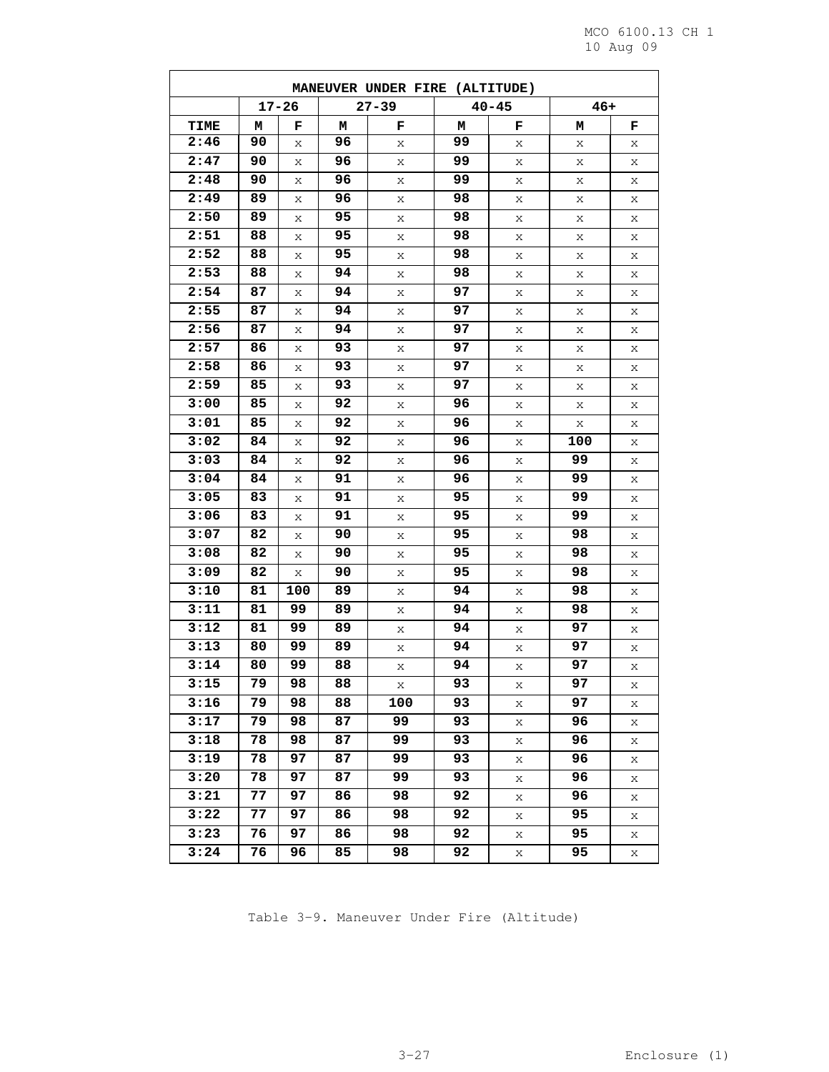|      | MANEUVER UNDER FIRE (ALTITUDE) |           |    |           |    |           |       |   |  |  |  |  |
|------|--------------------------------|-----------|----|-----------|----|-----------|-------|---|--|--|--|--|
|      |                                | $17 - 26$ |    | $27 - 39$ |    | $40 - 45$ | $46+$ |   |  |  |  |  |
| TIME | м                              | F         | м  | F         | м  | F         | м     | F |  |  |  |  |
| 2:46 | 90                             | Х         | 96 | Χ         | 99 | X         | X     | Χ |  |  |  |  |
| 2:47 | 90                             | Χ         | 96 | X         | 99 | Χ         | Χ     | Χ |  |  |  |  |
| 2:48 | 90                             | Χ         | 96 | Χ         | 99 | Χ         | Χ     | X |  |  |  |  |
| 2:49 | 89                             | Χ         | 96 | Χ         | 98 | Χ         | Χ     | Х |  |  |  |  |
| 2:50 | 89                             | X         | 95 | Χ         | 98 | Χ         | Χ     | Χ |  |  |  |  |
| 2:51 | 88                             | X         | 95 | Χ         | 98 | X         | Χ     | Х |  |  |  |  |
| 2:52 | 88                             | X         | 95 | X         | 98 | Χ         | Χ     | Χ |  |  |  |  |
| 2:53 | 88                             | X         | 94 | Χ         | 98 | Χ         | Χ     | X |  |  |  |  |
| 2:54 | 87                             | X         | 94 | Χ         | 97 | Χ         | Χ     | X |  |  |  |  |
| 2:55 | 87                             | Χ         | 94 | X         | 97 | Χ         | Χ     | Χ |  |  |  |  |
| 2:56 | 87                             | X         | 94 | X         | 97 | Χ         | Χ     | X |  |  |  |  |
| 2:57 | 86                             | X         | 93 | X         | 97 | X         | X     | X |  |  |  |  |
| 2:58 | 86                             | X         | 93 | Χ         | 97 | Χ         | Χ     | Χ |  |  |  |  |
| 2:59 | 85                             | Х         | 93 | Χ         | 97 | Х         | Χ     | X |  |  |  |  |
| 3:00 | 85                             | X         | 92 | X         | 96 | Χ         | Χ     | Х |  |  |  |  |
| 3:01 | 85                             | X         | 92 | Χ         | 96 | Χ         | Χ     | X |  |  |  |  |
| 3:02 | 84                             | Χ         | 92 | X         | 96 | Χ         | 100   | Х |  |  |  |  |
| 3:03 | 84                             | X         | 92 | Χ         | 96 | Χ         | 99    | X |  |  |  |  |
| 3:04 | 84                             | X         | 91 | Χ         | 96 | Χ         | 99    | X |  |  |  |  |
| 3:05 | 83                             | Χ         | 91 | Χ         | 95 | Χ         | 99    | Χ |  |  |  |  |
| 3:06 | 83                             | X         | 91 | X         | 95 | X         | 99    | Χ |  |  |  |  |
| 3:07 | 82                             | Χ         | 90 | X         | 95 | Χ         | 98    | Χ |  |  |  |  |
| 3:08 | 82                             | X         | 90 | Χ         | 95 | Χ         | 98    | X |  |  |  |  |
| 3:09 | 82                             | Χ         | 90 | Χ         | 95 | Χ         | 98    | Х |  |  |  |  |
| 3:10 | 81                             | 100       | 89 | Χ         | 94 | Χ         | 98    | Χ |  |  |  |  |
| 3:11 | 81                             | 99        | 89 | Χ         | 94 | X         | 98    | Х |  |  |  |  |
| 3:12 | 81                             | 99        | 89 | X         | 94 | Χ         | 97    | Х |  |  |  |  |
| 3:13 | 80                             | 99        | 89 | Χ         | 94 | Χ         | 97    | Х |  |  |  |  |
| 3:14 | 80                             | 99        | 88 | Χ         | 94 | Χ         | 97    | Х |  |  |  |  |
| 3:15 | 79                             | 98        | 88 | Χ         | 93 | Χ         | 97    | Χ |  |  |  |  |
| 3:16 | 79                             | 98        | 88 | 100       | 93 | X         | 97    | Χ |  |  |  |  |
| 3:17 | 79                             | 98        | 87 | 99        | 93 | X         | 96    | X |  |  |  |  |
| 3:18 | 78                             | 98        | 87 | 99        | 93 | Χ         | 96    | Χ |  |  |  |  |
| 3:19 | 78                             | 97        | 87 | 99        | 93 | Χ         | 96    | Χ |  |  |  |  |
| 3:20 | 78                             | 97        | 87 | 99        | 93 | X         | 96    | X |  |  |  |  |
| 3:21 | 77                             | 97        | 86 | 98        | 92 | X         | 96    | Χ |  |  |  |  |
| 3:22 | 77                             | 97        | 86 | 98        | 92 | X         | 95    | Χ |  |  |  |  |
| 3:23 | 76                             | 97        | 86 | 98        | 92 | X         | 95    | Χ |  |  |  |  |
| 3:24 | 76                             | 96        | 85 | 98        | 92 | Χ         | 95    | X |  |  |  |  |

Table 3-9. Maneuver Under Fire (Altitude)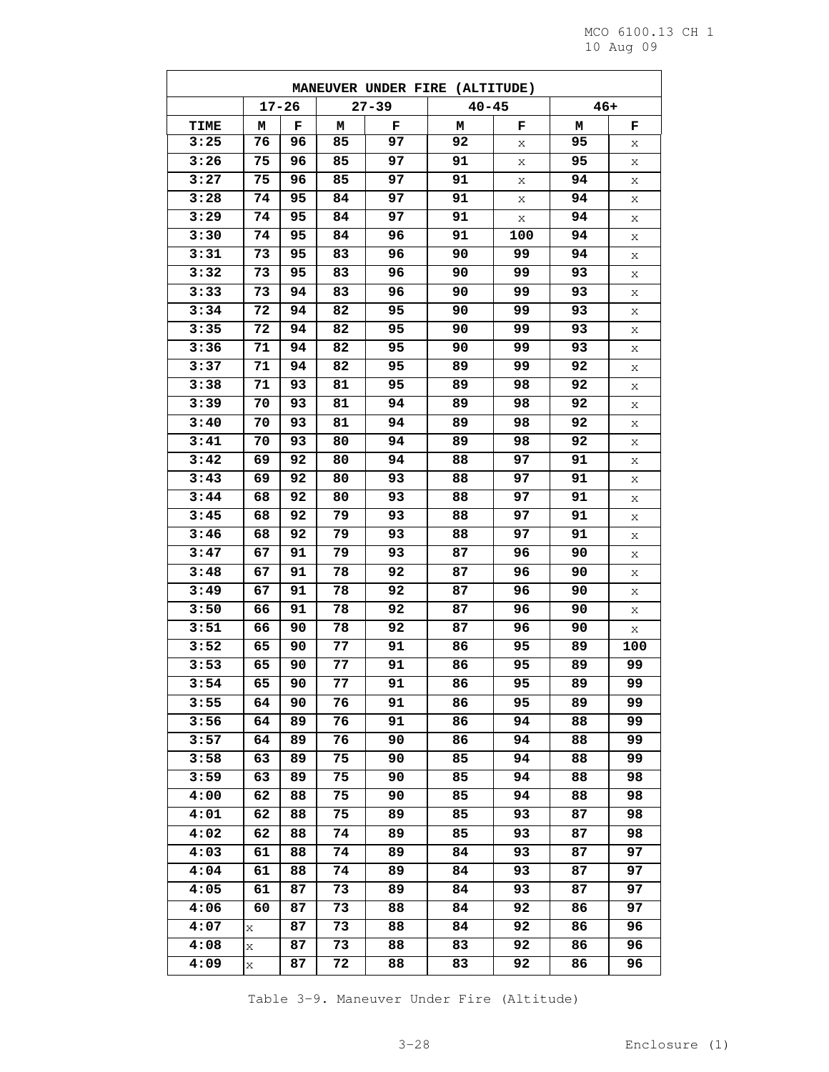| $17 - 26$<br>$40 - 45$<br>$46+$<br>$27 - 39$<br><b>TIME</b><br>м<br>F<br>F<br>м<br>м<br>F<br>м<br>F<br>92<br>3:25<br>76<br>97<br>95<br>96<br>85<br>Χ<br>Х<br>3:26<br>75<br>91<br>95<br>96<br>85<br>97<br>X<br>Χ<br>3:27<br>97<br>91<br>75<br>96<br>85<br>94<br>Χ<br>Χ<br>3:28<br>91<br>74<br>95<br>84<br>97<br>94<br>Χ<br>Χ<br>3:29<br>95<br>97<br>91<br>94<br>74<br>84<br>X<br>Χ<br>3:30<br>95<br>91<br>94<br>74<br>84<br>96<br>100<br>Χ<br>3:31<br>90<br>73<br>95<br>83<br>96<br>99<br>94<br>Χ<br>3:32<br>73<br>95<br>83<br>96<br>90<br>99<br>93<br>Χ<br>3:33<br>94<br>83<br>93<br>73<br>96<br>90<br>99<br>Χ<br>3:34<br>95<br>72<br>94<br>82<br>90<br>99<br>93<br>Χ<br>3:35<br>93<br>72<br>94<br>82<br>95<br>90<br>99<br>Χ<br>3:36<br>94<br>93<br>71<br>82<br>95<br>90<br>99<br>X<br>3:37<br>71<br>94<br>82<br>95<br>99<br>92<br>89<br>Χ<br>3:38<br>71<br>95<br>89<br>93<br>81<br>98<br>92<br>Χ<br>3:39<br>94<br>89<br>92<br>70<br>93<br>81<br>98<br>Χ<br>92<br>3:40<br>70<br>93<br>81<br>94<br>89<br>98<br>Χ<br>3:41<br>89<br>70<br>93<br>80<br>94<br>98<br>92<br>Χ<br>3:42<br>92<br>97<br>91<br>69<br>80<br>94<br>88<br>Χ<br>3:43<br>91<br>69<br>92<br>80<br>93<br>88<br>97<br>Χ<br>3:44<br>93<br>68<br>92<br>80<br>88<br>97<br>91<br>Χ<br>3:45<br>79<br>93<br>97<br>91<br>68<br>92<br>88<br>Х<br>3:46<br>68<br>92<br>79<br>93<br>88<br>97<br>91<br>Χ<br>3:47<br>67<br>91<br>93<br>87<br>96<br>90<br>79<br>Χ<br>3:48<br>91<br>92<br>87<br>67<br>78<br>96<br>90<br>Χ<br>3:49<br>91<br>92<br>87<br>67<br>78<br>96<br>90<br>Χ<br>3:50<br>91<br>92<br>87<br>66<br>78<br>96<br>90<br>Χ<br>3:51<br>87<br>66<br>90<br>78<br>92<br>96<br>90<br>X<br>3:52<br>77<br>90<br>91<br>86<br>95<br>89<br>100<br>65<br>3:53<br>65<br>90<br>77<br>91<br>86<br>95<br>89<br>99<br>3:54<br>99<br>65<br>90<br>77<br>91<br>86<br>95<br>89<br>3:55<br>76<br>91<br>86<br>95<br>89<br>99<br>64<br>90<br>3:56<br>86<br>94<br>99<br>64<br>89<br>76<br>91<br>88<br>3:57<br>90<br>86<br>94<br>64<br>89<br>76<br>88<br>99<br>3:58<br>63<br>75<br>85<br>89<br>90<br>94<br>88<br>99<br>3:59<br>63<br>89<br>85<br>94<br>88<br>98<br>75<br>90<br>4:00<br>85<br>88<br>62<br>88<br>75<br>90<br>94<br>98<br>4:01<br>75<br>89<br>85<br>93<br>87<br>98<br>62<br>88<br>4:02<br>62<br>88<br>74<br>89<br>85<br>93<br>87<br>98<br>4:03<br>61<br>88<br>74<br>84<br>93<br>87<br>97<br>89<br>4:04<br>61<br>88<br>74<br>89<br>84<br>93<br>87<br>97<br>4:05<br>61<br>87<br>73<br>84<br>93<br>97<br>89<br>87<br>4:06<br>92<br>60<br>87<br>73<br>88<br>84<br>86<br>97<br>4:07<br>84<br>92<br>87<br>73<br>88<br>86<br>96<br>X<br>4:08<br>83<br>87<br>73<br>88<br>92<br>86<br>96<br>Χ<br>4:09<br>83<br>92<br>87<br>72<br>88<br>86<br>96<br>Χ | MANEUVER UNDER FIRE (ALTITUDE) |  |  |  |  |  |  |  |  |  |  |
|--------------------------------------------------------------------------------------------------------------------------------------------------------------------------------------------------------------------------------------------------------------------------------------------------------------------------------------------------------------------------------------------------------------------------------------------------------------------------------------------------------------------------------------------------------------------------------------------------------------------------------------------------------------------------------------------------------------------------------------------------------------------------------------------------------------------------------------------------------------------------------------------------------------------------------------------------------------------------------------------------------------------------------------------------------------------------------------------------------------------------------------------------------------------------------------------------------------------------------------------------------------------------------------------------------------------------------------------------------------------------------------------------------------------------------------------------------------------------------------------------------------------------------------------------------------------------------------------------------------------------------------------------------------------------------------------------------------------------------------------------------------------------------------------------------------------------------------------------------------------------------------------------------------------------------------------------------------------------------------------------------------------------------------------------------------------------------------------------------------------------------------------------------------------------------------------------------------------------------------------------------------------------------------------------------------------------------------------------------------------------------------------------------------------------------------------------------------------------------------------------------------------------------------------------------------------------------------------------------------------------------------------------------------------------------------------|--------------------------------|--|--|--|--|--|--|--|--|--|--|
|                                                                                                                                                                                                                                                                                                                                                                                                                                                                                                                                                                                                                                                                                                                                                                                                                                                                                                                                                                                                                                                                                                                                                                                                                                                                                                                                                                                                                                                                                                                                                                                                                                                                                                                                                                                                                                                                                                                                                                                                                                                                                                                                                                                                                                                                                                                                                                                                                                                                                                                                                                                                                                                                                            |                                |  |  |  |  |  |  |  |  |  |  |
|                                                                                                                                                                                                                                                                                                                                                                                                                                                                                                                                                                                                                                                                                                                                                                                                                                                                                                                                                                                                                                                                                                                                                                                                                                                                                                                                                                                                                                                                                                                                                                                                                                                                                                                                                                                                                                                                                                                                                                                                                                                                                                                                                                                                                                                                                                                                                                                                                                                                                                                                                                                                                                                                                            |                                |  |  |  |  |  |  |  |  |  |  |
|                                                                                                                                                                                                                                                                                                                                                                                                                                                                                                                                                                                                                                                                                                                                                                                                                                                                                                                                                                                                                                                                                                                                                                                                                                                                                                                                                                                                                                                                                                                                                                                                                                                                                                                                                                                                                                                                                                                                                                                                                                                                                                                                                                                                                                                                                                                                                                                                                                                                                                                                                                                                                                                                                            |                                |  |  |  |  |  |  |  |  |  |  |
|                                                                                                                                                                                                                                                                                                                                                                                                                                                                                                                                                                                                                                                                                                                                                                                                                                                                                                                                                                                                                                                                                                                                                                                                                                                                                                                                                                                                                                                                                                                                                                                                                                                                                                                                                                                                                                                                                                                                                                                                                                                                                                                                                                                                                                                                                                                                                                                                                                                                                                                                                                                                                                                                                            |                                |  |  |  |  |  |  |  |  |  |  |
|                                                                                                                                                                                                                                                                                                                                                                                                                                                                                                                                                                                                                                                                                                                                                                                                                                                                                                                                                                                                                                                                                                                                                                                                                                                                                                                                                                                                                                                                                                                                                                                                                                                                                                                                                                                                                                                                                                                                                                                                                                                                                                                                                                                                                                                                                                                                                                                                                                                                                                                                                                                                                                                                                            |                                |  |  |  |  |  |  |  |  |  |  |
|                                                                                                                                                                                                                                                                                                                                                                                                                                                                                                                                                                                                                                                                                                                                                                                                                                                                                                                                                                                                                                                                                                                                                                                                                                                                                                                                                                                                                                                                                                                                                                                                                                                                                                                                                                                                                                                                                                                                                                                                                                                                                                                                                                                                                                                                                                                                                                                                                                                                                                                                                                                                                                                                                            |                                |  |  |  |  |  |  |  |  |  |  |
|                                                                                                                                                                                                                                                                                                                                                                                                                                                                                                                                                                                                                                                                                                                                                                                                                                                                                                                                                                                                                                                                                                                                                                                                                                                                                                                                                                                                                                                                                                                                                                                                                                                                                                                                                                                                                                                                                                                                                                                                                                                                                                                                                                                                                                                                                                                                                                                                                                                                                                                                                                                                                                                                                            |                                |  |  |  |  |  |  |  |  |  |  |
|                                                                                                                                                                                                                                                                                                                                                                                                                                                                                                                                                                                                                                                                                                                                                                                                                                                                                                                                                                                                                                                                                                                                                                                                                                                                                                                                                                                                                                                                                                                                                                                                                                                                                                                                                                                                                                                                                                                                                                                                                                                                                                                                                                                                                                                                                                                                                                                                                                                                                                                                                                                                                                                                                            |                                |  |  |  |  |  |  |  |  |  |  |
|                                                                                                                                                                                                                                                                                                                                                                                                                                                                                                                                                                                                                                                                                                                                                                                                                                                                                                                                                                                                                                                                                                                                                                                                                                                                                                                                                                                                                                                                                                                                                                                                                                                                                                                                                                                                                                                                                                                                                                                                                                                                                                                                                                                                                                                                                                                                                                                                                                                                                                                                                                                                                                                                                            |                                |  |  |  |  |  |  |  |  |  |  |
|                                                                                                                                                                                                                                                                                                                                                                                                                                                                                                                                                                                                                                                                                                                                                                                                                                                                                                                                                                                                                                                                                                                                                                                                                                                                                                                                                                                                                                                                                                                                                                                                                                                                                                                                                                                                                                                                                                                                                                                                                                                                                                                                                                                                                                                                                                                                                                                                                                                                                                                                                                                                                                                                                            |                                |  |  |  |  |  |  |  |  |  |  |
|                                                                                                                                                                                                                                                                                                                                                                                                                                                                                                                                                                                                                                                                                                                                                                                                                                                                                                                                                                                                                                                                                                                                                                                                                                                                                                                                                                                                                                                                                                                                                                                                                                                                                                                                                                                                                                                                                                                                                                                                                                                                                                                                                                                                                                                                                                                                                                                                                                                                                                                                                                                                                                                                                            |                                |  |  |  |  |  |  |  |  |  |  |
|                                                                                                                                                                                                                                                                                                                                                                                                                                                                                                                                                                                                                                                                                                                                                                                                                                                                                                                                                                                                                                                                                                                                                                                                                                                                                                                                                                                                                                                                                                                                                                                                                                                                                                                                                                                                                                                                                                                                                                                                                                                                                                                                                                                                                                                                                                                                                                                                                                                                                                                                                                                                                                                                                            |                                |  |  |  |  |  |  |  |  |  |  |
|                                                                                                                                                                                                                                                                                                                                                                                                                                                                                                                                                                                                                                                                                                                                                                                                                                                                                                                                                                                                                                                                                                                                                                                                                                                                                                                                                                                                                                                                                                                                                                                                                                                                                                                                                                                                                                                                                                                                                                                                                                                                                                                                                                                                                                                                                                                                                                                                                                                                                                                                                                                                                                                                                            |                                |  |  |  |  |  |  |  |  |  |  |
|                                                                                                                                                                                                                                                                                                                                                                                                                                                                                                                                                                                                                                                                                                                                                                                                                                                                                                                                                                                                                                                                                                                                                                                                                                                                                                                                                                                                                                                                                                                                                                                                                                                                                                                                                                                                                                                                                                                                                                                                                                                                                                                                                                                                                                                                                                                                                                                                                                                                                                                                                                                                                                                                                            |                                |  |  |  |  |  |  |  |  |  |  |
|                                                                                                                                                                                                                                                                                                                                                                                                                                                                                                                                                                                                                                                                                                                                                                                                                                                                                                                                                                                                                                                                                                                                                                                                                                                                                                                                                                                                                                                                                                                                                                                                                                                                                                                                                                                                                                                                                                                                                                                                                                                                                                                                                                                                                                                                                                                                                                                                                                                                                                                                                                                                                                                                                            |                                |  |  |  |  |  |  |  |  |  |  |
|                                                                                                                                                                                                                                                                                                                                                                                                                                                                                                                                                                                                                                                                                                                                                                                                                                                                                                                                                                                                                                                                                                                                                                                                                                                                                                                                                                                                                                                                                                                                                                                                                                                                                                                                                                                                                                                                                                                                                                                                                                                                                                                                                                                                                                                                                                                                                                                                                                                                                                                                                                                                                                                                                            |                                |  |  |  |  |  |  |  |  |  |  |
|                                                                                                                                                                                                                                                                                                                                                                                                                                                                                                                                                                                                                                                                                                                                                                                                                                                                                                                                                                                                                                                                                                                                                                                                                                                                                                                                                                                                                                                                                                                                                                                                                                                                                                                                                                                                                                                                                                                                                                                                                                                                                                                                                                                                                                                                                                                                                                                                                                                                                                                                                                                                                                                                                            |                                |  |  |  |  |  |  |  |  |  |  |
|                                                                                                                                                                                                                                                                                                                                                                                                                                                                                                                                                                                                                                                                                                                                                                                                                                                                                                                                                                                                                                                                                                                                                                                                                                                                                                                                                                                                                                                                                                                                                                                                                                                                                                                                                                                                                                                                                                                                                                                                                                                                                                                                                                                                                                                                                                                                                                                                                                                                                                                                                                                                                                                                                            |                                |  |  |  |  |  |  |  |  |  |  |
|                                                                                                                                                                                                                                                                                                                                                                                                                                                                                                                                                                                                                                                                                                                                                                                                                                                                                                                                                                                                                                                                                                                                                                                                                                                                                                                                                                                                                                                                                                                                                                                                                                                                                                                                                                                                                                                                                                                                                                                                                                                                                                                                                                                                                                                                                                                                                                                                                                                                                                                                                                                                                                                                                            |                                |  |  |  |  |  |  |  |  |  |  |
|                                                                                                                                                                                                                                                                                                                                                                                                                                                                                                                                                                                                                                                                                                                                                                                                                                                                                                                                                                                                                                                                                                                                                                                                                                                                                                                                                                                                                                                                                                                                                                                                                                                                                                                                                                                                                                                                                                                                                                                                                                                                                                                                                                                                                                                                                                                                                                                                                                                                                                                                                                                                                                                                                            |                                |  |  |  |  |  |  |  |  |  |  |
|                                                                                                                                                                                                                                                                                                                                                                                                                                                                                                                                                                                                                                                                                                                                                                                                                                                                                                                                                                                                                                                                                                                                                                                                                                                                                                                                                                                                                                                                                                                                                                                                                                                                                                                                                                                                                                                                                                                                                                                                                                                                                                                                                                                                                                                                                                                                                                                                                                                                                                                                                                                                                                                                                            |                                |  |  |  |  |  |  |  |  |  |  |
|                                                                                                                                                                                                                                                                                                                                                                                                                                                                                                                                                                                                                                                                                                                                                                                                                                                                                                                                                                                                                                                                                                                                                                                                                                                                                                                                                                                                                                                                                                                                                                                                                                                                                                                                                                                                                                                                                                                                                                                                                                                                                                                                                                                                                                                                                                                                                                                                                                                                                                                                                                                                                                                                                            |                                |  |  |  |  |  |  |  |  |  |  |
|                                                                                                                                                                                                                                                                                                                                                                                                                                                                                                                                                                                                                                                                                                                                                                                                                                                                                                                                                                                                                                                                                                                                                                                                                                                                                                                                                                                                                                                                                                                                                                                                                                                                                                                                                                                                                                                                                                                                                                                                                                                                                                                                                                                                                                                                                                                                                                                                                                                                                                                                                                                                                                                                                            |                                |  |  |  |  |  |  |  |  |  |  |
|                                                                                                                                                                                                                                                                                                                                                                                                                                                                                                                                                                                                                                                                                                                                                                                                                                                                                                                                                                                                                                                                                                                                                                                                                                                                                                                                                                                                                                                                                                                                                                                                                                                                                                                                                                                                                                                                                                                                                                                                                                                                                                                                                                                                                                                                                                                                                                                                                                                                                                                                                                                                                                                                                            |                                |  |  |  |  |  |  |  |  |  |  |
|                                                                                                                                                                                                                                                                                                                                                                                                                                                                                                                                                                                                                                                                                                                                                                                                                                                                                                                                                                                                                                                                                                                                                                                                                                                                                                                                                                                                                                                                                                                                                                                                                                                                                                                                                                                                                                                                                                                                                                                                                                                                                                                                                                                                                                                                                                                                                                                                                                                                                                                                                                                                                                                                                            |                                |  |  |  |  |  |  |  |  |  |  |
|                                                                                                                                                                                                                                                                                                                                                                                                                                                                                                                                                                                                                                                                                                                                                                                                                                                                                                                                                                                                                                                                                                                                                                                                                                                                                                                                                                                                                                                                                                                                                                                                                                                                                                                                                                                                                                                                                                                                                                                                                                                                                                                                                                                                                                                                                                                                                                                                                                                                                                                                                                                                                                                                                            |                                |  |  |  |  |  |  |  |  |  |  |
|                                                                                                                                                                                                                                                                                                                                                                                                                                                                                                                                                                                                                                                                                                                                                                                                                                                                                                                                                                                                                                                                                                                                                                                                                                                                                                                                                                                                                                                                                                                                                                                                                                                                                                                                                                                                                                                                                                                                                                                                                                                                                                                                                                                                                                                                                                                                                                                                                                                                                                                                                                                                                                                                                            |                                |  |  |  |  |  |  |  |  |  |  |
|                                                                                                                                                                                                                                                                                                                                                                                                                                                                                                                                                                                                                                                                                                                                                                                                                                                                                                                                                                                                                                                                                                                                                                                                                                                                                                                                                                                                                                                                                                                                                                                                                                                                                                                                                                                                                                                                                                                                                                                                                                                                                                                                                                                                                                                                                                                                                                                                                                                                                                                                                                                                                                                                                            |                                |  |  |  |  |  |  |  |  |  |  |
|                                                                                                                                                                                                                                                                                                                                                                                                                                                                                                                                                                                                                                                                                                                                                                                                                                                                                                                                                                                                                                                                                                                                                                                                                                                                                                                                                                                                                                                                                                                                                                                                                                                                                                                                                                                                                                                                                                                                                                                                                                                                                                                                                                                                                                                                                                                                                                                                                                                                                                                                                                                                                                                                                            |                                |  |  |  |  |  |  |  |  |  |  |
|                                                                                                                                                                                                                                                                                                                                                                                                                                                                                                                                                                                                                                                                                                                                                                                                                                                                                                                                                                                                                                                                                                                                                                                                                                                                                                                                                                                                                                                                                                                                                                                                                                                                                                                                                                                                                                                                                                                                                                                                                                                                                                                                                                                                                                                                                                                                                                                                                                                                                                                                                                                                                                                                                            |                                |  |  |  |  |  |  |  |  |  |  |
|                                                                                                                                                                                                                                                                                                                                                                                                                                                                                                                                                                                                                                                                                                                                                                                                                                                                                                                                                                                                                                                                                                                                                                                                                                                                                                                                                                                                                                                                                                                                                                                                                                                                                                                                                                                                                                                                                                                                                                                                                                                                                                                                                                                                                                                                                                                                                                                                                                                                                                                                                                                                                                                                                            |                                |  |  |  |  |  |  |  |  |  |  |
|                                                                                                                                                                                                                                                                                                                                                                                                                                                                                                                                                                                                                                                                                                                                                                                                                                                                                                                                                                                                                                                                                                                                                                                                                                                                                                                                                                                                                                                                                                                                                                                                                                                                                                                                                                                                                                                                                                                                                                                                                                                                                                                                                                                                                                                                                                                                                                                                                                                                                                                                                                                                                                                                                            |                                |  |  |  |  |  |  |  |  |  |  |
|                                                                                                                                                                                                                                                                                                                                                                                                                                                                                                                                                                                                                                                                                                                                                                                                                                                                                                                                                                                                                                                                                                                                                                                                                                                                                                                                                                                                                                                                                                                                                                                                                                                                                                                                                                                                                                                                                                                                                                                                                                                                                                                                                                                                                                                                                                                                                                                                                                                                                                                                                                                                                                                                                            |                                |  |  |  |  |  |  |  |  |  |  |
|                                                                                                                                                                                                                                                                                                                                                                                                                                                                                                                                                                                                                                                                                                                                                                                                                                                                                                                                                                                                                                                                                                                                                                                                                                                                                                                                                                                                                                                                                                                                                                                                                                                                                                                                                                                                                                                                                                                                                                                                                                                                                                                                                                                                                                                                                                                                                                                                                                                                                                                                                                                                                                                                                            |                                |  |  |  |  |  |  |  |  |  |  |
|                                                                                                                                                                                                                                                                                                                                                                                                                                                                                                                                                                                                                                                                                                                                                                                                                                                                                                                                                                                                                                                                                                                                                                                                                                                                                                                                                                                                                                                                                                                                                                                                                                                                                                                                                                                                                                                                                                                                                                                                                                                                                                                                                                                                                                                                                                                                                                                                                                                                                                                                                                                                                                                                                            |                                |  |  |  |  |  |  |  |  |  |  |
|                                                                                                                                                                                                                                                                                                                                                                                                                                                                                                                                                                                                                                                                                                                                                                                                                                                                                                                                                                                                                                                                                                                                                                                                                                                                                                                                                                                                                                                                                                                                                                                                                                                                                                                                                                                                                                                                                                                                                                                                                                                                                                                                                                                                                                                                                                                                                                                                                                                                                                                                                                                                                                                                                            |                                |  |  |  |  |  |  |  |  |  |  |
|                                                                                                                                                                                                                                                                                                                                                                                                                                                                                                                                                                                                                                                                                                                                                                                                                                                                                                                                                                                                                                                                                                                                                                                                                                                                                                                                                                                                                                                                                                                                                                                                                                                                                                                                                                                                                                                                                                                                                                                                                                                                                                                                                                                                                                                                                                                                                                                                                                                                                                                                                                                                                                                                                            |                                |  |  |  |  |  |  |  |  |  |  |
|                                                                                                                                                                                                                                                                                                                                                                                                                                                                                                                                                                                                                                                                                                                                                                                                                                                                                                                                                                                                                                                                                                                                                                                                                                                                                                                                                                                                                                                                                                                                                                                                                                                                                                                                                                                                                                                                                                                                                                                                                                                                                                                                                                                                                                                                                                                                                                                                                                                                                                                                                                                                                                                                                            |                                |  |  |  |  |  |  |  |  |  |  |
|                                                                                                                                                                                                                                                                                                                                                                                                                                                                                                                                                                                                                                                                                                                                                                                                                                                                                                                                                                                                                                                                                                                                                                                                                                                                                                                                                                                                                                                                                                                                                                                                                                                                                                                                                                                                                                                                                                                                                                                                                                                                                                                                                                                                                                                                                                                                                                                                                                                                                                                                                                                                                                                                                            |                                |  |  |  |  |  |  |  |  |  |  |
|                                                                                                                                                                                                                                                                                                                                                                                                                                                                                                                                                                                                                                                                                                                                                                                                                                                                                                                                                                                                                                                                                                                                                                                                                                                                                                                                                                                                                                                                                                                                                                                                                                                                                                                                                                                                                                                                                                                                                                                                                                                                                                                                                                                                                                                                                                                                                                                                                                                                                                                                                                                                                                                                                            |                                |  |  |  |  |  |  |  |  |  |  |
|                                                                                                                                                                                                                                                                                                                                                                                                                                                                                                                                                                                                                                                                                                                                                                                                                                                                                                                                                                                                                                                                                                                                                                                                                                                                                                                                                                                                                                                                                                                                                                                                                                                                                                                                                                                                                                                                                                                                                                                                                                                                                                                                                                                                                                                                                                                                                                                                                                                                                                                                                                                                                                                                                            |                                |  |  |  |  |  |  |  |  |  |  |
|                                                                                                                                                                                                                                                                                                                                                                                                                                                                                                                                                                                                                                                                                                                                                                                                                                                                                                                                                                                                                                                                                                                                                                                                                                                                                                                                                                                                                                                                                                                                                                                                                                                                                                                                                                                                                                                                                                                                                                                                                                                                                                                                                                                                                                                                                                                                                                                                                                                                                                                                                                                                                                                                                            |                                |  |  |  |  |  |  |  |  |  |  |
|                                                                                                                                                                                                                                                                                                                                                                                                                                                                                                                                                                                                                                                                                                                                                                                                                                                                                                                                                                                                                                                                                                                                                                                                                                                                                                                                                                                                                                                                                                                                                                                                                                                                                                                                                                                                                                                                                                                                                                                                                                                                                                                                                                                                                                                                                                                                                                                                                                                                                                                                                                                                                                                                                            |                                |  |  |  |  |  |  |  |  |  |  |
|                                                                                                                                                                                                                                                                                                                                                                                                                                                                                                                                                                                                                                                                                                                                                                                                                                                                                                                                                                                                                                                                                                                                                                                                                                                                                                                                                                                                                                                                                                                                                                                                                                                                                                                                                                                                                                                                                                                                                                                                                                                                                                                                                                                                                                                                                                                                                                                                                                                                                                                                                                                                                                                                                            |                                |  |  |  |  |  |  |  |  |  |  |
|                                                                                                                                                                                                                                                                                                                                                                                                                                                                                                                                                                                                                                                                                                                                                                                                                                                                                                                                                                                                                                                                                                                                                                                                                                                                                                                                                                                                                                                                                                                                                                                                                                                                                                                                                                                                                                                                                                                                                                                                                                                                                                                                                                                                                                                                                                                                                                                                                                                                                                                                                                                                                                                                                            |                                |  |  |  |  |  |  |  |  |  |  |
|                                                                                                                                                                                                                                                                                                                                                                                                                                                                                                                                                                                                                                                                                                                                                                                                                                                                                                                                                                                                                                                                                                                                                                                                                                                                                                                                                                                                                                                                                                                                                                                                                                                                                                                                                                                                                                                                                                                                                                                                                                                                                                                                                                                                                                                                                                                                                                                                                                                                                                                                                                                                                                                                                            |                                |  |  |  |  |  |  |  |  |  |  |
|                                                                                                                                                                                                                                                                                                                                                                                                                                                                                                                                                                                                                                                                                                                                                                                                                                                                                                                                                                                                                                                                                                                                                                                                                                                                                                                                                                                                                                                                                                                                                                                                                                                                                                                                                                                                                                                                                                                                                                                                                                                                                                                                                                                                                                                                                                                                                                                                                                                                                                                                                                                                                                                                                            |                                |  |  |  |  |  |  |  |  |  |  |

Table 3-9. Maneuver Under Fire (Altitude)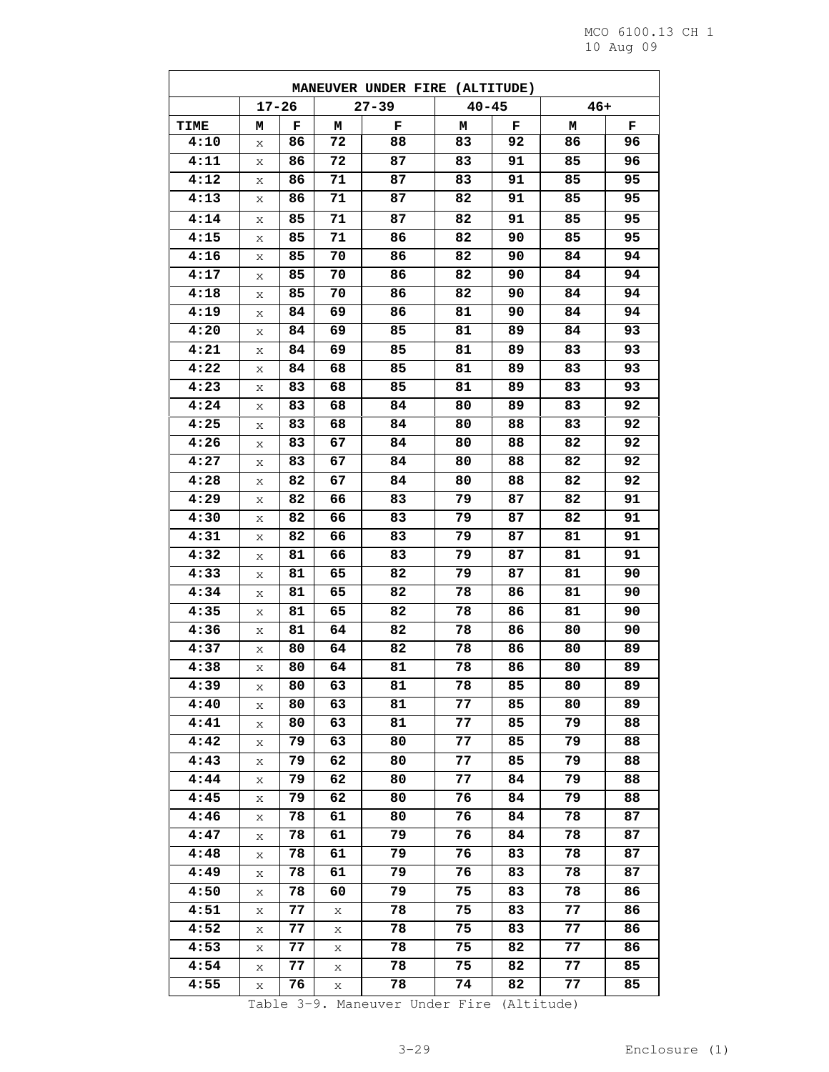|      | MANEUVER UNDER FIRE (ALTITUDE) |    |    |           |           |    |       |    |  |  |  |
|------|--------------------------------|----|----|-----------|-----------|----|-------|----|--|--|--|
|      | $17 - 26$                      |    |    | $27 - 39$ | $40 - 45$ |    | $46+$ |    |  |  |  |
| TIME | м                              | F  | м  | F         | м         | F  | м     | F  |  |  |  |
| 4:10 | Χ                              | 86 | 72 | 88        | 83        | 92 | 86    | 96 |  |  |  |
| 4:11 | Χ                              | 86 | 72 | 87        | 83        | 91 | 85    | 96 |  |  |  |
| 4:12 | Χ                              | 86 | 71 | 87        | 83        | 91 | 85    | 95 |  |  |  |
| 4:13 | Χ                              | 86 | 71 | 87        | 82        | 91 | 85    | 95 |  |  |  |
| 4:14 | Χ                              | 85 | 71 | 87        | 82        | 91 | 85    | 95 |  |  |  |
| 4:15 | Χ                              | 85 | 71 | 86        | 82        | 90 | 85    | 95 |  |  |  |
| 4:16 | Χ                              | 85 | 70 | 86        | 82        | 90 | 84    | 94 |  |  |  |
| 4:17 | Χ                              | 85 | 70 | 86        | 82        | 90 | 84    | 94 |  |  |  |
| 4:18 | Χ                              | 85 | 70 | 86        | 82        | 90 | 84    | 94 |  |  |  |
| 4:19 | Χ                              | 84 | 69 | 86        | 81        | 90 | 84    | 94 |  |  |  |
| 4:20 | Χ                              | 84 | 69 | 85        | 81        | 89 | 84    | 93 |  |  |  |
| 4:21 | Χ                              | 84 | 69 | 85        | 81        | 89 | 83    | 93 |  |  |  |
| 4:22 | X                              | 84 | 68 | 85        | 81        | 89 | 83    | 93 |  |  |  |
| 4:23 | X                              | 83 | 68 | 85        | 81        | 89 | 83    | 93 |  |  |  |
| 4:24 | Χ                              | 83 | 68 | 84        | 80        | 89 | 83    | 92 |  |  |  |
| 4:25 | Χ                              | 83 | 68 | 84        | 80        | 88 | 83    | 92 |  |  |  |
| 4:26 | Χ                              | 83 | 67 | 84        | 80        | 88 | 82    | 92 |  |  |  |
| 4:27 | Χ                              | 83 | 67 | 84        | 80        | 88 | 82    | 92 |  |  |  |
| 4:28 | Χ                              | 82 | 67 | 84        | 80        | 88 | 82    | 92 |  |  |  |
| 4:29 | Χ                              | 82 | 66 | 83        | 79        | 87 | 82    | 91 |  |  |  |
| 4:30 | X                              | 82 | 66 | 83        | 79        | 87 | 82    | 91 |  |  |  |
| 4:31 | Χ                              | 82 | 66 | 83        | 79        | 87 | 81    | 91 |  |  |  |
| 4:32 | X                              | 81 | 66 | 83        | 79        | 87 | 81    | 91 |  |  |  |
| 4:33 | Χ                              | 81 | 65 | 82        | 79        | 87 | 81    | 90 |  |  |  |
| 4:34 | Χ                              | 81 | 65 | 82        | 78        | 86 | 81    | 90 |  |  |  |
| 4:35 | Χ                              | 81 | 65 | 82        | 78        | 86 | 81    | 90 |  |  |  |
| 4:36 | Χ                              | 81 | 64 | 82        | 78        | 86 | 80    | 90 |  |  |  |
| 4:37 | Χ                              | 80 | 64 | 82        | 78        | 86 | 80    | 89 |  |  |  |
| 4:38 | Χ                              | 80 | 64 | 81        | 78        | 86 | 80    | 89 |  |  |  |
| 4:39 | Χ                              | 80 | 63 | 81        | 78        | 85 | 80    | 89 |  |  |  |
| 4:40 | X                              | 80 | 63 | 81        | 77        | 85 | 80    | 89 |  |  |  |
| 4:41 | Χ                              | 80 | 63 | 81        | 77        | 85 | 79    | 88 |  |  |  |
| 4:42 | X                              | 79 | 63 | 80        | 77        | 85 | 79    | 88 |  |  |  |
| 4:43 | X                              | 79 | 62 | 80        | 77        | 85 | 79    | 88 |  |  |  |
| 4:44 | Χ                              | 79 | 62 | 80        | 77        | 84 | 79    | 88 |  |  |  |
| 4:45 | Χ                              | 79 | 62 | 80        | 76        | 84 | 79    | 88 |  |  |  |
| 4:46 | X                              | 78 | 61 | 80        | 76        | 84 | 78    | 87 |  |  |  |
| 4:47 | X                              | 78 | 61 | 79        | 76        | 84 | 78    | 87 |  |  |  |
| 4:48 | Х                              | 78 | 61 | 79        | 76        | 83 | 78    | 87 |  |  |  |
| 4:49 | Χ                              | 78 | 61 | 79        | 76        | 83 | 78    | 87 |  |  |  |
| 4:50 | Χ                              | 78 | 60 | 79        | 75        | 83 | 78    | 86 |  |  |  |
| 4:51 | Х                              | 77 | Χ  | 78        | 75        | 83 | 77    | 86 |  |  |  |
| 4:52 | X                              | 77 | X  | 78        | 75        | 83 | 77    | 86 |  |  |  |
| 4:53 | X                              | 77 | X  | 78        | 75        | 82 | 77    | 86 |  |  |  |
| 4:54 | Х                              | 77 | Χ  | 78        | 75        | 82 | 77    | 85 |  |  |  |
| 4:55 | Χ                              | 76 | X  | 78        | 74        | 82 | 77    | 85 |  |  |  |

Table 3-9. Maneuver Under Fire (Altitude)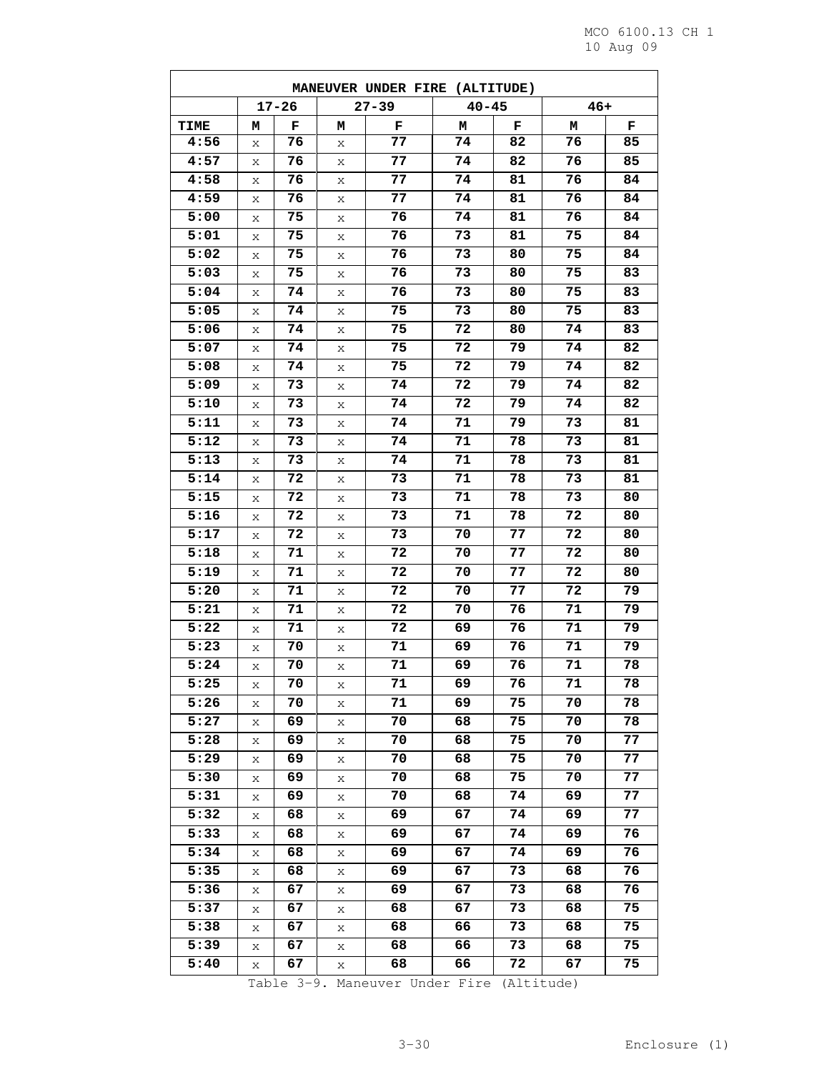| MANEUVER UNDER FIRE (ALTITUDE) |   |           |   |           |           |    |       |    |  |  |
|--------------------------------|---|-----------|---|-----------|-----------|----|-------|----|--|--|
|                                |   | $17 - 26$ |   | $27 - 39$ | $40 - 45$ |    | $46+$ |    |  |  |
| TIME                           | М | F         | м | F         | м         | F  | М     | F  |  |  |
| 4:56                           | Х | 76        | X | 77        | 74        | 82 | 76    | 85 |  |  |
| 4:57                           | X | 76        | Χ | 77        | 74        | 82 | 76    | 85 |  |  |
| 4:58                           | Χ | 76        | Χ | 77        | 74        | 81 | 76    | 84 |  |  |
| 4:59                           | Х | 76        | Х | 77        | 74        | 81 | 76    | 84 |  |  |
| 5:00                           | X | 75        | X | 76        | 74        | 81 | 76    | 84 |  |  |
| 5:01                           | Х | 75        | Х | 76        | 73        | 81 | 75    | 84 |  |  |
| 5:02                           | X | 75        | Χ | 76        | 73        | 80 | 75    | 84 |  |  |
| 5:03                           | X | 75        | Х | 76        | 73        | 80 | 75    | 83 |  |  |
| 5:04                           | Х | 74        | Х | 76        | 73        | 80 | 75    | 83 |  |  |
| 5:05                           | Χ | 74        | Χ | 75        | 73        | 80 | 75    | 83 |  |  |
| 5:06                           | Х | 74        | Х | 75        | 72        | 80 | 74    | 83 |  |  |
| 5:07                           | X | 74        | X | 75        | 72        | 79 | 74    | 82 |  |  |
| 5:08                           | Χ | 74        | Χ | 75        | 72        | 79 | 74    | 82 |  |  |
| 5:09                           | X | 73        | X | 74        | 72        | 79 | 74    | 82 |  |  |
| 5:10                           | X | 73        | Х | 74        | 72        | 79 | 74    | 82 |  |  |
| 5:11                           | Х | 73        | Х | 74        | 71        | 79 | 73    | 81 |  |  |
| 5:12                           | Χ | 73        | Χ | 74        | 71        | 78 | 73    | 81 |  |  |
| 5:13                           | X | 73        | Χ | 74        | 71        | 78 | 73    | 81 |  |  |
| 5:14                           | Х | 72        | Х | 73        | 71        | 78 | 73    | 81 |  |  |
| 5:15                           | Х | 72        | Χ | 73        | 71        | 78 | 73    | 80 |  |  |
| 5:16                           | Х | 72        | X | 73        | 71        | 78 | 72    | 80 |  |  |
| 5:17                           | X | 72        | Χ | 73        | 70        | 77 | 72    | 80 |  |  |
| 5:18                           | Χ | 71        | Χ | 72        | 70        | 77 | 72    | 80 |  |  |
| 5:19                           | Х | 71        | Х | 72        | 70        | 77 | 72    | 80 |  |  |
| 5:20                           | X | 71        | X | 72        | 70        | 77 | 72    | 79 |  |  |
| 5:21                           | Х | 71        | X | 72        | 70        | 76 | 71    | 79 |  |  |
| 5:22                           | Χ | 71        | Χ | 72        | 69        | 76 | 71    | 79 |  |  |
| 5:23                           | Χ | 70        | Χ | 71        | 69        | 76 | 71    | 79 |  |  |
| 5:24                           | X | 70        | Χ | 71        | 69        | 76 | 71    | 78 |  |  |
| 5:25                           | Χ | 70        | Χ | 71        | 69        | 76 | 71    | 78 |  |  |
| 5:26                           | X | 70        | Χ | 71        | 69        | 75 | 70    | 78 |  |  |
| 5:27                           | Χ | 69        | Χ | 70        | 68        | 75 | 70    | 78 |  |  |
| 5:28                           | Χ | 69        | Χ | 70        | 68        | 75 | 70    | 77 |  |  |
| 5:29                           | Х | 69        | Χ | 70        | 68        | 75 | 70    | 77 |  |  |
| 5:30                           | Χ | 69        | Χ | 70        | 68        | 75 | 70    | 77 |  |  |
| 5:31                           | Χ | 69        | Χ | 70        | 68        | 74 | 69    | 77 |  |  |
| 5:32                           | Χ | 68        | Χ | 69        | 67        | 74 | 69    | 77 |  |  |
| 5:33                           | Χ | 68        | X | 69        | 67        | 74 | 69    | 76 |  |  |
| 5:34                           | Χ | 68        | Χ | 69        | 67        | 74 | 69    | 76 |  |  |
| 5:35                           | Χ | 68        | Χ | 69        | 67        | 73 | 68    | 76 |  |  |
| 5:36                           | Χ | 67        | X | 69        | 67        | 73 | 68    | 76 |  |  |
| 5:37                           | Χ | 67        | Х | 68        | 67        | 73 | 68    | 75 |  |  |
| 5:38                           | Χ | 67        | Χ | 68        | 66        | 73 | 68    | 75 |  |  |
| 5:39                           | Χ | 67        | Χ | 68        | 66        | 73 | 68    | 75 |  |  |
| 5:40                           | Χ | 67        | Χ | 68        | 66        | 72 | 67    | 75 |  |  |

Table 3-9. Maneuver Under Fire (Altitude)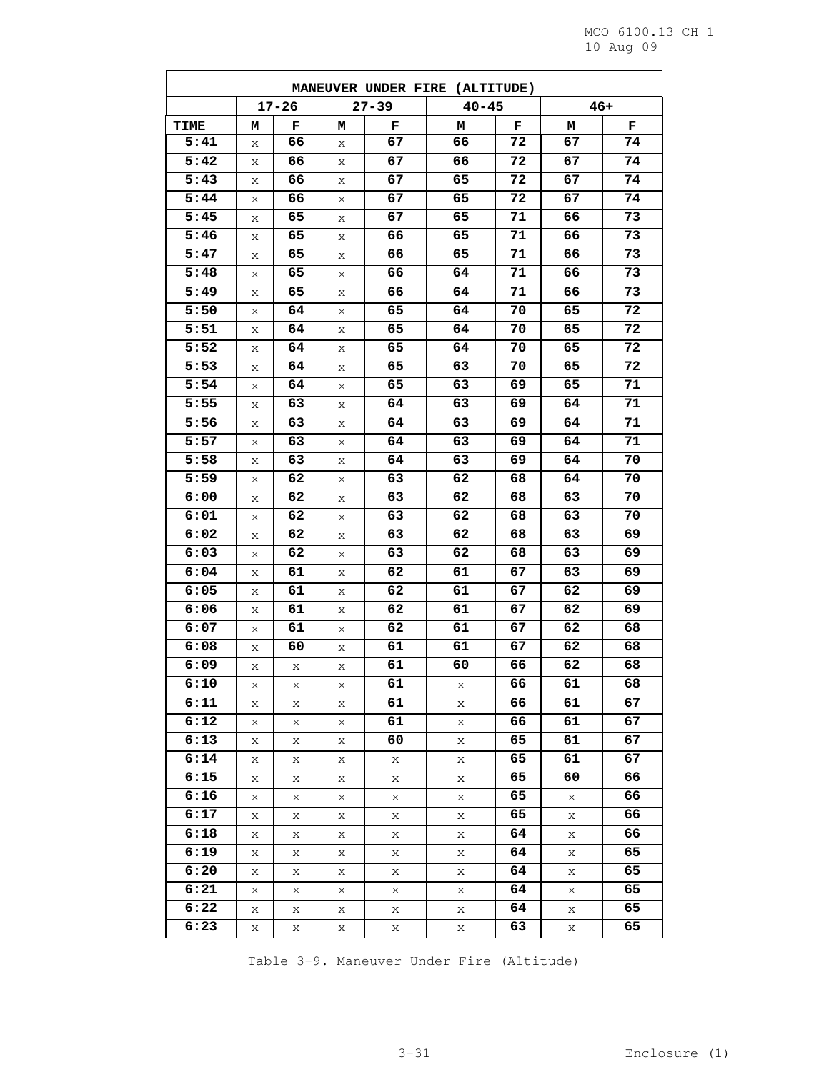ц

| MANEUVER UNDER FIRE (ALTITUDE) |   |           |   |           |           |    |    |       |  |  |
|--------------------------------|---|-----------|---|-----------|-----------|----|----|-------|--|--|
|                                |   | $17 - 26$ |   | $27 - 39$ | $40 - 45$ |    |    | $46+$ |  |  |
| TIME                           | м | F         | м | F         | м         | F  | м  | F     |  |  |
| 5:41                           | Х | 66        | Χ | 67        | 66        | 72 | 67 | 74    |  |  |
| 5:42                           | X | 66        | X | 67        | 66        | 72 | 67 | 74    |  |  |
| 5:43                           | X | 66        | Χ | 67        | 65        | 72 | 67 | 74    |  |  |
| 5:44                           | X | 66        | Х | 67        | 65        | 72 | 67 | 74    |  |  |
| 5:45                           | X | 65        | X | 67        | 65        | 71 | 66 | 73    |  |  |
| 5:46                           | Х | 65        | Χ | 66        | 65        | 71 | 66 | 73    |  |  |
| 5:47                           | Χ | 65        | Х | 66        | 65        | 71 | 66 | 73    |  |  |
| 5:48                           | X | 65        | X | 66        | 64        | 71 | 66 | 73    |  |  |
| 5:49                           | X | 65        | X | 66        | 64        | 71 | 66 | 73    |  |  |
| 5:50                           | X | 64        | Χ | 65        | 64        | 70 | 65 | 72    |  |  |
| 5:51                           | X | 64        | Χ | 65        | 64        | 70 | 65 | 72    |  |  |
| 5:52                           | X | 64        | X | 65        | 64        | 70 | 65 | 72    |  |  |
| 5:53                           | Х | 64        | Χ | 65        | 63        | 70 | 65 | 72    |  |  |
| 5:54                           | X | 64        | X | 65        | 63        | 69 | 65 | 71    |  |  |
| 5:55                           | Χ | 63        | X | 64        | 63        | 69 | 64 | 71    |  |  |
| 5:56                           | Х | 63        | Χ | 64        | 63        | 69 | 64 | 71    |  |  |
| 5:57                           | X | 63        | Х | 64        | 63        | 69 | 64 | 71    |  |  |
| 5:58                           | X | 63        | Χ | 64        | 63        | 69 | 64 | 70    |  |  |
| 5:59                           | X | 62        | Χ | 63        | 62        | 68 | 64 | 70    |  |  |
| 6:00                           | Χ | 62        | Х | 63        | 62        | 68 | 63 | 70    |  |  |
| 6:01                           | X | 62        | Χ | 63        | 62        | 68 | 63 | 70    |  |  |
| 6:02                           | X | 62        | X | 63        | 62        | 68 | 63 | 69    |  |  |
| 6:03                           | X | 62        | Χ | 63        | 62        | 68 | 63 | 69    |  |  |
| 6:04                           | X | 61        | X | 62        | 61        | 67 | 63 | 69    |  |  |
| 6:05                           | X | 61        | Χ | 62        | 61        | 67 | 62 | 69    |  |  |
| 6:06                           | Х | 61        | Х | 62        | 61        | 67 | 62 | 69    |  |  |
| 6:07                           | Χ | 61        | Х | 62        | 61        | 67 | 62 | 68    |  |  |
| 6:08                           | X | 60        | Χ | 61        | 61        | 67 | 62 | 68    |  |  |
| 6:09                           | X | X         | X | 61        | 60        | 66 | 62 | 68    |  |  |
| 6:10                           | Х | Х         | Х | 61        | Х         | 66 | 61 | 68    |  |  |
| 6:11                           | X | X         | Х | 61        | Х         | 66 | 61 | 67    |  |  |
| 6:12                           | X | X         | X | 61        | X         | 66 | 61 | 67    |  |  |
| 6:13                           | X | X         | Χ | 60        | Χ         | 65 | 61 | 67    |  |  |
| 6:14                           | X | X         | X | X         | Χ         | 65 | 61 | 67    |  |  |
| 6:15                           | X | X         | Х | X         | X         | 65 | 60 | 66    |  |  |
| 6:16                           | X | X         | X | X         | Χ         | 65 | Х  | 66    |  |  |
| 6:17                           | X | X         | X | X         | X         | 65 | Х  | 66    |  |  |
| 6:18                           | X | X         | Х | X         | Х         | 64 | Х  | 66    |  |  |
| 6:19                           | X | X         | Х | X         | X         | 64 | X  | 65    |  |  |
| 6:20                           | X | X         | Χ | X         | X         | 64 | Х  | 65    |  |  |
| 6:21                           | X | X         | X | X         | Χ         | 64 | X  | 65    |  |  |
| 6:22                           | X | X         | X | X         | X         | 64 | X  | 65    |  |  |
| 6:23                           | X | X         | X | X         | Χ         | 63 | X  | 65    |  |  |
|                                |   |           |   |           |           |    |    |       |  |  |

Table 3-9. Maneuver Under Fire (Altitude)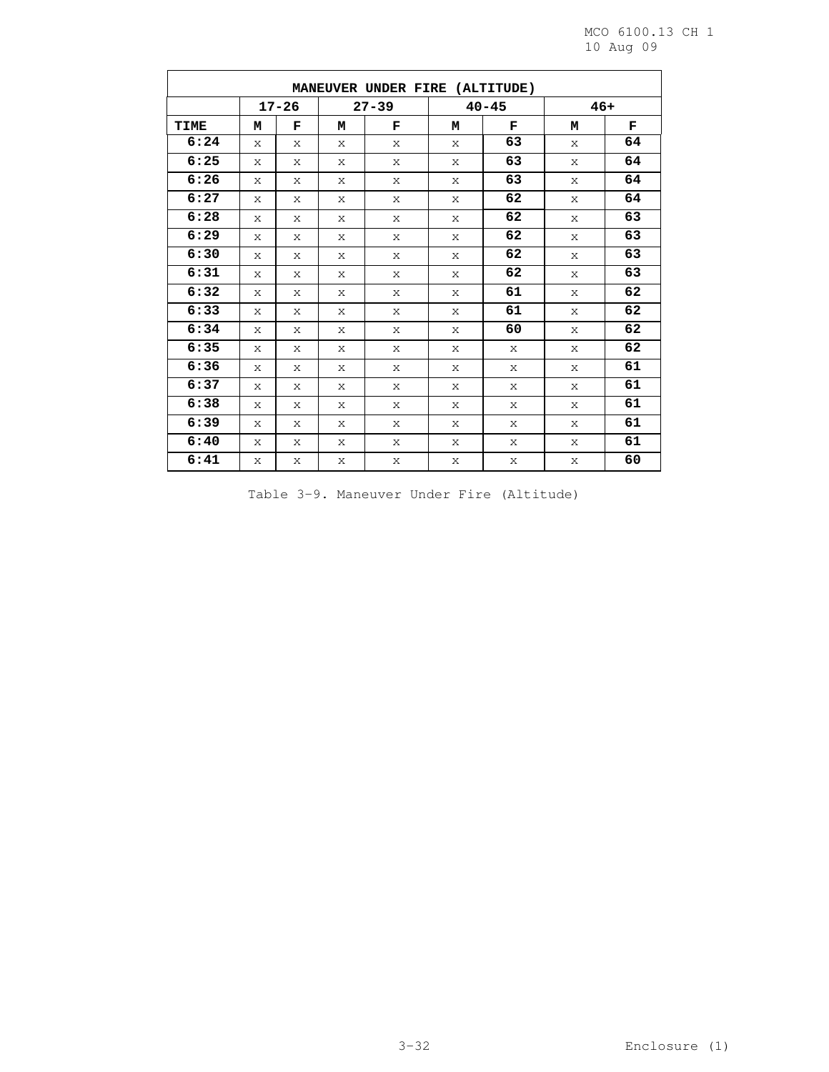$\overline{\phantom{0}}$ 

| MANEUVER UNDER FIRE (ALTITUDE) |              |   |           |   |           |    |       |    |  |  |
|--------------------------------|--------------|---|-----------|---|-----------|----|-------|----|--|--|
|                                | $17 - 26$    |   | $27 - 39$ |   | $40 - 45$ |    | $46+$ |    |  |  |
| <b>TIME</b>                    | М            | F | м         | F | м         | F  | М     | F  |  |  |
| 6:24                           | $\mathsf{x}$ | X | X         | X | X         | 63 | X     | 64 |  |  |
| 6:25                           | X            | X | X         | X | X         | 63 | X     | 64 |  |  |
| 6:26                           | X            | X | X         | X | X         | 63 | X     | 64 |  |  |
| 6:27                           | X            | X | X         | X | X         | 62 | X     | 64 |  |  |
| 6:28                           | X            | X | X         | X | X         | 62 | X     | 63 |  |  |
| 6:29                           | X            | X | X         | X | X         | 62 | X     | 63 |  |  |
| 6:30                           | X            | X | X         | X | X         | 62 | X     | 63 |  |  |
| 6:31                           | X            | X | X         | X | X         | 62 | X     | 63 |  |  |
| 6:32                           | X            | X | X         | X | X         | 61 | X     | 62 |  |  |
| 6:33                           | X            | X | X         | X | X         | 61 | X     | 62 |  |  |
| 6:34                           | X            | X | X         | X | X         | 60 | X     | 62 |  |  |
| 6:35                           | X            | X | X         | X | X         | X  | X     | 62 |  |  |
| 6:36                           | X            | X | X         | X | X         | X  | X     | 61 |  |  |
| 6:37                           | X            | X | X         | X | X         | X  | X     | 61 |  |  |
| 6:38                           | X            | X | X         | X | X         | X  | X     | 61 |  |  |
| 6:39                           | X            | X | X         | X | X         | X  | X     | 61 |  |  |
| 6:40                           | X            | X | X         | X | X         | X  | X     | 61 |  |  |
| 6:41                           | X            | X | X         | X | X         | X  | X     | 60 |  |  |

|  |  |  |  |  | Table 3-9. Maneuver Under Fire (Altitude) |
|--|--|--|--|--|-------------------------------------------|
|--|--|--|--|--|-------------------------------------------|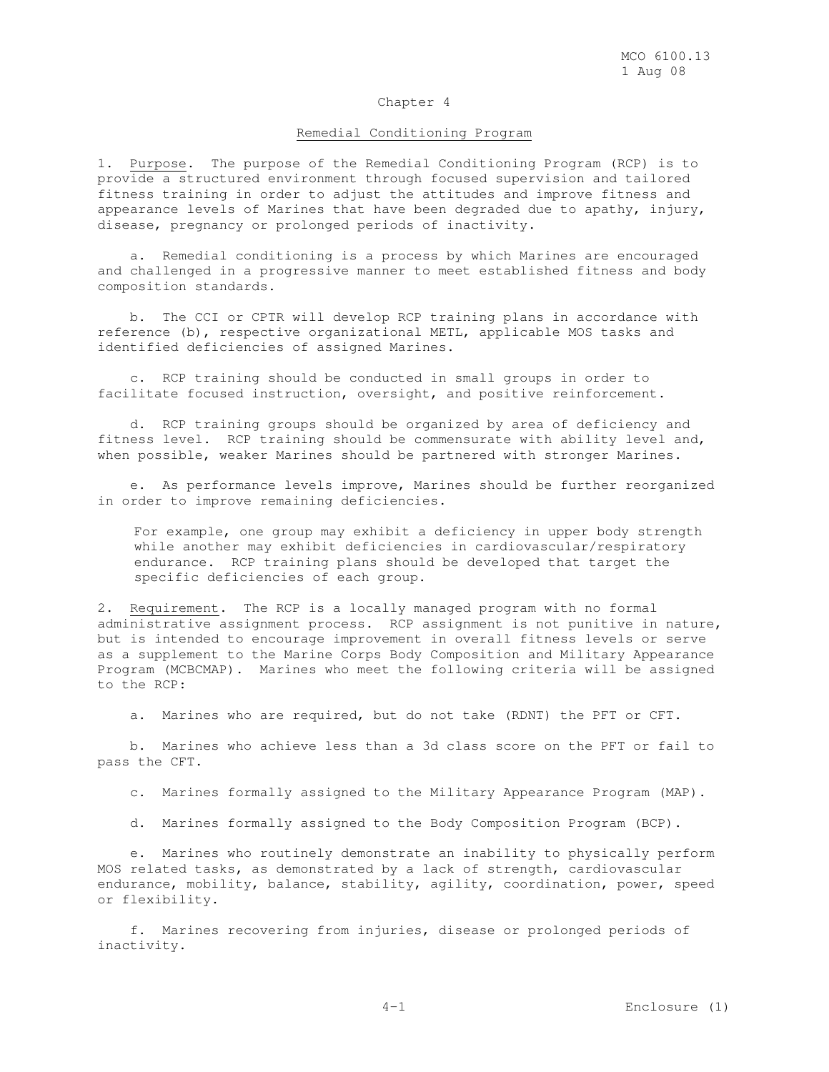### Chapter 4

### Remedial Conditioning Program

1. Purpose. The purpose of the Remedial Conditioning Program (RCP) is to provide a structured environment through focused supervision and tailored fitness training in order to adjust the attitudes and improve fitness and appearance levels of Marines that have been degraded due to apathy, injury, disease, pregnancy or prolonged periods of inactivity.

 a. Remedial conditioning is a process by which Marines are encouraged and challenged in a progressive manner to meet established fitness and body composition standards.

 b. The CCI or CPTR will develop RCP training plans in accordance with reference (b), respective organizational METL, applicable MOS tasks and identified deficiencies of assigned Marines.

 c. RCP training should be conducted in small groups in order to facilitate focused instruction, oversight, and positive reinforcement.

 d. RCP training groups should be organized by area of deficiency and fitness level. RCP training should be commensurate with ability level and, when possible, weaker Marines should be partnered with stronger Marines.

 e. As performance levels improve, Marines should be further reorganized in order to improve remaining deficiencies.

For example, one group may exhibit a deficiency in upper body strength while another may exhibit deficiencies in cardiovascular/respiratory endurance. RCP training plans should be developed that target the specific deficiencies of each group.

2. Requirement. The RCP is a locally managed program with no formal administrative assignment process. RCP assignment is not punitive in nature, but is intended to encourage improvement in overall fitness levels or serve as a supplement to the Marine Corps Body Composition and Military Appearance Program (MCBCMAP). Marines who meet the following criteria will be assigned to the RCP:

a. Marines who are required, but do not take (RDNT) the PFT or CFT.

 b. Marines who achieve less than a 3d class score on the PFT or fail to pass the CFT.

c. Marines formally assigned to the Military Appearance Program (MAP).

d. Marines formally assigned to the Body Composition Program (BCP).

 e. Marines who routinely demonstrate an inability to physically perform MOS related tasks, as demonstrated by a lack of strength, cardiovascular endurance, mobility, balance, stability, agility, coordination, power, speed or flexibility.

 f. Marines recovering from injuries, disease or prolonged periods of inactivity.